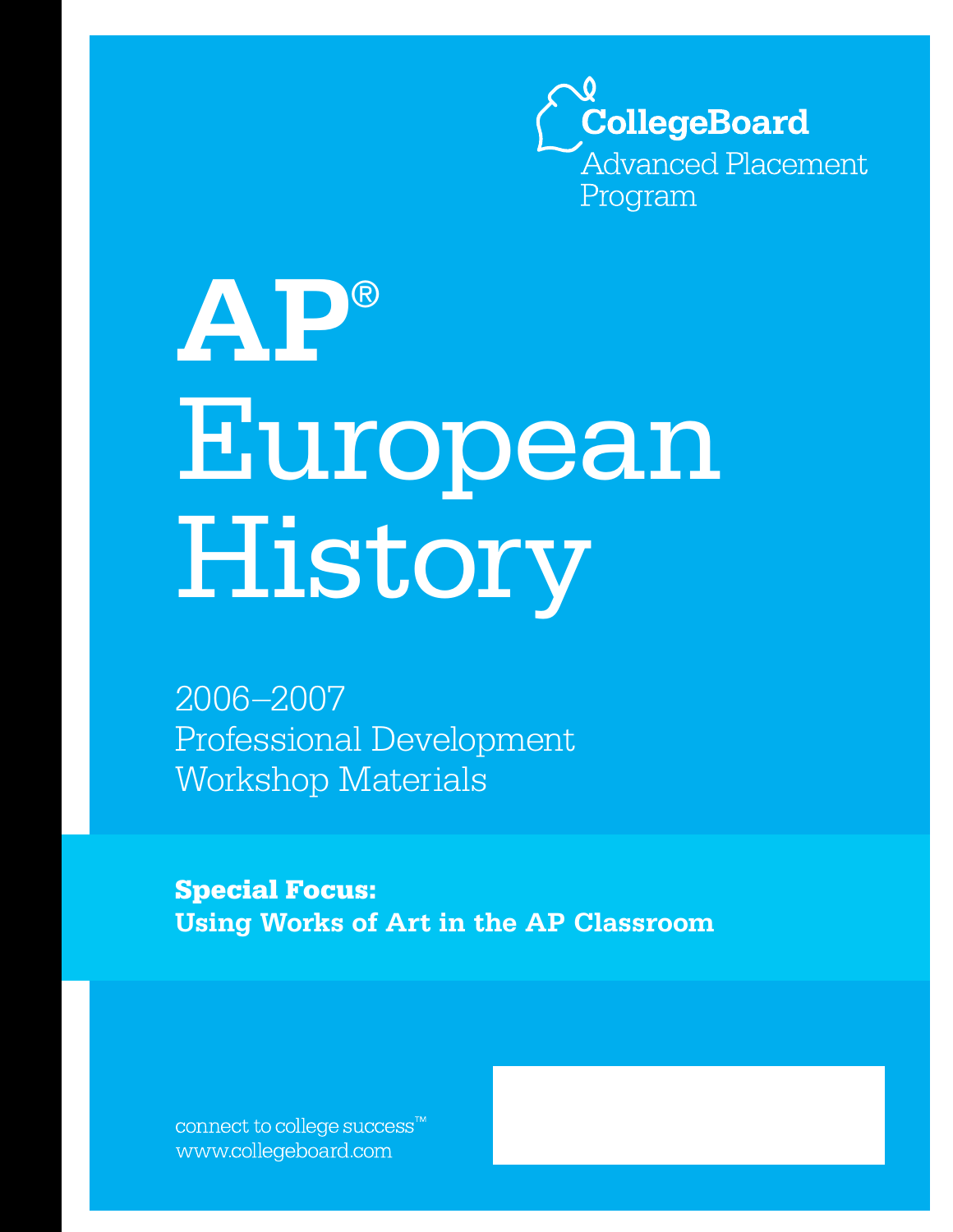

# **AP**® European History

2006–2007 Professional Development Workshop Materials

**Special Focus: Using Works of Art in the AP Classroom**

connect to college success™ www.collegeboard.com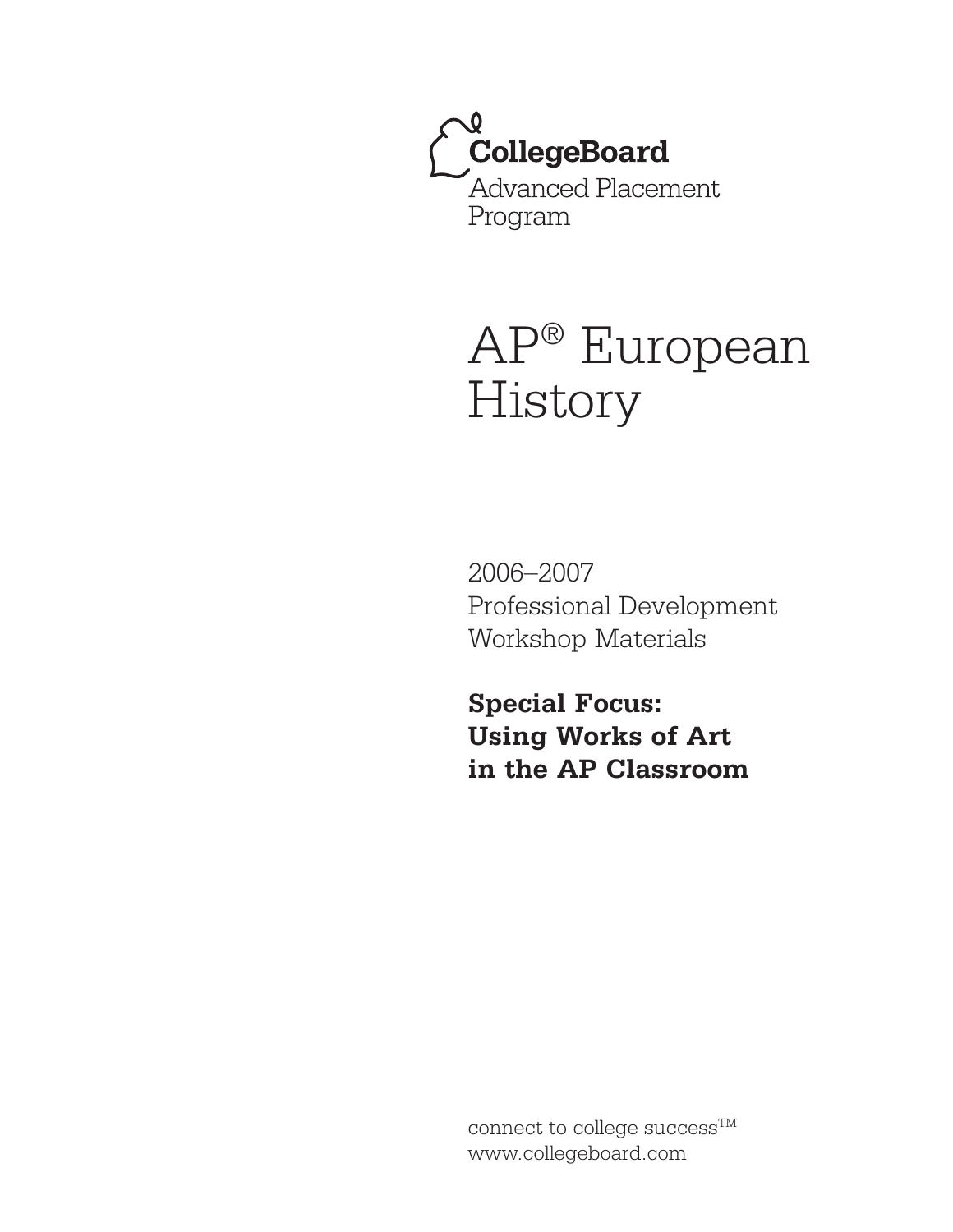CollegeBoard Advanced Placement Program

# AP® European History

2006–2007 Professional Development Workshop Materials

**Special Focus: Using Works of Art in the AP Classroom**

connect to college success<sup>TM</sup> www.collegeboard.com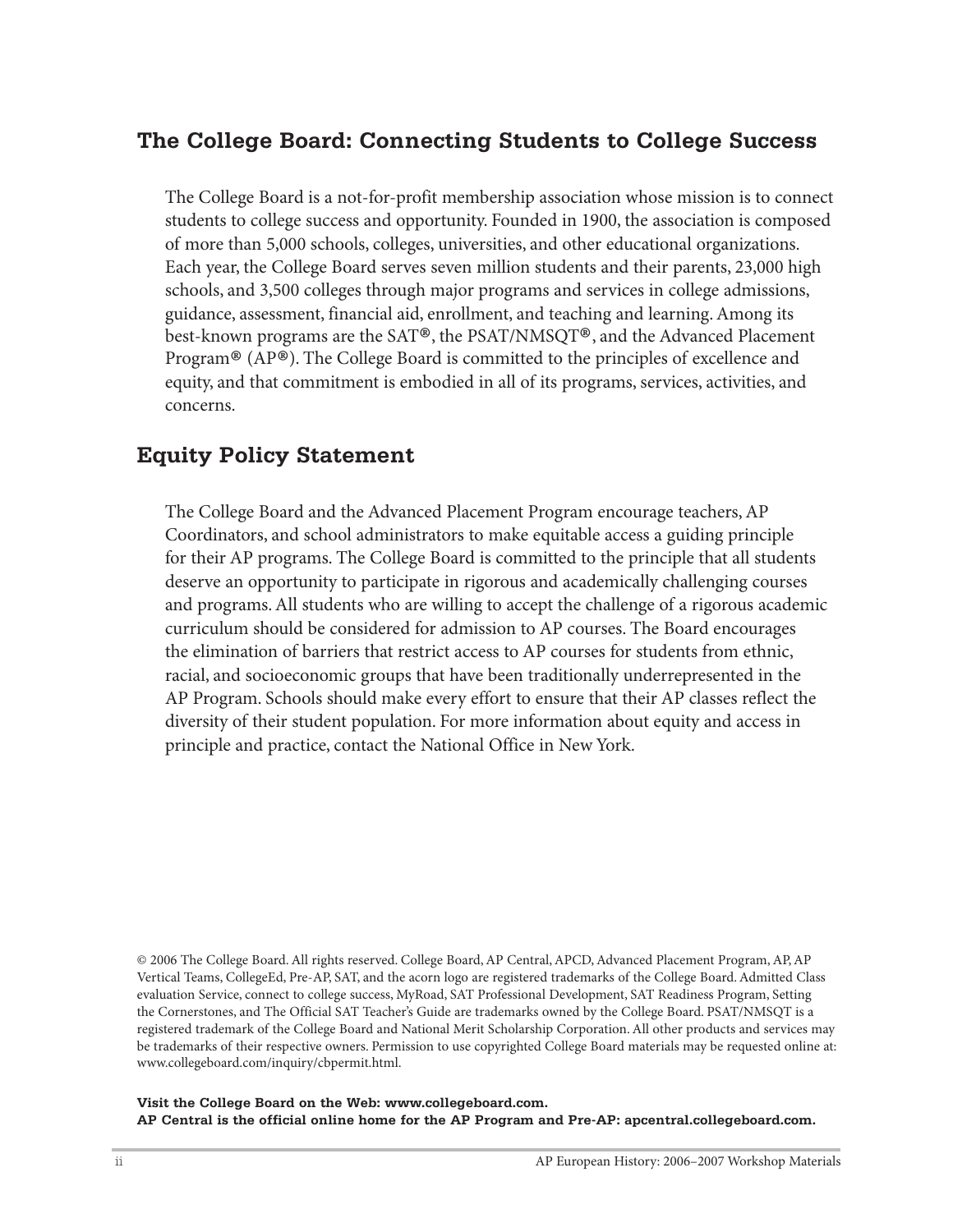### **The College Board: Connecting Students to College Success**

The College Board is a not-for-profit membership association whose mission is to connect students to college success and opportunity. Founded in 1900, the association is composed of more than 5,000 schools, colleges, universities, and other educational organizations. Each year, the College Board serves seven million students and their parents, 23,000 high schools, and 3,500 colleges through major programs and services in college admissions, guidance, assessment, financial aid, enrollment, and teaching and learning. Among its best-known programs are the SAT®, the PSAT/NMSQT®, and the Advanced Placement Program® (AP®). The College Board is committed to the principles of excellence and equity, and that commitment is embodied in all of its programs, services, activities, and concerns.

#### **Equity Policy Statement**

The College Board and the Advanced Placement Program encourage teachers, AP Coordinators, and school administrators to make equitable access a guiding principle for their AP programs. The College Board is committed to the principle that all students deserve an opportunity to participate in rigorous and academically challenging courses and programs. All students who are willing to accept the challenge of a rigorous academic curriculum should be considered for admission to AP courses. The Board encourages the elimination of barriers that restrict access to AP courses for students from ethnic, racial, and socioeconomic groups that have been traditionally underrepresented in the AP Program. Schools should make every effort to ensure that their AP classes reflect the diversity of their student population. For more information about equity and access in principle and practice, contact the National Office in New York.

© 2006 The College Board. All rights reserved. College Board, AP Central, APCD, Advanced Placement Program, AP, AP Vertical Teams, CollegeEd, Pre-AP, SAT, and the acorn logo are registered trademarks of the College Board. Admitted Class evaluation Service, connect to college success, MyRoad, SAT Professional Development, SAT Readiness Program, Setting the Cornerstones, and The Official SAT Teacher's Guide are trademarks owned by the College Board. PSAT/NMSQT is a registered trademark of the College Board and National Merit Scholarship Corporation. All other products and services may be trademarks of their respective owners. Permission to use copyrighted College Board materials may be requested online at: www.collegeboard.com/inquiry/cbpermit.html.

**Visit the College Board on the Web: www.collegeboard.com. AP Central is the official online home for the AP Program and Pre-AP: apcentral.collegeboard.com.**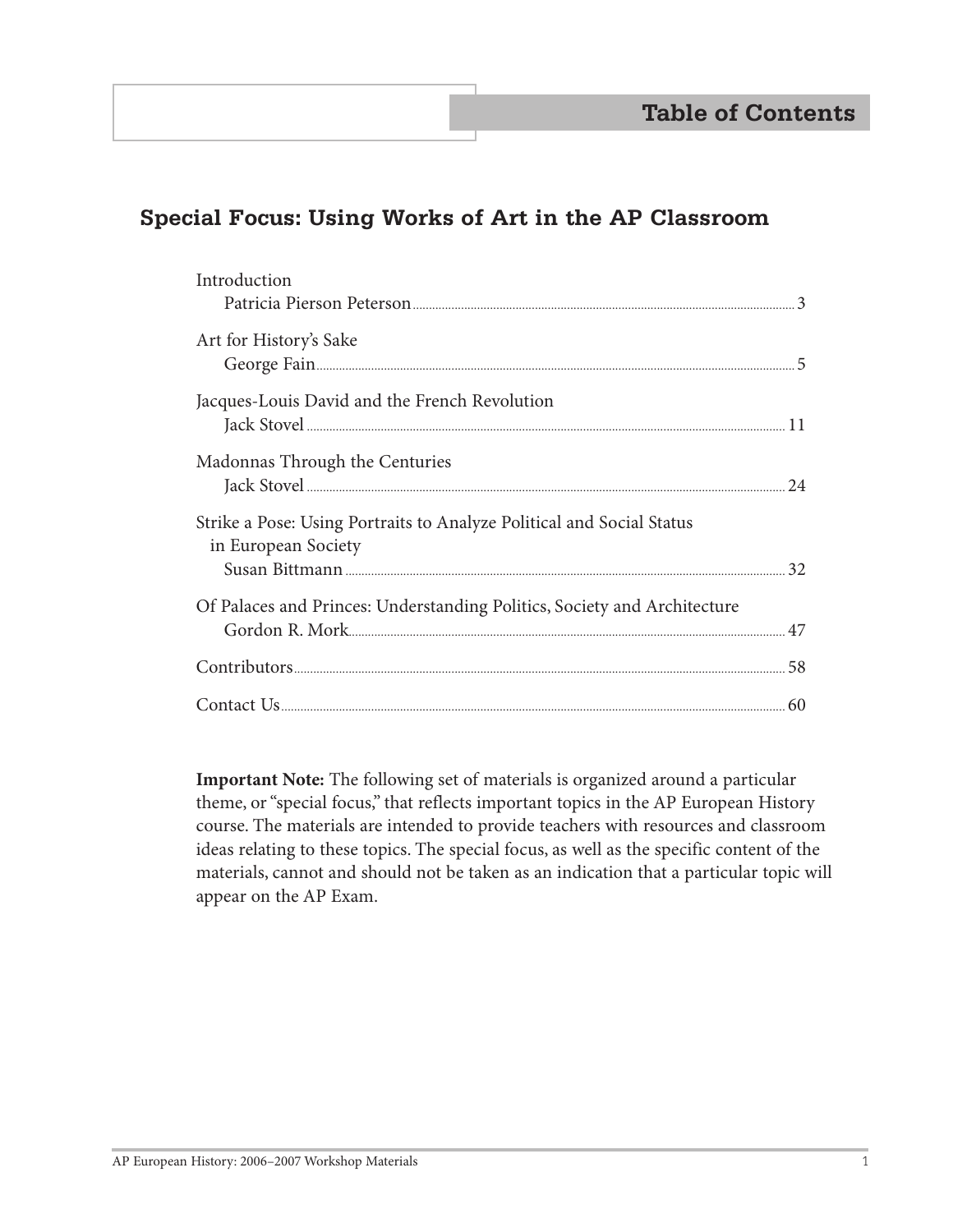# **Special Focus: Using Works of Art in the AP Classroom**

| Introduction                                                             |    |
|--------------------------------------------------------------------------|----|
|                                                                          |    |
| Art for History's Sake                                                   |    |
|                                                                          |    |
| Jacques-Louis David and the French Revolution                            |    |
|                                                                          |    |
| Madonnas Through the Centuries                                           |    |
|                                                                          | 24 |
| Strike a Pose: Using Portraits to Analyze Political and Social Status    |    |
| in European Society                                                      |    |
|                                                                          |    |
| Of Palaces and Princes: Understanding Politics, Society and Architecture |    |
|                                                                          | 47 |
|                                                                          |    |
|                                                                          |    |
|                                                                          |    |

 **Important Note:** The following set of materials is organized around a particular theme, or "special focus," that reflects important topics in the AP European History course. The materials are intended to provide teachers with resources and classroom ideas relating to these topics. The special focus, as well as the specific content of the materials, cannot and should not be taken as an indication that a particular topic will appear on the AP Exam.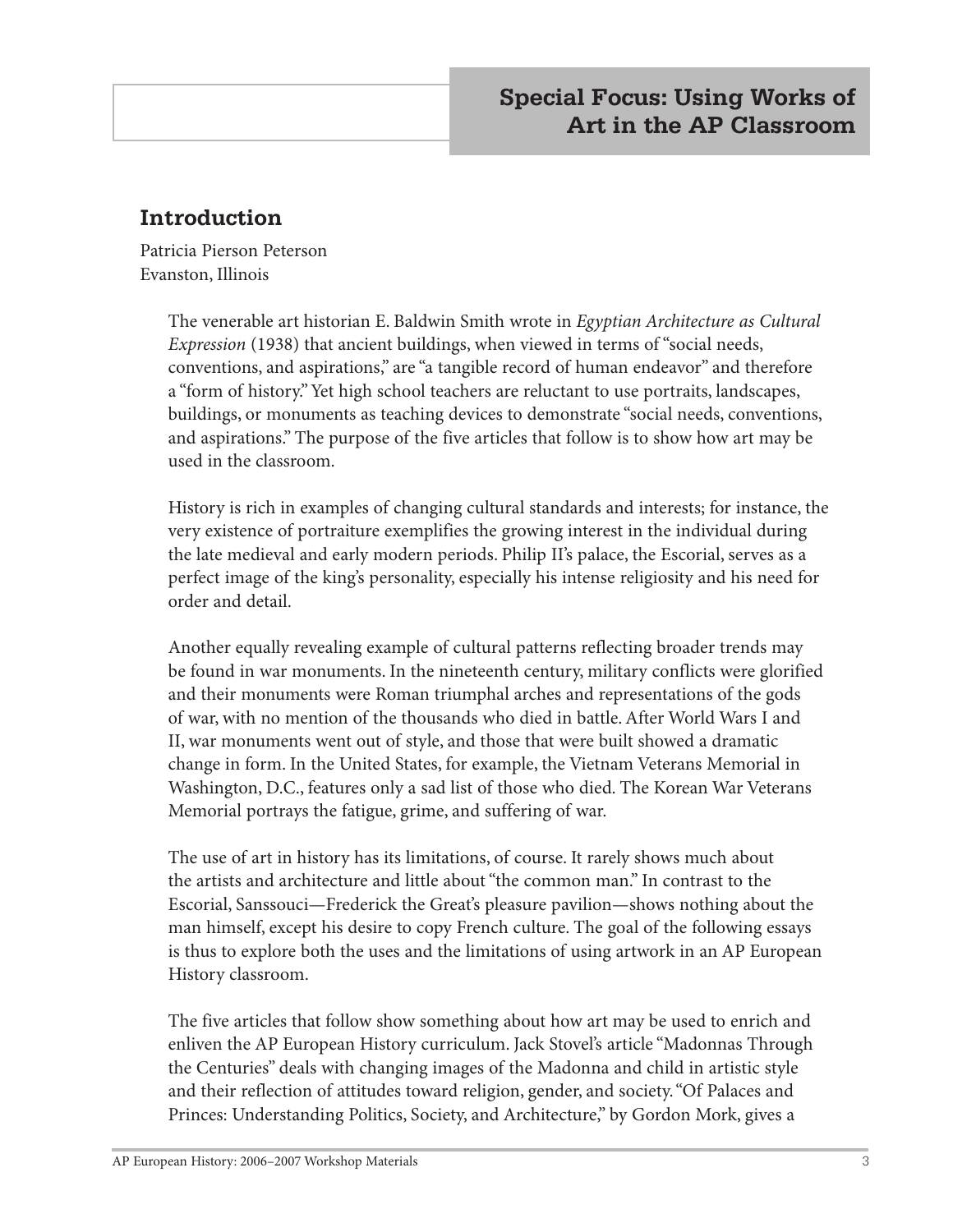# **Introduction**

Patricia Pierson Peterson Evanston, Illinois

> The venerable art historian E. Baldwin Smith wrote in *Egyptian Architecture as Cultural Expression* (1938) that ancient buildings, when viewed in terms of "social needs, conventions, and aspirations," are "a tangible record of human endeavor" and therefore a "form of history." Yet high school teachers are reluctant to use portraits, landscapes, buildings, or monuments as teaching devices to demonstrate "social needs, conventions, and aspirations." The purpose of the five articles that follow is to show how art may be used in the classroom.

> History is rich in examples of changing cultural standards and interests; for instance, the very existence of portraiture exemplifies the growing interest in the individual during the late medieval and early modern periods. Philip II's palace, the Escorial, serves as a perfect image of the king's personality, especially his intense religiosity and his need for order and detail.

> Another equally revealing example of cultural patterns reflecting broader trends may be found in war monuments. In the nineteenth century, military conflicts were glorified and their monuments were Roman triumphal arches and representations of the gods of war, with no mention of the thousands who died in battle. After World Wars I and II, war monuments went out of style, and those that were built showed a dramatic change in form. In the United States, for example, the Vietnam Veterans Memorial in Washington, D.C., features only a sad list of those who died. The Korean War Veterans Memorial portrays the fatigue, grime, and suffering of war.

> The use of art in history has its limitations, of course. It rarely shows much about the artists and architecture and little about "the common man." In contrast to the Escorial, Sanssouci—Frederick the Great's pleasure pavilion—shows nothing about the man himself, except his desire to copy French culture. The goal of the following essays is thus to explore both the uses and the limitations of using artwork in an AP European History classroom.

The five articles that follow show something about how art may be used to enrich and enliven the AP European History curriculum. Jack Stovel's article "Madonnas Through the Centuries" deals with changing images of the Madonna and child in artistic style and their reflection of attitudes toward religion, gender, and society. "Of Palaces and Princes: Understanding Politics, Society, and Architecture," by Gordon Mork, gives a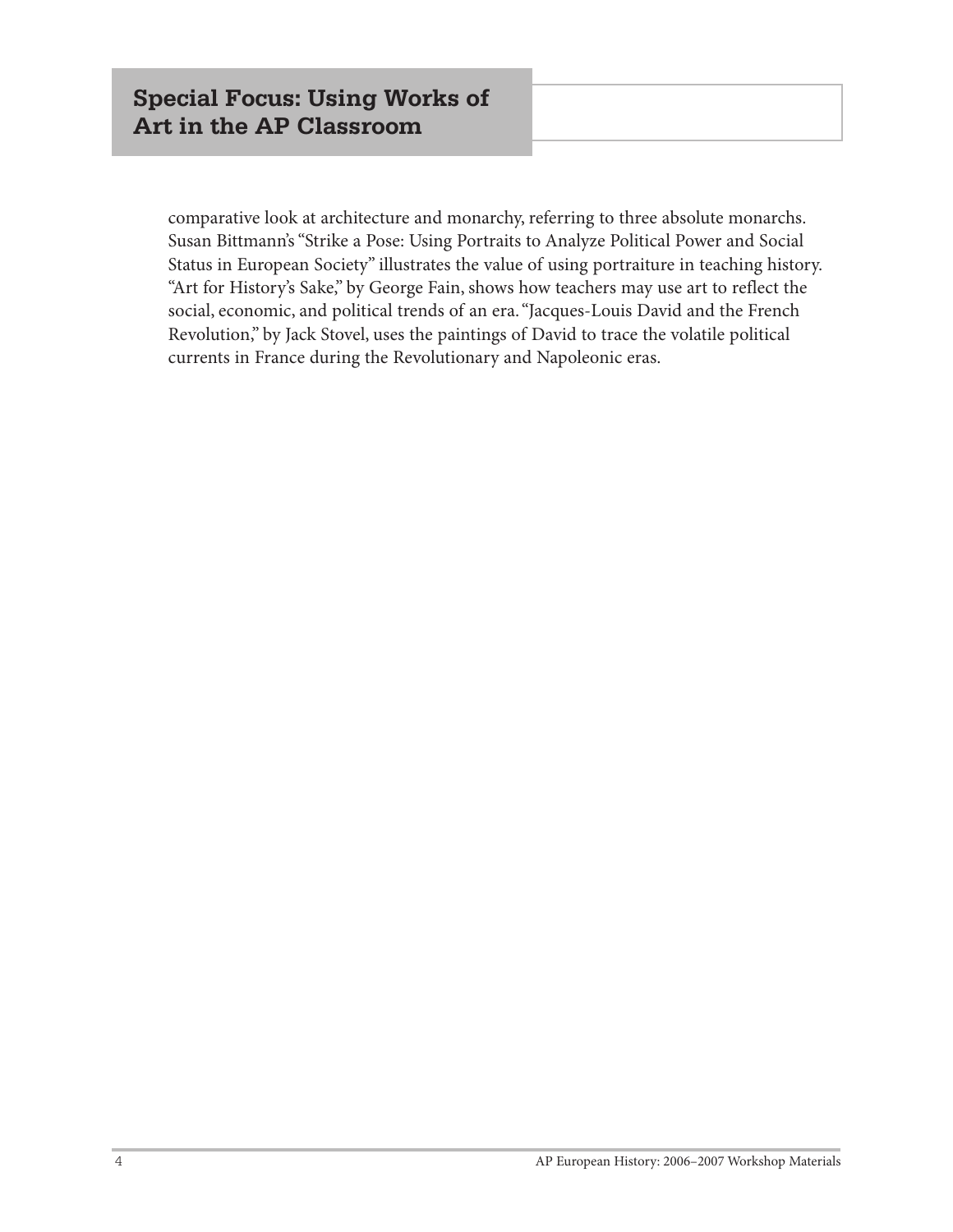comparative look at architecture and monarchy, referring to three absolute monarchs. Susan Bittmann's "Strike a Pose: Using Portraits to Analyze Political Power and Social Status in European Society" illustrates the value of using portraiture in teaching history. "Art for History's Sake," by George Fain, shows how teachers may use art to reflect the social, economic, and political trends of an era. "Jacques-Louis David and the French Revolution," by Jack Stovel, uses the paintings of David to trace the volatile political currents in France during the Revolutionary and Napoleonic eras.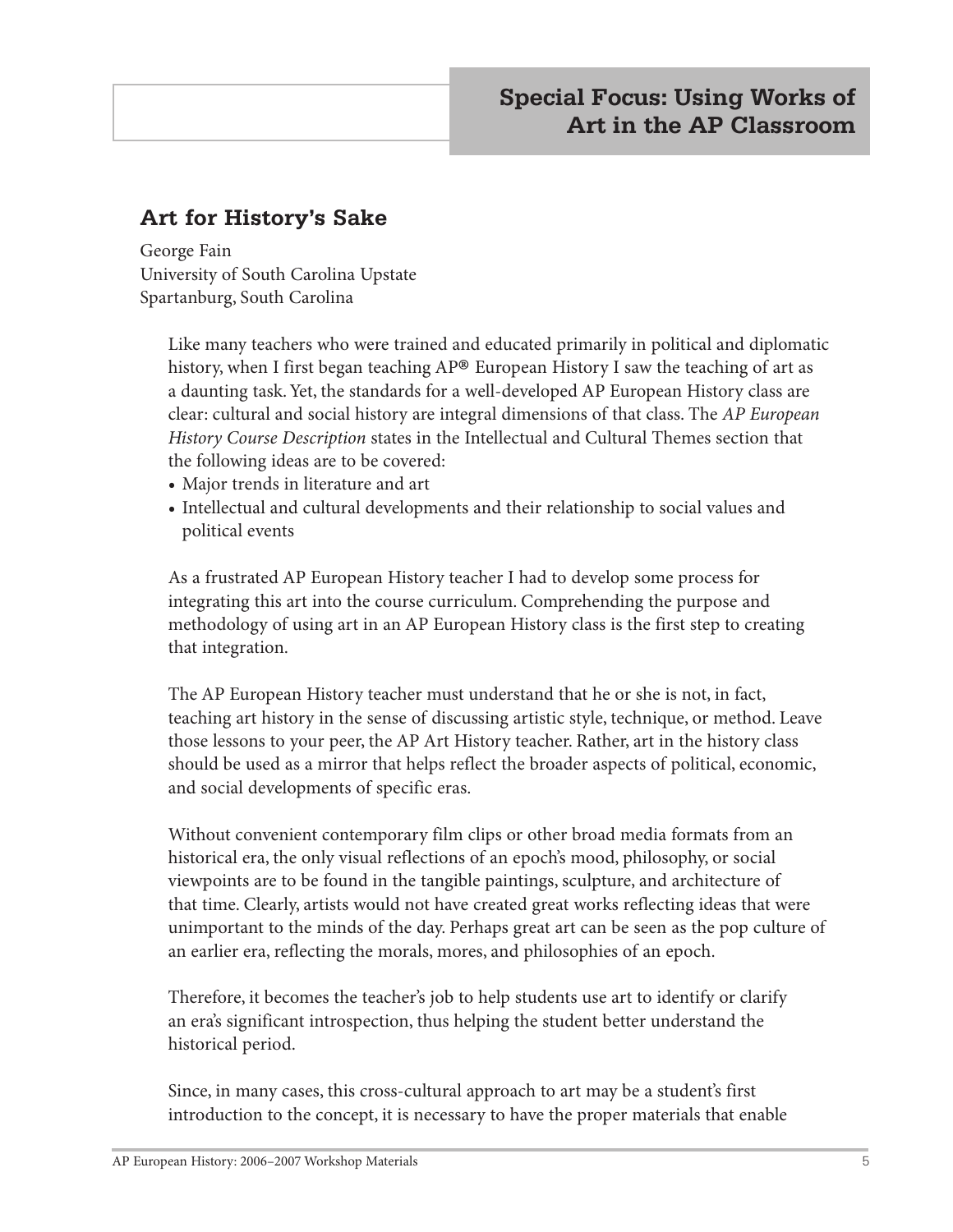# **Art for History's Sake**

George Fain University of South Carolina Upstate Spartanburg, South Carolina

Like many teachers who were trained and educated primarily in political and diplomatic history, when I first began teaching AP® European History I saw the teaching of art as a daunting task. Yet, the standards for a well-developed AP European History class are clear: cultural and social history are integral dimensions of that class. The *AP European History Course Description* states in the Intellectual and Cultural Themes section that the following ideas are to be covered:

- **•** Major trends in literature and art
- **•** Intellectual and cultural developments and their relationship to social values and political events

As a frustrated AP European History teacher I had to develop some process for integrating this art into the course curriculum. Comprehending the purpose and methodology of using art in an AP European History class is the first step to creating that integration.

The AP European History teacher must understand that he or she is not, in fact, teaching art history in the sense of discussing artistic style, technique, or method. Leave those lessons to your peer, the AP Art History teacher. Rather, art in the history class should be used as a mirror that helps reflect the broader aspects of political, economic, and social developments of specific eras.

Without convenient contemporary film clips or other broad media formats from an historical era, the only visual reflections of an epoch's mood, philosophy, or social viewpoints are to be found in the tangible paintings, sculpture, and architecture of that time. Clearly, artists would not have created great works reflecting ideas that were unimportant to the minds of the day. Perhaps great art can be seen as the pop culture of an earlier era, reflecting the morals, mores, and philosophies of an epoch.

Therefore, it becomes the teacher's job to help students use art to identify or clarify an era's significant introspection, thus helping the student better understand the historical period.

Since, in many cases, this cross-cultural approach to art may be a student's first introduction to the concept, it is necessary to have the proper materials that enable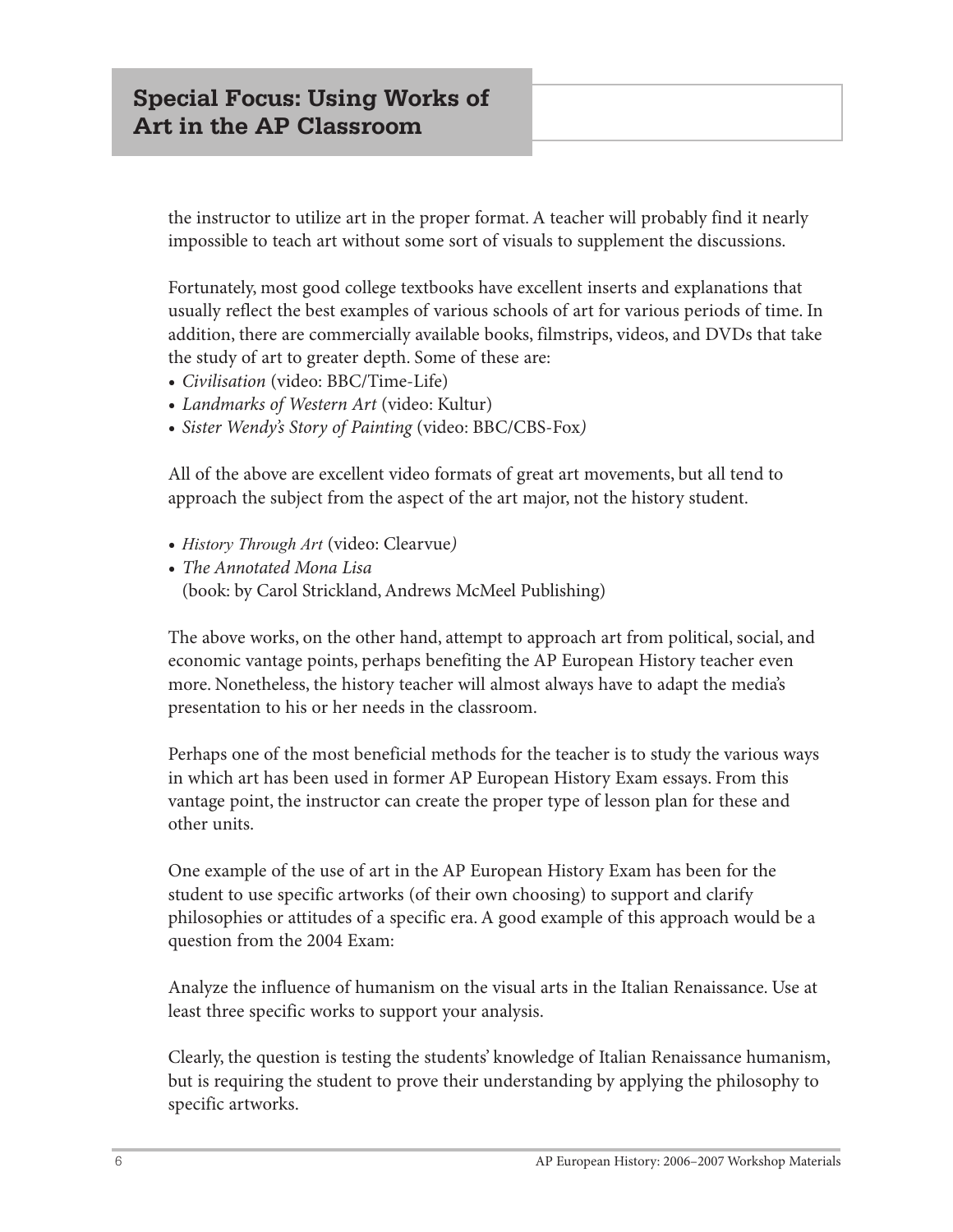the instructor to utilize art in the proper format. A teacher will probably find it nearly impossible to teach art without some sort of visuals to supplement the discussions.

Fortunately, most good college textbooks have excellent inserts and explanations that usually reflect the best examples of various schools of art for various periods of time. In addition, there are commercially available books, filmstrips, videos, and DVDs that take the study of art to greater depth. Some of these are:

- **•** *Civilisation* (video: BBC/Time-Life)
- **•** *Landmarks of Western Art* (video: Kultur)
- **•** *Sister Wendy's Story of Painting* (video: BBC/CBS-Fox*)*

All of the above are excellent video formats of great art movements, but all tend to approach the subject from the aspect of the art major, not the history student.

- **•** *History Through Art* (video: Clearvue*)*
- **•** *The Annotated Mona Lisa* (book: by Carol Strickland, Andrews McMeel Publishing)

The above works, on the other hand, attempt to approach art from political, social, and economic vantage points, perhaps benefiting the AP European History teacher even more. Nonetheless, the history teacher will almost always have to adapt the media's presentation to his or her needs in the classroom.

Perhaps one of the most beneficial methods for the teacher is to study the various ways in which art has been used in former AP European History Exam essays. From this vantage point, the instructor can create the proper type of lesson plan for these and other units.

One example of the use of art in the AP European History Exam has been for the student to use specific artworks (of their own choosing) to support and clarify philosophies or attitudes of a specific era. A good example of this approach would be a question from the 2004 Exam:

Analyze the influence of humanism on the visual arts in the Italian Renaissance. Use at least three specific works to support your analysis.

Clearly, the question is testing the students' knowledge of Italian Renaissance humanism, but is requiring the student to prove their understanding by applying the philosophy to specific artworks.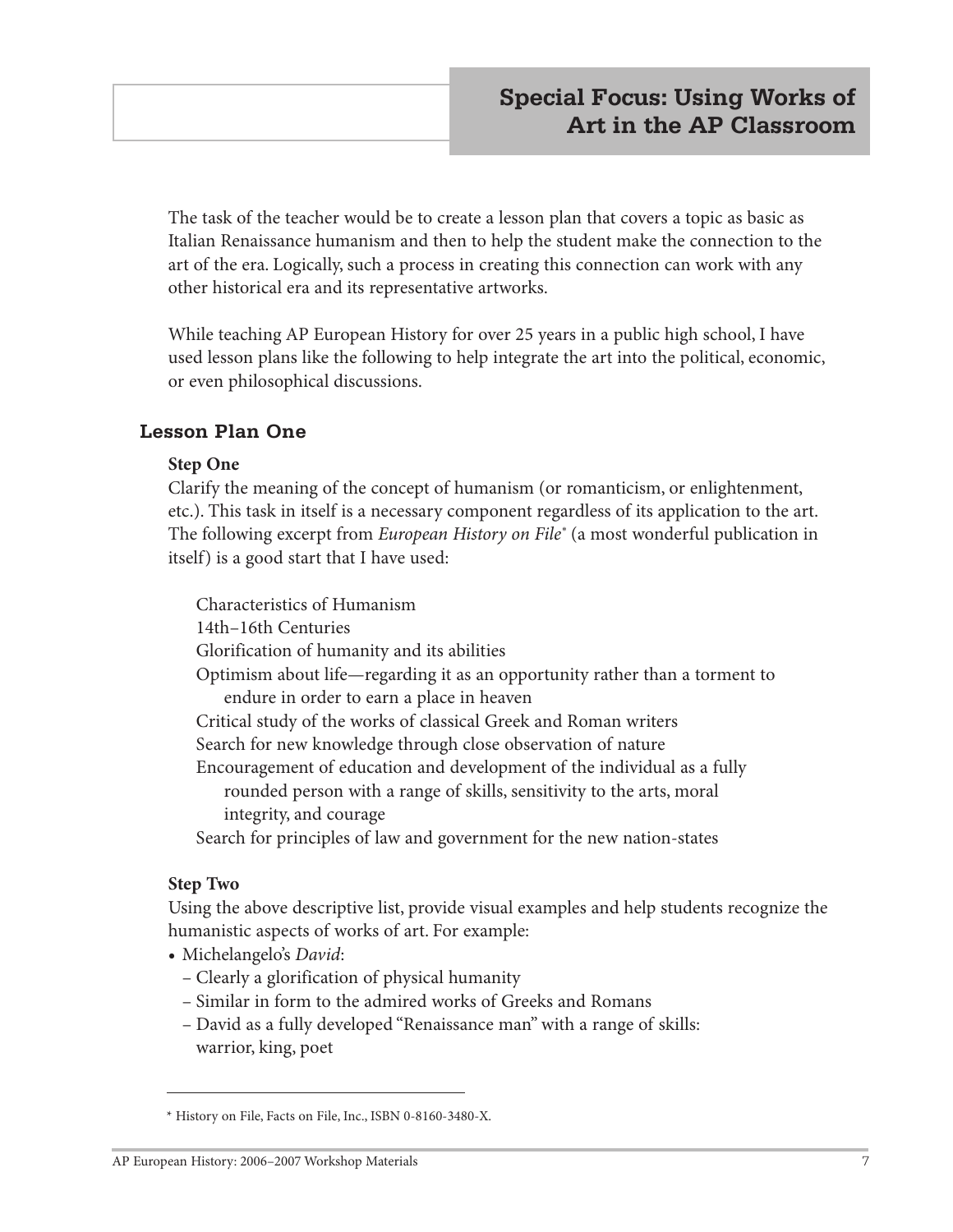The task of the teacher would be to create a lesson plan that covers a topic as basic as Italian Renaissance humanism and then to help the student make the connection to the art of the era. Logically, such a process in creating this connection can work with any other historical era and its representative artworks.

While teaching AP European History for over 25 years in a public high school, I have used lesson plans like the following to help integrate the art into the political, economic, or even philosophical discussions.

#### **Lesson Plan One**

#### **Step One**

Clarify the meaning of the concept of humanism (or romanticism, or enlightenment, etc.). This task in itself is a necessary component regardless of its application to the art. The following excerpt from *European History on File\** (a most wonderful publication in itself) is a good start that I have used:

Characteristics of Humanism 14th–16th Centuries Glorification of humanity and its abilities Optimism about life—regarding it as an opportunity rather than a torment to endure in order to earn a place in heaven Critical study of the works of classical Greek and Roman writers Search for new knowledge through close observation of nature Encouragement of education and development of the individual as a fully rounded person with a range of skills, sensitivity to the arts, moral integrity, and courage Search for principles of law and government for the new nation-states

#### **Step Two**

Using the above descriptive list, provide visual examples and help students recognize the humanistic aspects of works of art. For example:

- **•** Michelangelo's *David*:
	- Clearly a glorification of physical humanity
	- Similar in form to the admired works of Greeks and Romans
	- David as a fully developed "Renaissance man" with a range of skills: warrior, king, poet

<sup>\*</sup> History on File, Facts on File, Inc., ISBN 0-8160-3480-X.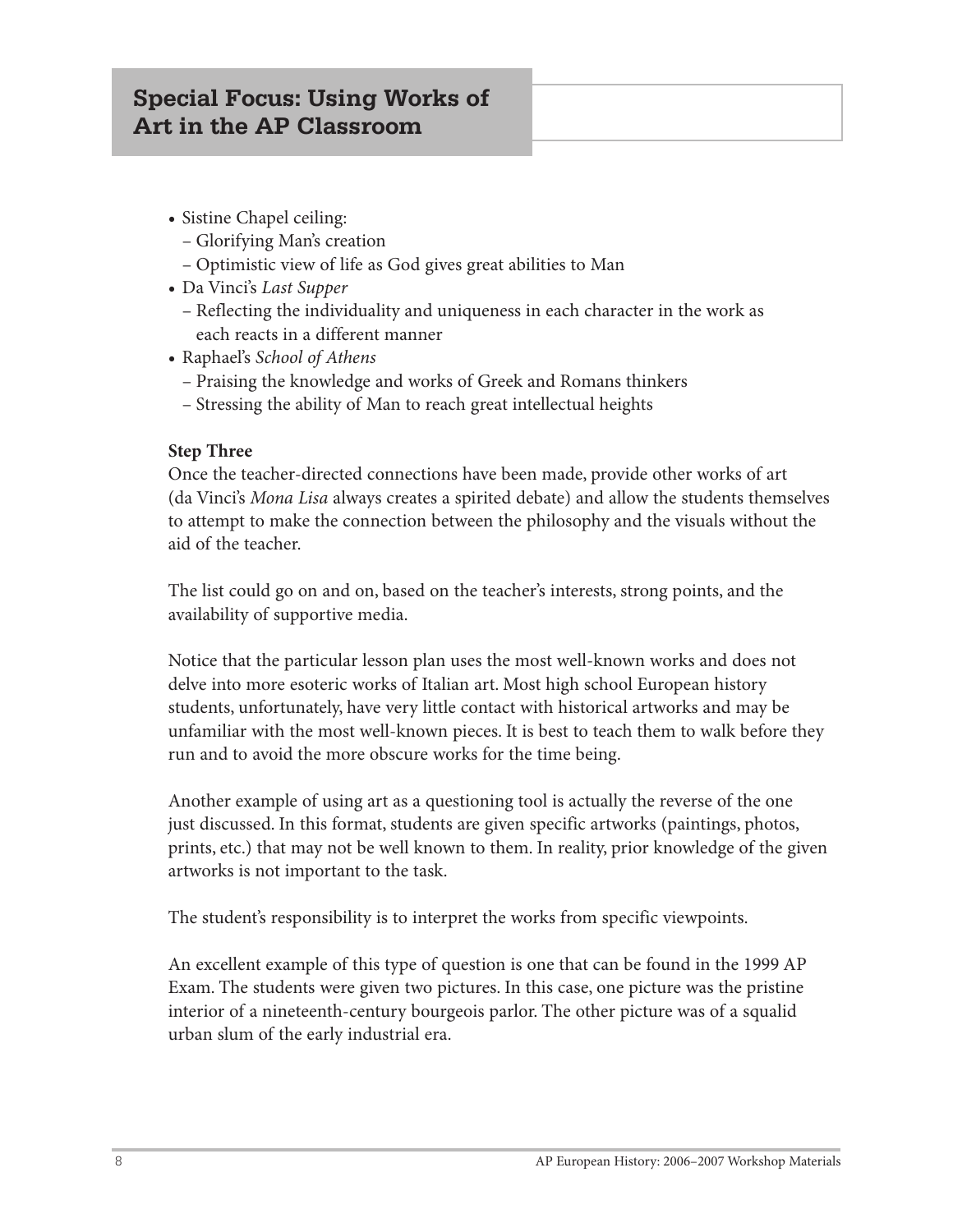# **Special Focus: Using Works of Art in the AP Classroom**

- **•** Sistine Chapel ceiling:
	- Glorifying Man's creation
	- Optimistic view of life as God gives great abilities to Man
- **•** Da Vinci's *Last Supper*
	- Reflecting the individuality and uniqueness in each character in the work as each reacts in a different manner
- **•** Raphael's *School of Athens*
	- Praising the knowledge and works of Greek and Romans thinkers
	- Stressing the ability of Man to reach great intellectual heights

#### **Step Three**

Once the teacher-directed connections have been made, provide other works of art (da Vinci's *Mona Lisa* always creates a spirited debate) and allow the students themselves to attempt to make the connection between the philosophy and the visuals without the aid of the teacher.

The list could go on and on, based on the teacher's interests, strong points, and the availability of supportive media.

Notice that the particular lesson plan uses the most well-known works and does not delve into more esoteric works of Italian art. Most high school European history students, unfortunately, have very little contact with historical artworks and may be unfamiliar with the most well-known pieces. It is best to teach them to walk before they run and to avoid the more obscure works for the time being.

Another example of using art as a questioning tool is actually the reverse of the one just discussed. In this format, students are given specific artworks (paintings, photos, prints, etc.) that may not be well known to them. In reality, prior knowledge of the given artworks is not important to the task.

The student's responsibility is to interpret the works from specific viewpoints.

An excellent example of this type of question is one that can be found in the 1999 AP Exam. The students were given two pictures. In this case, one picture was the pristine interior of a nineteenth-century bourgeois parlor. The other picture was of a squalid urban slum of the early industrial era.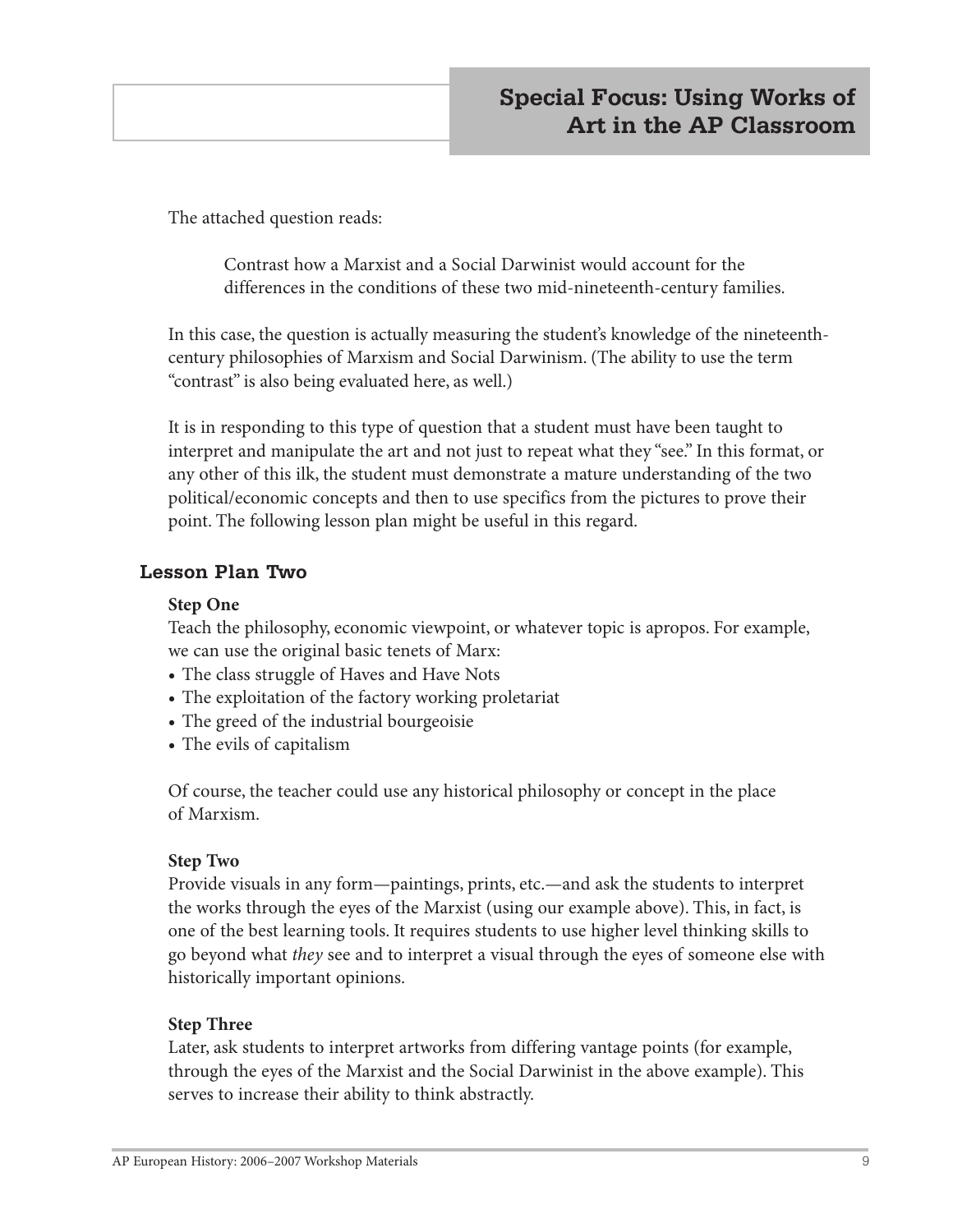The attached question reads:

Contrast how a Marxist and a Social Darwinist would account for the differences in the conditions of these two mid-nineteenth-century families.

In this case, the question is actually measuring the student's knowledge of the nineteenthcentury philosophies of Marxism and Social Darwinism. (The ability to use the term "contrast" is also being evaluated here, as well.)

It is in responding to this type of question that a student must have been taught to interpret and manipulate the art and not just to repeat what they "see." In this format, or any other of this ilk, the student must demonstrate a mature understanding of the two political/economic concepts and then to use specifics from the pictures to prove their point. The following lesson plan might be useful in this regard.

#### **Lesson Plan Two**

#### **Step One**

Teach the philosophy, economic viewpoint, or whatever topic is apropos. For example, we can use the original basic tenets of Marx:

- **•** The class struggle of Haves and Have Nots
- **•** The exploitation of the factory working proletariat
- **•** The greed of the industrial bourgeoisie
- **•** The evils of capitalism

Of course, the teacher could use any historical philosophy or concept in the place of Marxism.

#### **Step Two**

Provide visuals in any form—paintings, prints, etc.—and ask the students to interpret the works through the eyes of the Marxist (using our example above). This, in fact, is one of the best learning tools. It requires students to use higher level thinking skills to go beyond what *they* see and to interpret a visual through the eyes of someone else with historically important opinions.

#### **Step Three**

Later, ask students to interpret artworks from differing vantage points (for example, through the eyes of the Marxist and the Social Darwinist in the above example). This serves to increase their ability to think abstractly.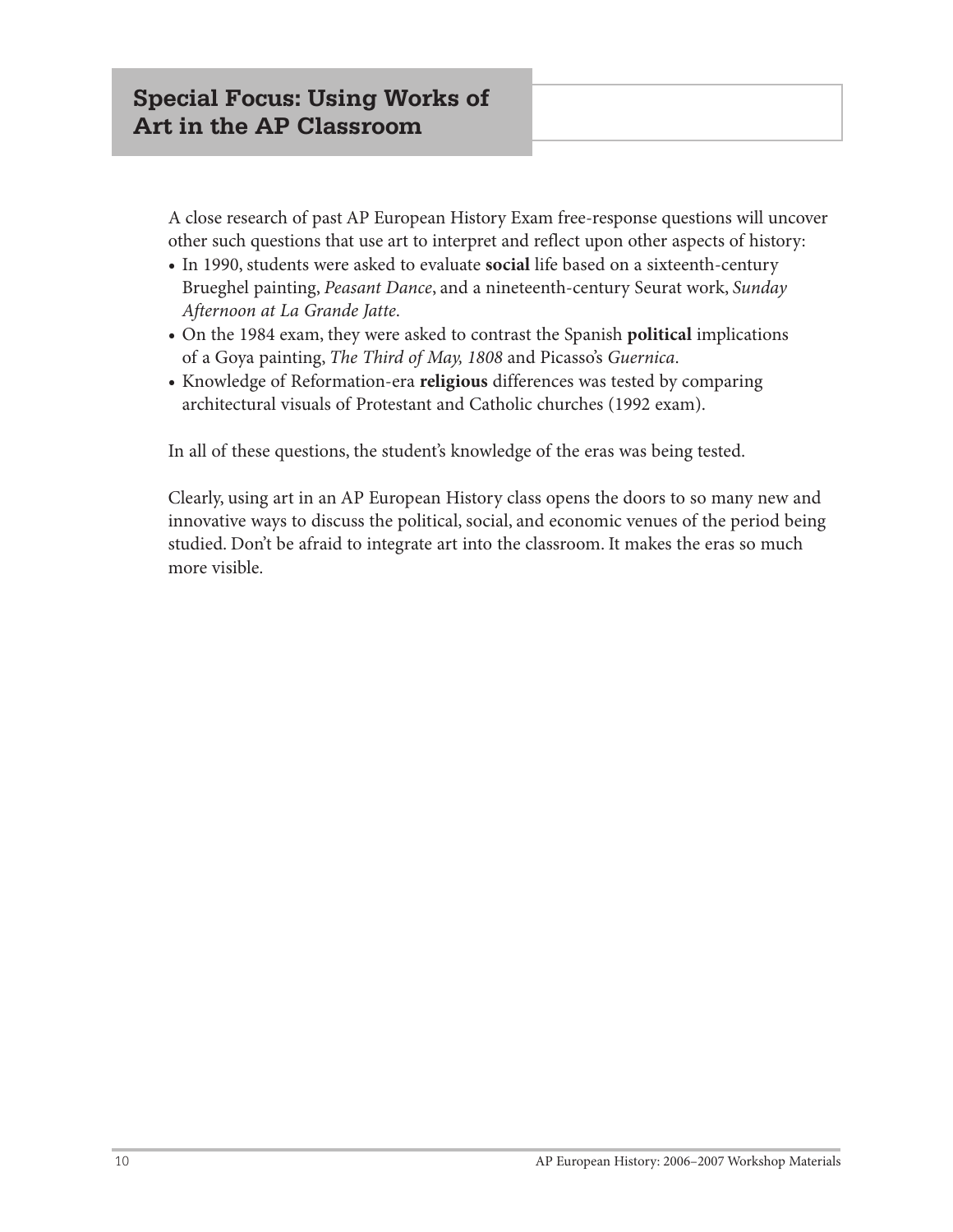A close research of past AP European History Exam free-response questions will uncover other such questions that use art to interpret and reflect upon other aspects of history:

- **•** In 1990, students were asked to evaluate **social** life based on a sixteenth-century Brueghel painting, *Peasant Dance*, and a nineteenth-century Seurat work, *Sunday Afternoon at La Grande Jatte*.
- **•** On the 1984 exam, they were asked to contrast the Spanish **political** implications of a Goya painting, *The Third of May, 1808* and Picasso's *Guernica*.
- **•** Knowledge of Reformation-era **religious** differences was tested by comparing architectural visuals of Protestant and Catholic churches (1992 exam).

In all of these questions, the student's knowledge of the eras was being tested.

Clearly, using art in an AP European History class opens the doors to so many new and innovative ways to discuss the political, social, and economic venues of the period being studied. Don't be afraid to integrate art into the classroom. It makes the eras so much more visible.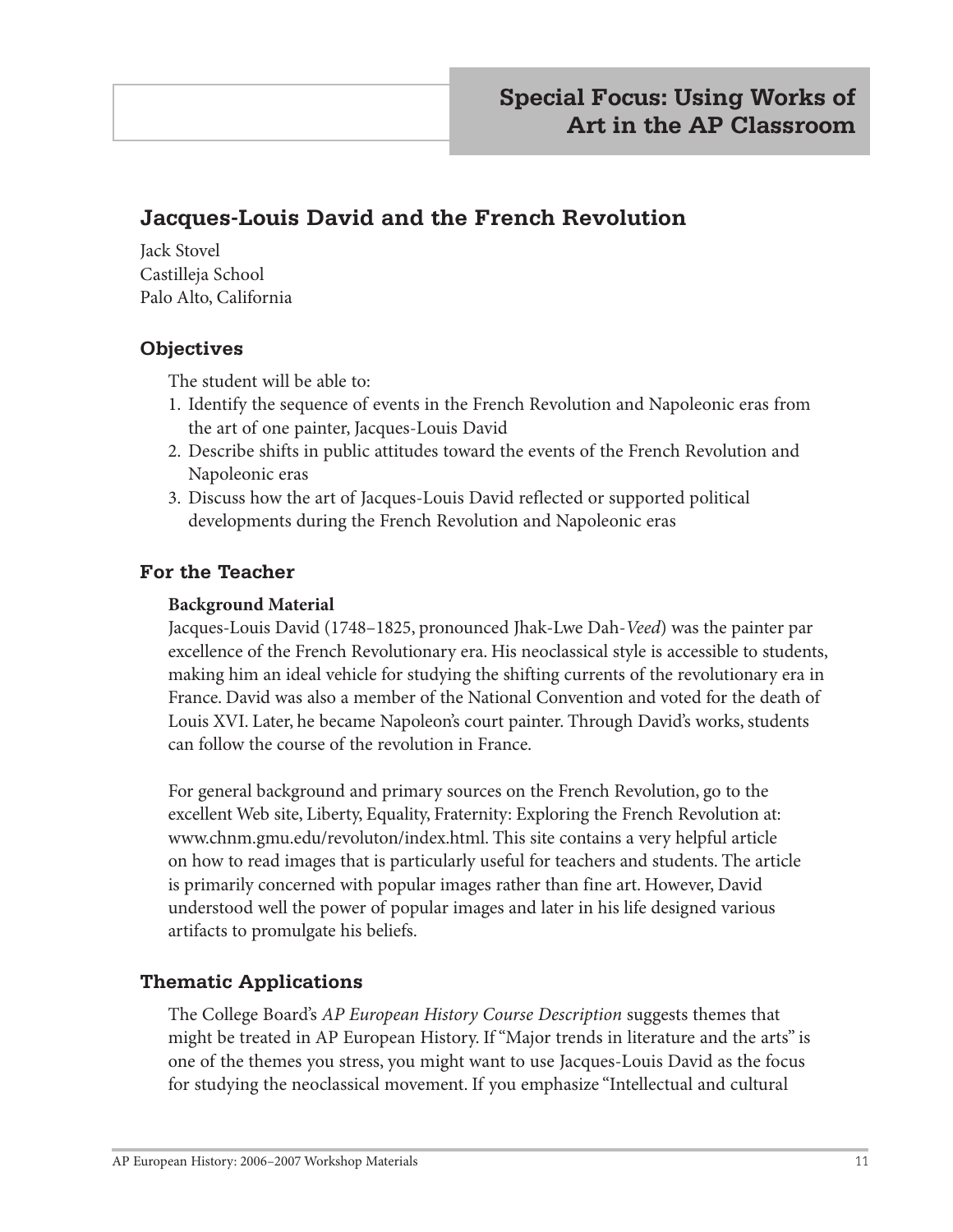# **Jacques-Louis David and the French Revolution**

Jack Stovel Castilleja School Palo Alto, California

#### **Objectives**

The student will be able to:

- 1. Identify the sequence of events in the French Revolution and Napoleonic eras from the art of one painter, Jacques-Louis David
- 2. Describe shifts in public attitudes toward the events of the French Revolution and Napoleonic eras
- 3. Discuss how the art of Jacques-Louis David reflected or supported political developments during the French Revolution and Napoleonic eras

#### **For the Teacher**

#### **Background Material**

Jacques-Louis David (1748–1825, pronounced Jhak-Lwe Dah-*Veed*) was the painter par excellence of the French Revolutionary era. His neoclassical style is accessible to students, making him an ideal vehicle for studying the shifting currents of the revolutionary era in France. David was also a member of the National Convention and voted for the death of Louis XVI. Later, he became Napoleon's court painter. Through David's works, students can follow the course of the revolution in France.

For general background and primary sources on the French Revolution, go to the excellent Web site, Liberty, Equality, Fraternity: Exploring the French Revolution at: www.chnm.gmu.edu/revoluton/index.html. This site contains a very helpful article on how to read images that is particularly useful for teachers and students. The article is primarily concerned with popular images rather than fine art. However, David understood well the power of popular images and later in his life designed various artifacts to promulgate his beliefs.

#### **Thematic Applications**

The College Board's *AP European History Course Description* suggests themes that might be treated in AP European History. If "Major trends in literature and the arts" is one of the themes you stress, you might want to use Jacques-Louis David as the focus for studying the neoclassical movement. If you emphasize "Intellectual and cultural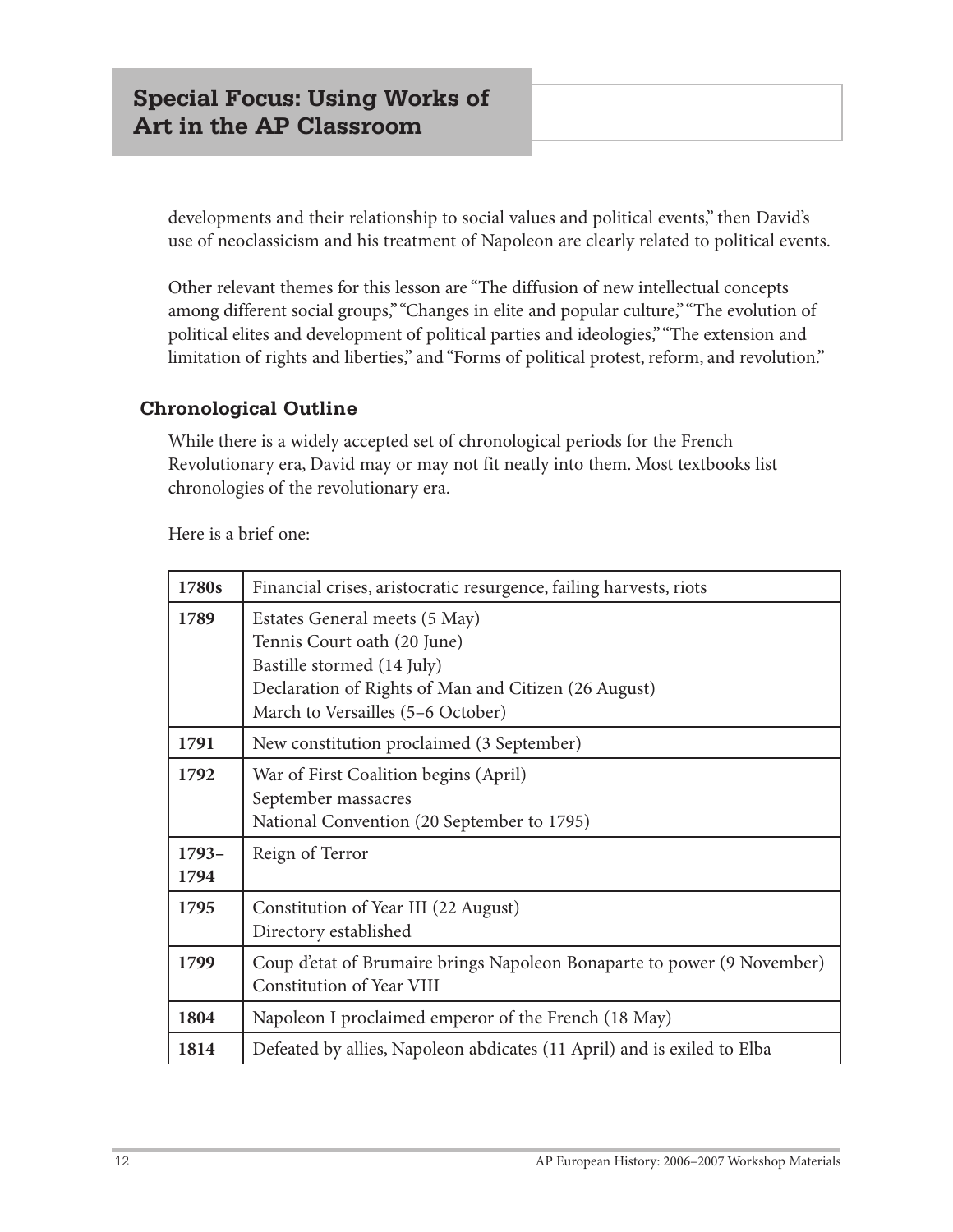developments and their relationship to social values and political events," then David's use of neoclassicism and his treatment of Napoleon are clearly related to political events.

Other relevant themes for this lesson are "The diffusion of new intellectual concepts among different social groups," "Changes in elite and popular culture," "The evolution of political elites and development of political parties and ideologies," "The extension and limitation of rights and liberties," and "Forms of political protest, reform, and revolution."

#### **Chronological Outline**

While there is a widely accepted set of chronological periods for the French Revolutionary era, David may or may not fit neatly into them. Most textbooks list chronologies of the revolutionary era.

| 1780s           | Financial crises, aristocratic resurgence, failing harvests, riots                                                                                                                      |
|-----------------|-----------------------------------------------------------------------------------------------------------------------------------------------------------------------------------------|
| 1789            | Estates General meets (5 May)<br>Tennis Court oath (20 June)<br>Bastille stormed (14 July)<br>Declaration of Rights of Man and Citizen (26 August)<br>March to Versailles (5-6 October) |
| 1791            | New constitution proclaimed (3 September)                                                                                                                                               |
| 1792<br>$1793-$ | War of First Coalition begins (April)<br>September massacres<br>National Convention (20 September to 1795)<br>Reign of Terror                                                           |
| 1794            |                                                                                                                                                                                         |
| 1795            | Constitution of Year III (22 August)<br>Directory established                                                                                                                           |
| 1799            | Coup d'etat of Brumaire brings Napoleon Bonaparte to power (9 November)<br>Constitution of Year VIII                                                                                    |
| 1804            | Napoleon I proclaimed emperor of the French (18 May)                                                                                                                                    |
| 1814            | Defeated by allies, Napoleon abdicates (11 April) and is exiled to Elba                                                                                                                 |

Here is a brief one: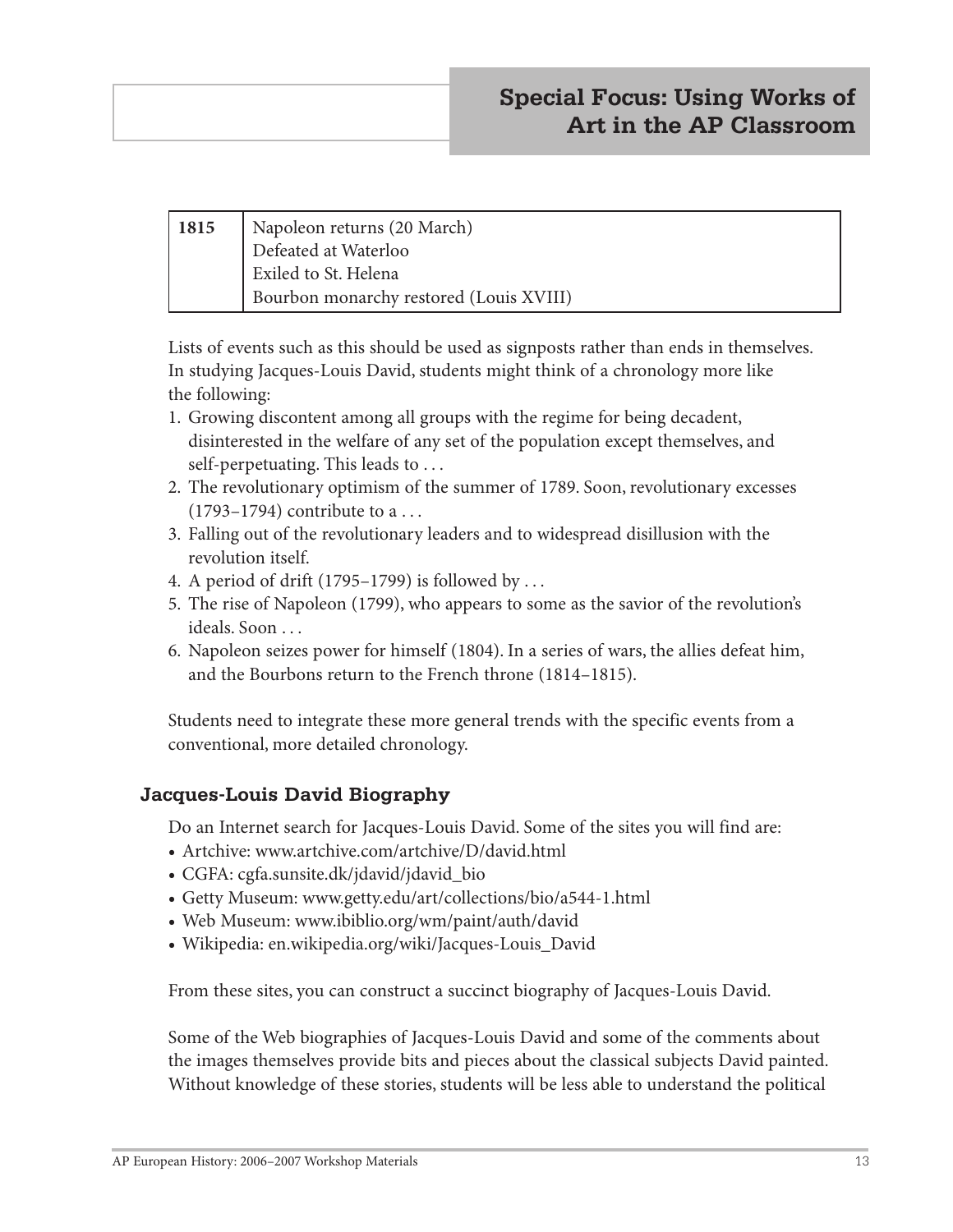| 1815 | Napoleon returns (20 March)             |
|------|-----------------------------------------|
|      | Defeated at Waterloo                    |
|      | Exiled to St. Helena                    |
|      | Bourbon monarchy restored (Louis XVIII) |

Lists of events such as this should be used as signposts rather than ends in themselves. In studying Jacques-Louis David, students might think of a chronology more like the following:

- 1. Growing discontent among all groups with the regime for being decadent, disinterested in the welfare of any set of the population except themselves, and self-perpetuating. This leads to . . .
- 2. The revolutionary optimism of the summer of 1789. Soon, revolutionary excesses  $(1793-1794)$  contribute to a ...
- 3. Falling out of the revolutionary leaders and to widespread disillusion with the revolution itself.
- 4. A period of drift (1795–1799) is followed by . . .
- 5. The rise of Napoleon (1799), who appears to some as the savior of the revolution's ideals. Soon . . .
- 6. Napoleon seizes power for himself (1804). In a series of wars, the allies defeat him, and the Bourbons return to the French throne (1814–1815).

Students need to integrate these more general trends with the specific events from a conventional, more detailed chronology.

#### **Jacques-Louis David Biography**

Do an Internet search for Jacques-Louis David. Some of the sites you will find are:

- Artchive: www.artchive.com/artchive/D/david.html
- **•** CGFA: cgfa.sunsite.dk/jdavid/jdavid\_bio
- **•** Getty Museum: www.getty.edu/art/collections/bio/a544-1.html
- **•** Web Museum: www.ibiblio.org/wm/paint/auth/david
- **•** Wikipedia: en.wikipedia.org/wiki/Jacques-Louis\_David

From these sites, you can construct a succinct biography of Jacques-Louis David.

Some of the Web biographies of Jacques-Louis David and some of the comments about the images themselves provide bits and pieces about the classical subjects David painted. Without knowledge of these stories, students will be less able to understand the political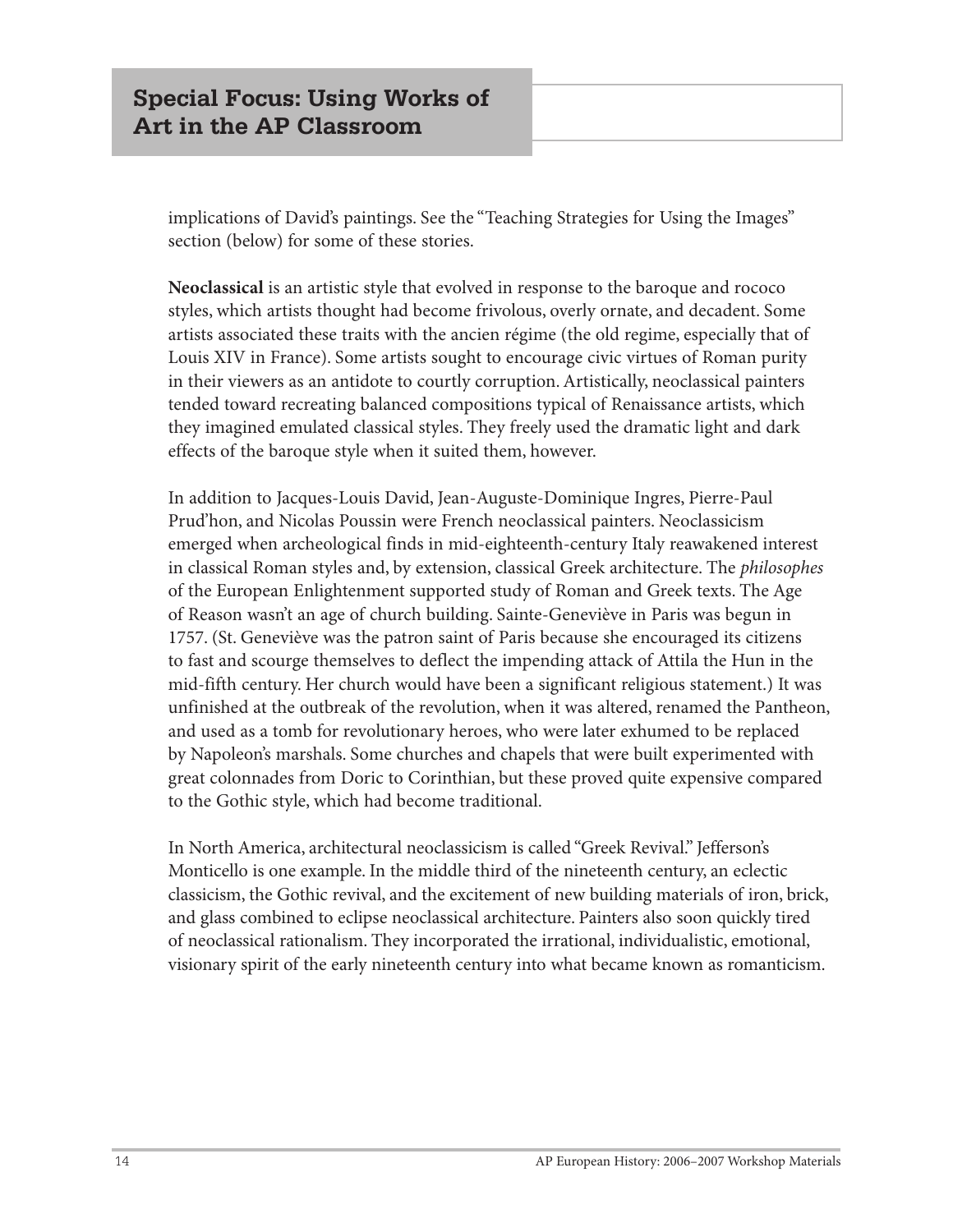implications of David's paintings. See the "Teaching Strategies for Using the Images" section (below) for some of these stories.

**Neoclassical** is an artistic style that evolved in response to the baroque and rococo styles, which artists thought had become frivolous, overly ornate, and decadent. Some artists associated these traits with the ancien régime (the old regime, especially that of Louis XIV in France). Some artists sought to encourage civic virtues of Roman purity in their viewers as an antidote to courtly corruption. Artistically, neoclassical painters tended toward recreating balanced compositions typical of Renaissance artists, which they imagined emulated classical styles. They freely used the dramatic light and dark effects of the baroque style when it suited them, however.

In addition to Jacques-Louis David, Jean-Auguste-Dominique Ingres, Pierre-Paul Prud'hon, and Nicolas Poussin were French neoclassical painters. Neoclassicism emerged when archeological finds in mid-eighteenth-century Italy reawakened interest in classical Roman styles and, by extension, classical Greek architecture. The *philosophes* of the European Enlightenment supported study of Roman and Greek texts. The Age of Reason wasn't an age of church building. Sainte-Geneviève in Paris was begun in 1757. (St. Geneviève was the patron saint of Paris because she encouraged its citizens to fast and scourge themselves to deflect the impending attack of Attila the Hun in the mid-fifth century. Her church would have been a significant religious statement.) It was unfinished at the outbreak of the revolution, when it was altered, renamed the Pantheon, and used as a tomb for revolutionary heroes, who were later exhumed to be replaced by Napoleon's marshals. Some churches and chapels that were built experimented with great colonnades from Doric to Corinthian, but these proved quite expensive compared to the Gothic style, which had become traditional.

In North America, architectural neoclassicism is called "Greek Revival." Jefferson's Monticello is one example. In the middle third of the nineteenth century, an eclectic classicism, the Gothic revival, and the excitement of new building materials of iron, brick, and glass combined to eclipse neoclassical architecture. Painters also soon quickly tired of neoclassical rationalism. They incorporated the irrational, individualistic, emotional, visionary spirit of the early nineteenth century into what became known as romanticism.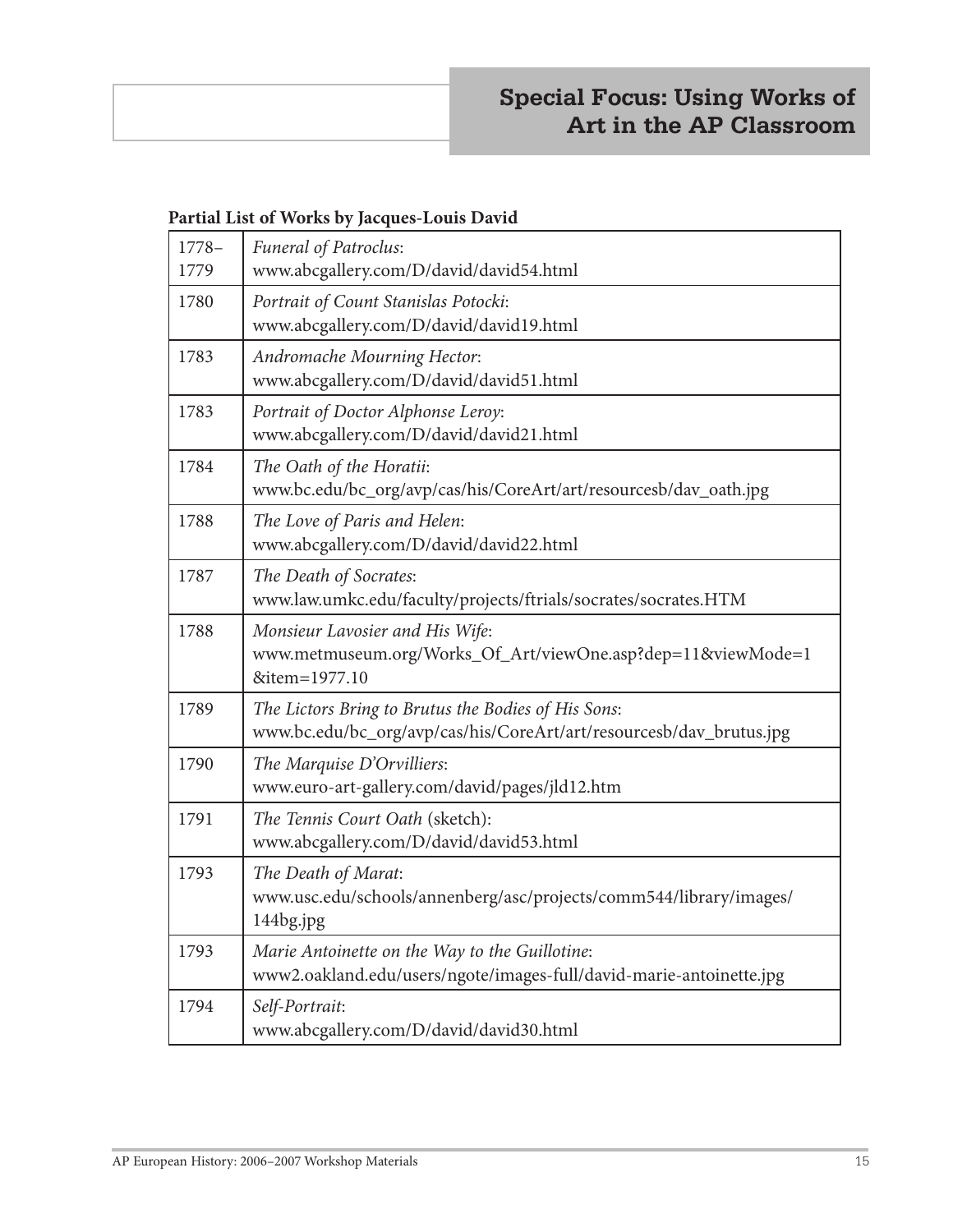#### **Partial List of Works by Jacques-Louis David**

| $1778-$<br>1779 | <b>Funeral of Patroclus:</b><br>www.abcgallery.com/D/david/david54.html                                                    |
|-----------------|----------------------------------------------------------------------------------------------------------------------------|
| 1780            | Portrait of Count Stanislas Potocki:<br>www.abcgallery.com/D/david/david19.html                                            |
| 1783            | Andromache Mourning Hector:<br>www.abcgallery.com/D/david/david51.html                                                     |
| 1783            | Portrait of Doctor Alphonse Leroy:<br>www.abcgallery.com/D/david/david21.html                                              |
| 1784            | The Oath of the Horatii:<br>www.bc.edu/bc_org/avp/cas/his/CoreArt/art/resourcesb/dav_oath.jpg                              |
| 1788            | The Love of Paris and Helen:<br>www.abcgallery.com/D/david/david22.html                                                    |
| 1787            | The Death of Socrates:<br>www.law.umkc.edu/faculty/projects/ftrials/socrates/socrates.HTM                                  |
| 1788            | Monsieur Lavosier and His Wife:<br>www.metmuseum.org/Works_Of_Art/viewOne.asp?dep=11&viewMode=1<br>&item=1977.10           |
| 1789            | The Lictors Bring to Brutus the Bodies of His Sons:<br>www.bc.edu/bc_org/avp/cas/his/CoreArt/art/resourcesb/dav_brutus.jpg |
| 1790            | The Marquise D'Orvilliers:<br>www.euro-art-gallery.com/david/pages/jld12.htm                                               |
| 1791            | The Tennis Court Oath (sketch):<br>www.abcgallery.com/D/david/david53.html                                                 |
| 1793            | The Death of Marat:<br>www.usc.edu/schools/annenberg/asc/projects/comm544/library/images/<br>144bg.jpg                     |
| 1793            | Marie Antoinette on the Way to the Guillotine:<br>www2.oakland.edu/users/ngote/images-full/david-marie-antoinette.jpg      |
| 1794            | Self-Portrait:<br>www.abcgallery.com/D/david/david30.html                                                                  |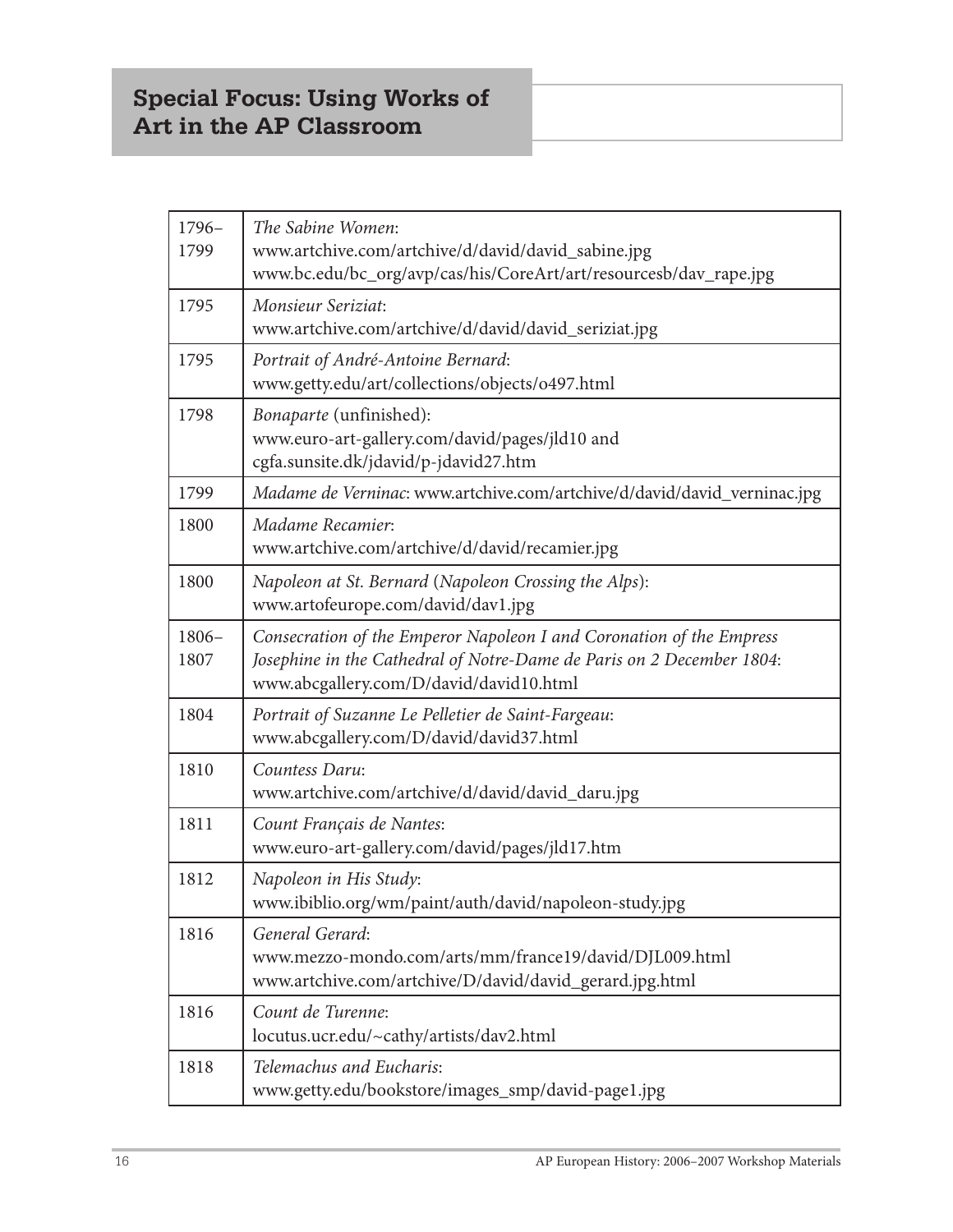# **Special Focus: Using Works of Art in the AP Classroom**

| $1796-$<br>1799  | The Sabine Women:<br>www.artchive.com/artchive/d/david/david_sabine.jpg                                                                                                                  |
|------------------|------------------------------------------------------------------------------------------------------------------------------------------------------------------------------------------|
|                  | www.bc.edu/bc_org/avp/cas/his/CoreArt/art/resourcesb/dav_rape.jpg                                                                                                                        |
| 1795             | Monsieur Seriziat:<br>www.artchive.com/artchive/d/david/david_seriziat.jpg                                                                                                               |
| 1795             | Portrait of André-Antoine Bernard:<br>www.getty.edu/art/collections/objects/o497.html                                                                                                    |
| 1798             | Bonaparte (unfinished):<br>www.euro-art-gallery.com/david/pages/jld10 and<br>cgfa.sunsite.dk/jdavid/p-jdavid27.htm                                                                       |
| 1799             | Madame de Verninac: www.artchive.com/artchive/d/david/david_verninac.jpg                                                                                                                 |
| 1800             | Madame Recamier:<br>www.artchive.com/artchive/d/david/recamier.jpg                                                                                                                       |
| 1800             | Napoleon at St. Bernard (Napoleon Crossing the Alps):<br>www.artofeurope.com/david/dav1.jpg                                                                                              |
| $1806 -$<br>1807 | Consecration of the Emperor Napoleon I and Coronation of the Empress<br>Josephine in the Cathedral of Notre-Dame de Paris on 2 December 1804:<br>www.abcgallery.com/D/david/david10.html |
| 1804             | Portrait of Suzanne Le Pelletier de Saint-Fargeau:<br>www.abcgallery.com/D/david/david37.html                                                                                            |
| 1810             | Countess Daru:<br>www.artchive.com/artchive/d/david/david_daru.jpg                                                                                                                       |
| 1811             | Count Français de Nantes:<br>www.euro-art-gallery.com/david/pages/jld17.htm                                                                                                              |
| 1812             | Napoleon in His Study:<br>www.ibiblio.org/wm/paint/auth/david/napoleon-study.jpg                                                                                                         |
| 1816             | General Gerard:<br>www.mezzo-mondo.com/arts/mm/france19/david/DJL009.html<br>www.artchive.com/artchive/D/david/david_gerard.jpg.html                                                     |
| 1816             | Count de Turenne:<br>locutus.ucr.edu/~cathy/artists/dav2.html                                                                                                                            |
| 1818             | Telemachus and Eucharis:<br>www.getty.edu/bookstore/images_smp/david-page1.jpg                                                                                                           |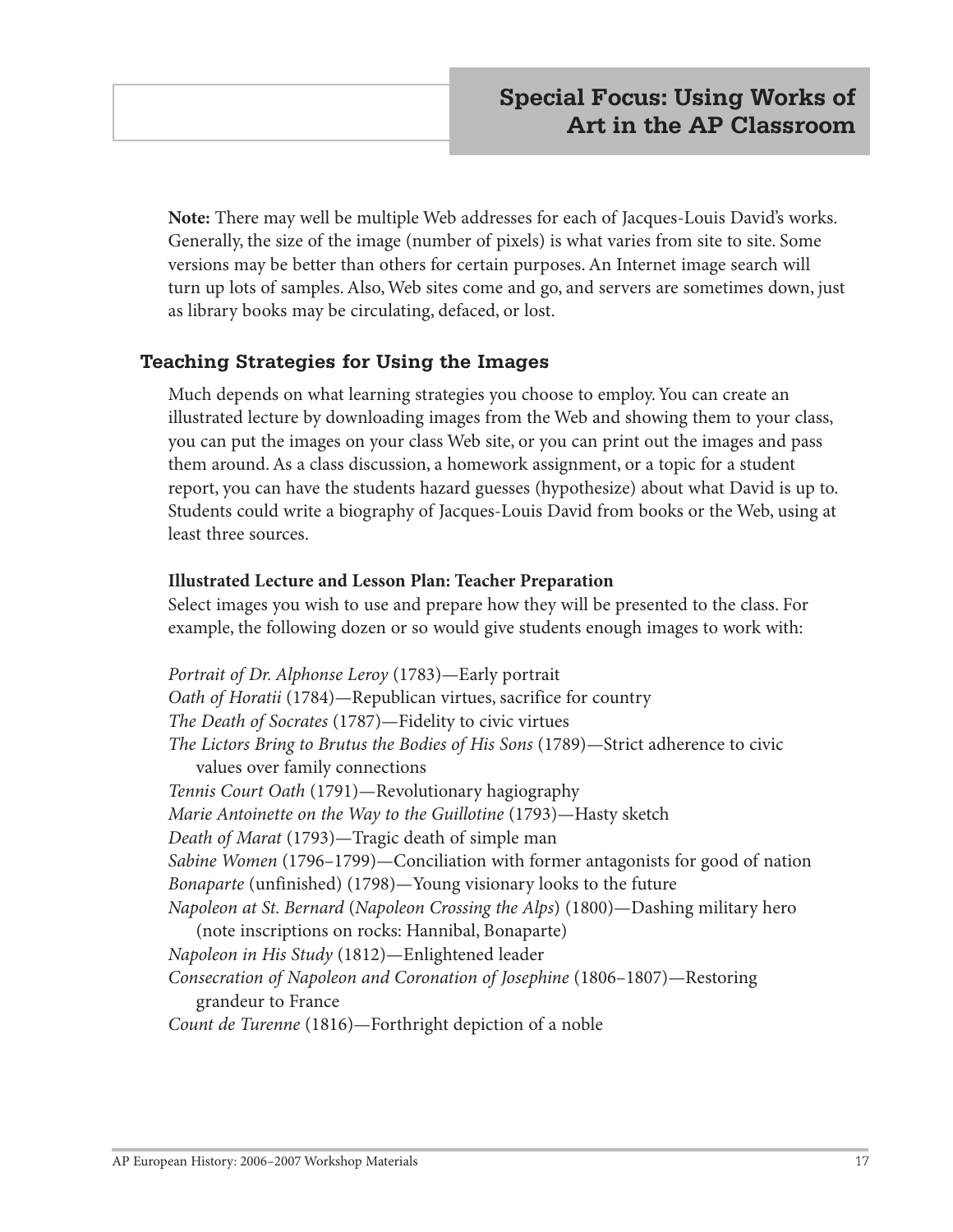**Note:** There may well be multiple Web addresses for each of Jacques-Louis David's works. Generally, the size of the image (number of pixels) is what varies from site to site. Some versions may be better than others for certain purposes. An Internet image search will turn up lots of samples. Also, Web sites come and go, and servers are sometimes down, just as library books may be circulating, defaced, or lost.

#### **Teaching Strategies for Using the Images**

Much depends on what learning strategies you choose to employ. You can create an illustrated lecture by downloading images from the Web and showing them to your class, you can put the images on your class Web site, or you can print out the images and pass them around. As a class discussion, a homework assignment, or a topic for a student report, you can have the students hazard guesses (hypothesize) about what David is up to. Students could write a biography of Jacques-Louis David from books or the Web, using at least three sources.

#### **Illustrated Lecture and Lesson Plan: Teacher Preparation**

Select images you wish to use and prepare how they will be presented to the class. For example, the following dozen or so would give students enough images to work with:

*Portrait of Dr. Alphonse Leroy* (1783)—Early portrait *Oath of Horatii* (1784)—Republican virtues, sacrifice for country *The Death of Socrates* (1787)—Fidelity to civic virtues *The Lictors Bring to Brutus the Bodies of His Sons* (1789)—Strict adherence to civic values over family connections *Tennis Court Oath* (1791)—Revolutionary hagiography *Marie Antoinette on the Way to the Guillotine* (1793)—Hasty sketch *Death of Marat* (1793)—Tragic death of simple man *Sabine Women* (1796–1799)—Conciliation with former antagonists for good of nation *Bonaparte* (unfinished) (1798)—Young visionary looks to the future *Napoleon at St. Bernard* (*Napoleon Crossing the Alps*) (1800)—Dashing military hero (note inscriptions on rocks: Hannibal, Bonaparte) *Napoleon in His Study* (1812)—Enlightened leader *Consecration of Napoleon and Coronation of Josephine* (1806–1807)—Restoring grandeur to France *Count de Turenne* (1816)—Forthright depiction of a noble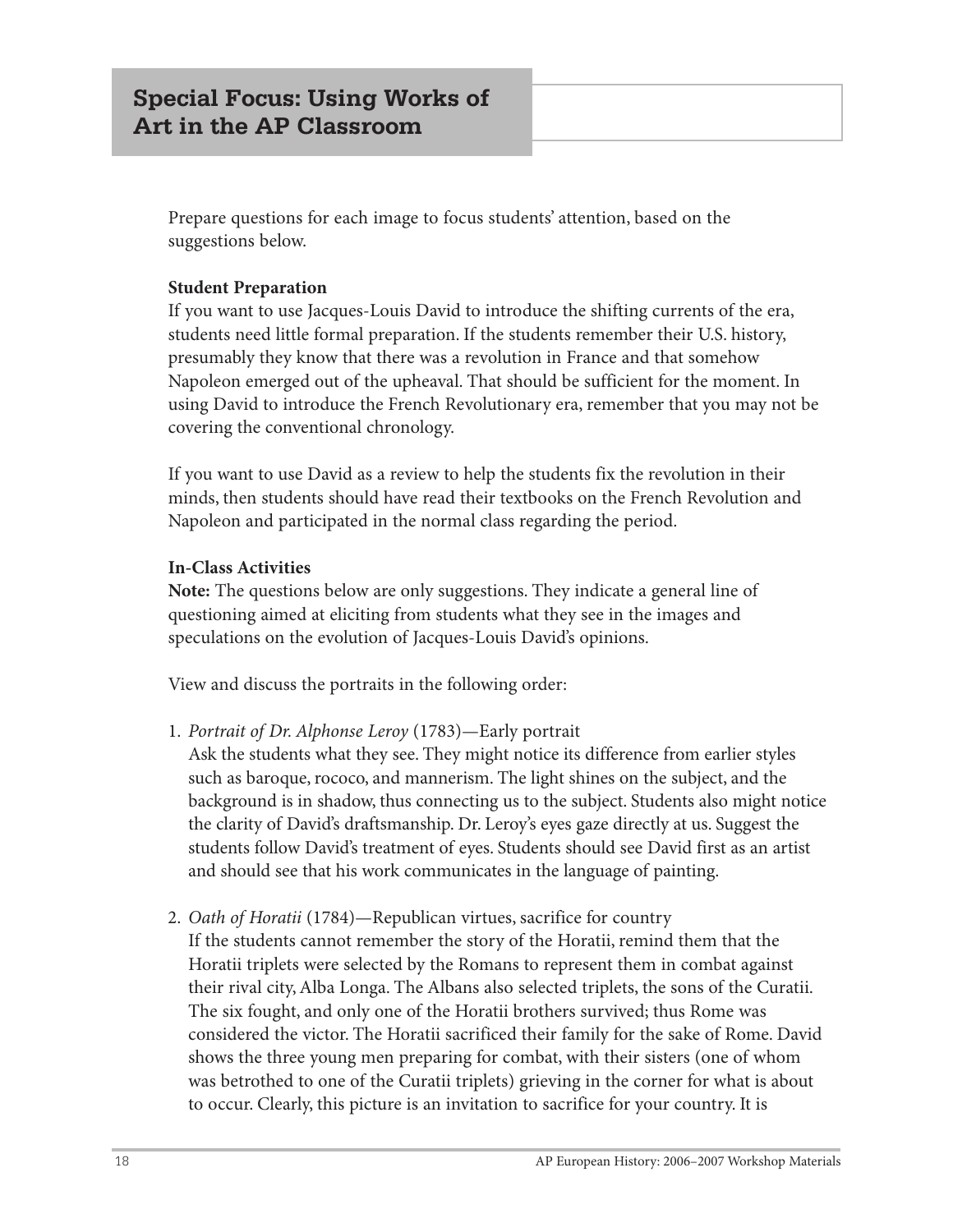Prepare questions for each image to focus students' attention, based on the suggestions below.

#### **Student Preparation**

If you want to use Jacques-Louis David to introduce the shifting currents of the era, students need little formal preparation. If the students remember their U.S. history, presumably they know that there was a revolution in France and that somehow Napoleon emerged out of the upheaval. That should be sufficient for the moment. In using David to introduce the French Revolutionary era, remember that you may not be covering the conventional chronology.

If you want to use David as a review to help the students fix the revolution in their minds, then students should have read their textbooks on the French Revolution and Napoleon and participated in the normal class regarding the period.

#### **In-Class Activities**

**Note:** The questions below are only suggestions. They indicate a general line of questioning aimed at eliciting from students what they see in the images and speculations on the evolution of Jacques-Louis David's opinions.

View and discuss the portraits in the following order:

1. *Portrait of Dr. Alphonse Leroy* (1783)—Early portrait

Ask the students what they see. They might notice its difference from earlier styles such as baroque, rococo, and mannerism. The light shines on the subject, and the background is in shadow, thus connecting us to the subject. Students also might notice the clarity of David's draftsmanship. Dr. Leroy's eyes gaze directly at us. Suggest the students follow David's treatment of eyes. Students should see David first as an artist and should see that his work communicates in the language of painting.

2. *Oath of Horatii* (1784)—Republican virtues, sacrifice for country If the students cannot remember the story of the Horatii, remind them that the Horatii triplets were selected by the Romans to represent them in combat against their rival city, Alba Longa. The Albans also selected triplets, the sons of the Curatii. The six fought, and only one of the Horatii brothers survived; thus Rome was considered the victor. The Horatii sacrificed their family for the sake of Rome. David shows the three young men preparing for combat, with their sisters (one of whom was betrothed to one of the Curatii triplets) grieving in the corner for what is about to occur. Clearly, this picture is an invitation to sacrifice for your country. It is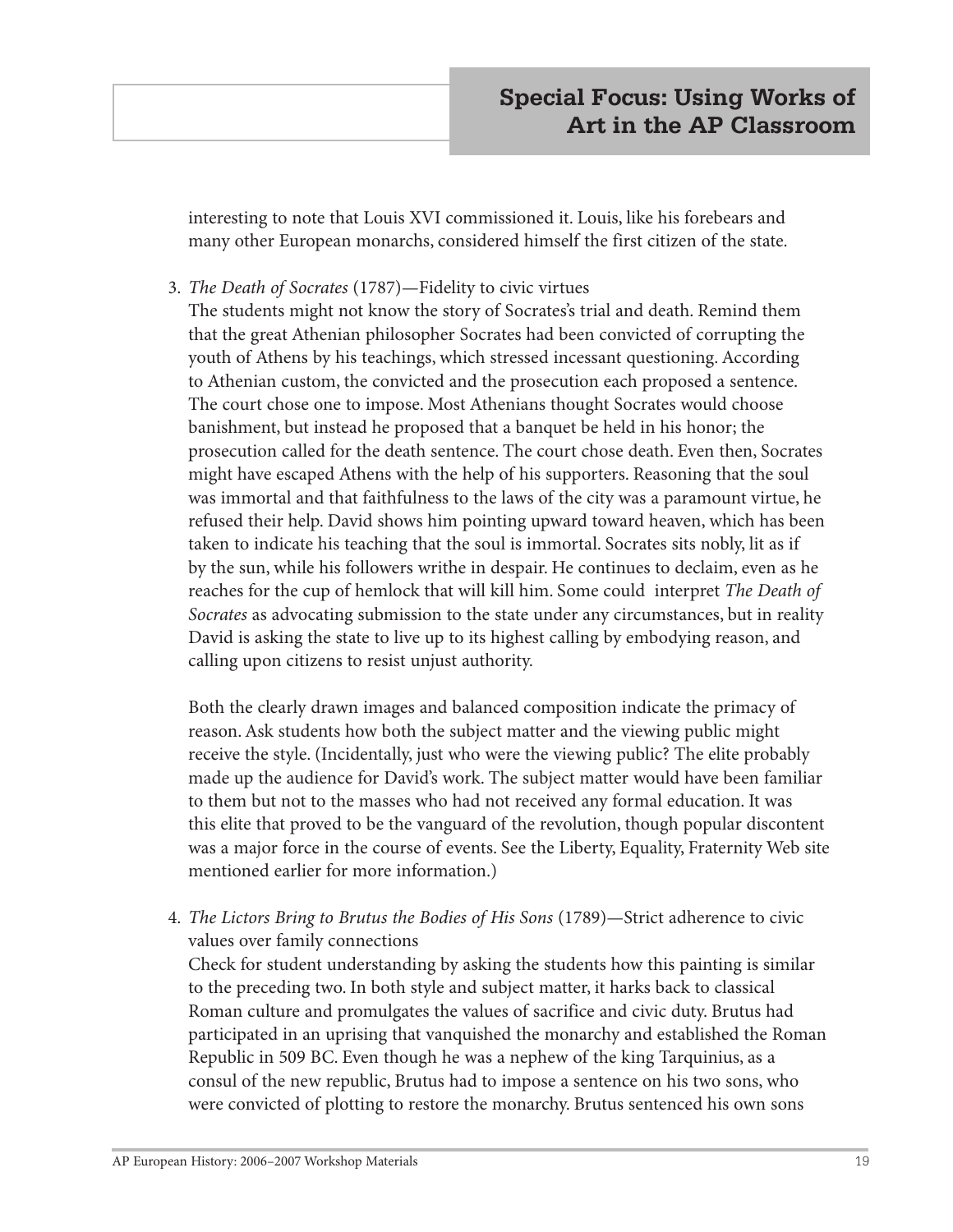interesting to note that Louis XVI commissioned it. Louis, like his forebears and many other European monarchs, considered himself the first citizen of the state.

3. *The Death of Socrates* (1787)—Fidelity to civic virtues

The students might not know the story of Socrates's trial and death. Remind them that the great Athenian philosopher Socrates had been convicted of corrupting the youth of Athens by his teachings, which stressed incessant questioning. According to Athenian custom, the convicted and the prosecution each proposed a sentence. The court chose one to impose. Most Athenians thought Socrates would choose banishment, but instead he proposed that a banquet be held in his honor; the prosecution called for the death sentence. The court chose death. Even then, Socrates might have escaped Athens with the help of his supporters. Reasoning that the soul was immortal and that faithfulness to the laws of the city was a paramount virtue, he refused their help. David shows him pointing upward toward heaven, which has been taken to indicate his teaching that the soul is immortal. Socrates sits nobly, lit as if by the sun, while his followers writhe in despair. He continues to declaim, even as he reaches for the cup of hemlock that will kill him. Some could interpret *The Death of Socrates* as advocating submission to the state under any circumstances, but in reality David is asking the state to live up to its highest calling by embodying reason, and calling upon citizens to resist unjust authority.

Both the clearly drawn images and balanced composition indicate the primacy of reason. Ask students how both the subject matter and the viewing public might receive the style. (Incidentally, just who were the viewing public? The elite probably made up the audience for David's work. The subject matter would have been familiar to them but not to the masses who had not received any formal education. It was this elite that proved to be the vanguard of the revolution, though popular discontent was a major force in the course of events. See the Liberty, Equality, Fraternity Web site mentioned earlier for more information.)

4. *The Lictors Bring to Brutus the Bodies of His Sons* (1789)—Strict adherence to civic values over family connections

Check for student understanding by asking the students how this painting is similar to the preceding two. In both style and subject matter, it harks back to classical Roman culture and promulgates the values of sacrifice and civic duty. Brutus had participated in an uprising that vanquished the monarchy and established the Roman Republic in 509 BC. Even though he was a nephew of the king Tarquinius, as a consul of the new republic, Brutus had to impose a sentence on his two sons, who were convicted of plotting to restore the monarchy. Brutus sentenced his own sons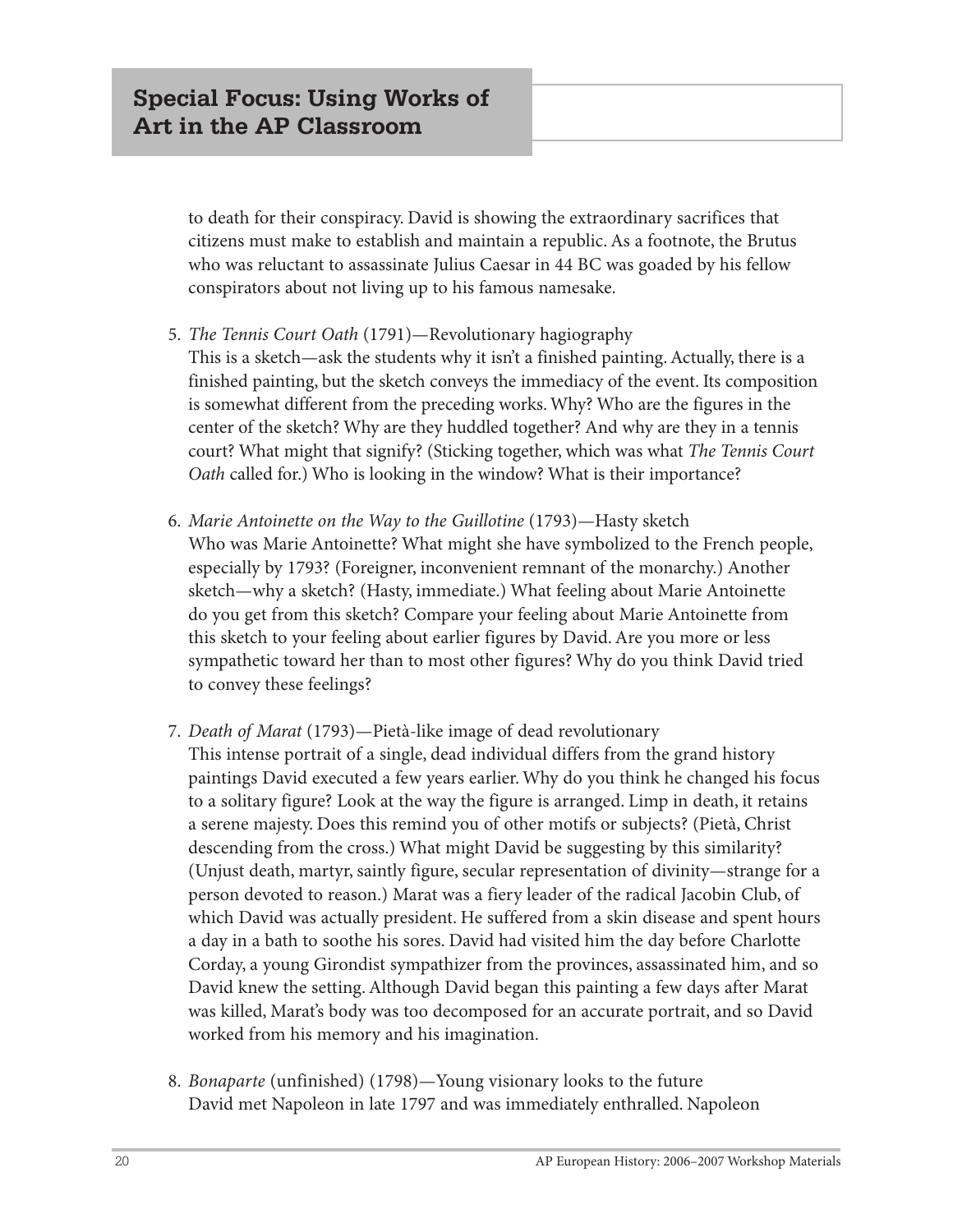to death for their conspiracy. David is showing the extraordinary sacrifices that citizens must make to establish and maintain a republic. As a footnote, the Brutus who was reluctant to assassinate Julius Caesar in 44 BC was goaded by his fellow conspirators about not living up to his famous namesake.

5. *The Tennis Court Oath* (1791)—Revolutionary hagiography

This is a sketch—ask the students why it isn't a finished painting. Actually, there is a finished painting, but the sketch conveys the immediacy of the event. Its composition is somewhat different from the preceding works. Why? Who are the figures in the center of the sketch? Why are they huddled together? And why are they in a tennis court? What might that signify? (Sticking together, which was what *The Tennis Court Oath* called for.) Who is looking in the window? What is their importance?

- 6. *Marie Antoinette on the Way to the Guillotine* (1793)—Hasty sketch Who was Marie Antoinette? What might she have symbolized to the French people, especially by 1793? (Foreigner, inconvenient remnant of the monarchy.) Another sketch—why a sketch? (Hasty, immediate.) What feeling about Marie Antoinette do you get from this sketch? Compare your feeling about Marie Antoinette from this sketch to your feeling about earlier figures by David. Are you more or less sympathetic toward her than to most other figures? Why do you think David tried to convey these feelings?
- 7. *Death of Marat* (1793)—Pietà-like image of dead revolutionary This intense portrait of a single, dead individual differs from the grand history paintings David executed a few years earlier. Why do you think he changed his focus to a solitary figure? Look at the way the figure is arranged. Limp in death, it retains a serene majesty. Does this remind you of other motifs or subjects? (Pietà, Christ descending from the cross.) What might David be suggesting by this similarity? (Unjust death, martyr, saintly figure, secular representation of divinity—strange for a person devoted to reason.) Marat was a fiery leader of the radical Jacobin Club, of which David was actually president. He suffered from a skin disease and spent hours a day in a bath to soothe his sores. David had visited him the day before Charlotte Corday, a young Girondist sympathizer from the provinces, assassinated him, and so David knew the setting. Although David began this painting a few days after Marat was killed, Marat's body was too decomposed for an accurate portrait, and so David worked from his memory and his imagination.
- 8. *Bonaparte* (unfinished) (1798)—Young visionary looks to the future David met Napoleon in late 1797 and was immediately enthralled. Napoleon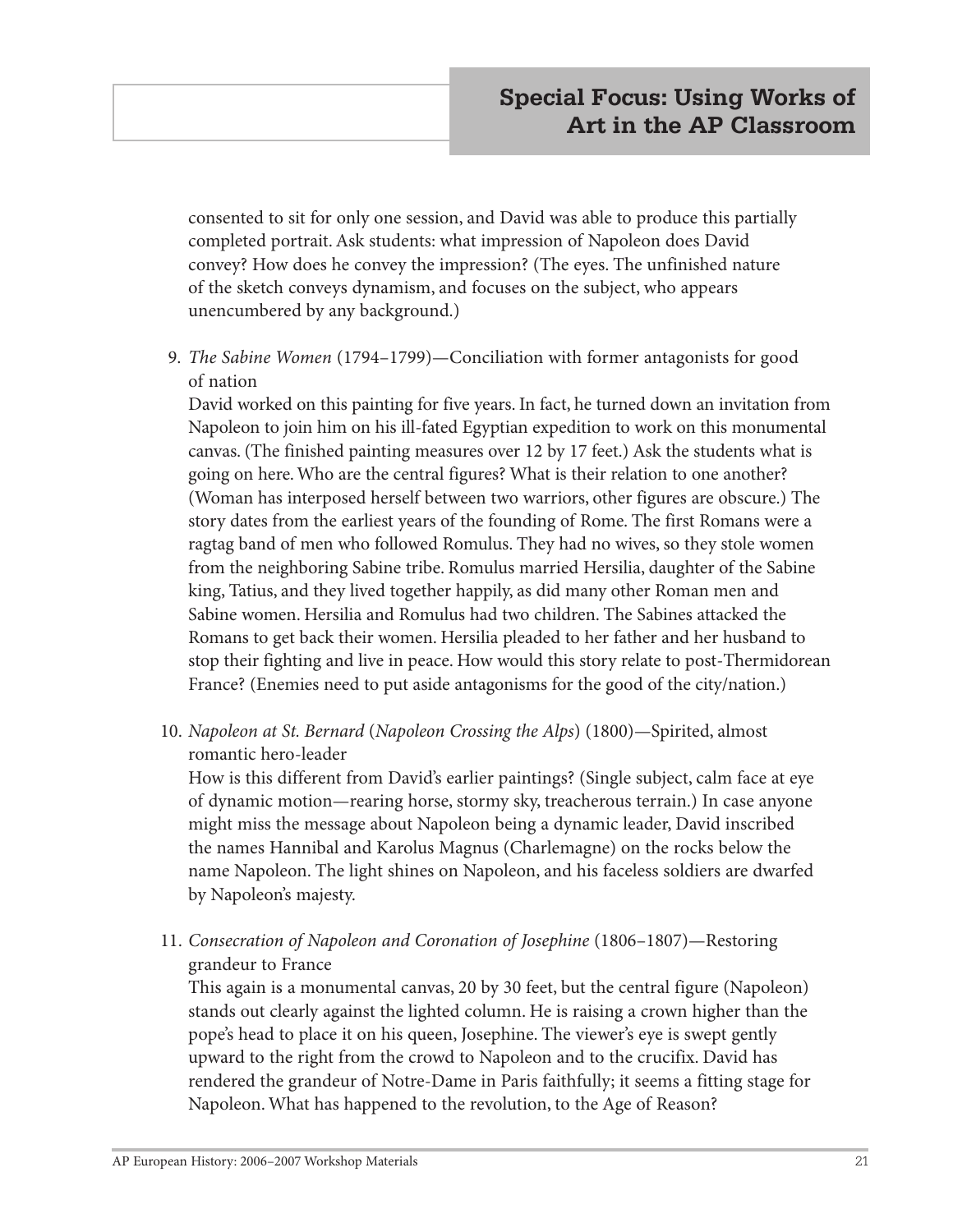consented to sit for only one session, and David was able to produce this partially completed portrait. Ask students: what impression of Napoleon does David convey? How does he convey the impression? (The eyes. The unfinished nature of the sketch conveys dynamism, and focuses on the subject, who appears unencumbered by any background.)

9. *The Sabine Women* (1794–1799)—Conciliation with former antagonists for good of nation

David worked on this painting for five years. In fact, he turned down an invitation from Napoleon to join him on his ill-fated Egyptian expedition to work on this monumental canvas. (The finished painting measures over 12 by 17 feet.) Ask the students what is going on here. Who are the central figures? What is their relation to one another? (Woman has interposed herself between two warriors, other figures are obscure.) The story dates from the earliest years of the founding of Rome. The first Romans were a ragtag band of men who followed Romulus. They had no wives, so they stole women from the neighboring Sabine tribe. Romulus married Hersilia, daughter of the Sabine king, Tatius, and they lived together happily, as did many other Roman men and Sabine women. Hersilia and Romulus had two children. The Sabines attacked the Romans to get back their women. Hersilia pleaded to her father and her husband to stop their fighting and live in peace. How would this story relate to post-Thermidorean France? (Enemies need to put aside antagonisms for the good of the city/nation.)

10. *Napoleon at St. Bernard* (*Napoleon Crossing the Alps*) (1800)—Spirited, almost romantic hero-leader

How is this different from David's earlier paintings? (Single subject, calm face at eye of dynamic motion—rearing horse, stormy sky, treacherous terrain.) In case anyone might miss the message about Napoleon being a dynamic leader, David inscribed the names Hannibal and Karolus Magnus (Charlemagne) on the rocks below the name Napoleon. The light shines on Napoleon, and his faceless soldiers are dwarfed by Napoleon's majesty.

11. *Consecration of Napoleon and Coronation of Josephine* (1806–1807)—Restoring grandeur to France

This again is a monumental canvas, 20 by 30 feet, but the central figure (Napoleon) stands out clearly against the lighted column. He is raising a crown higher than the pope's head to place it on his queen, Josephine. The viewer's eye is swept gently upward to the right from the crowd to Napoleon and to the crucifix. David has rendered the grandeur of Notre-Dame in Paris faithfully; it seems a fitting stage for Napoleon. What has happened to the revolution, to the Age of Reason?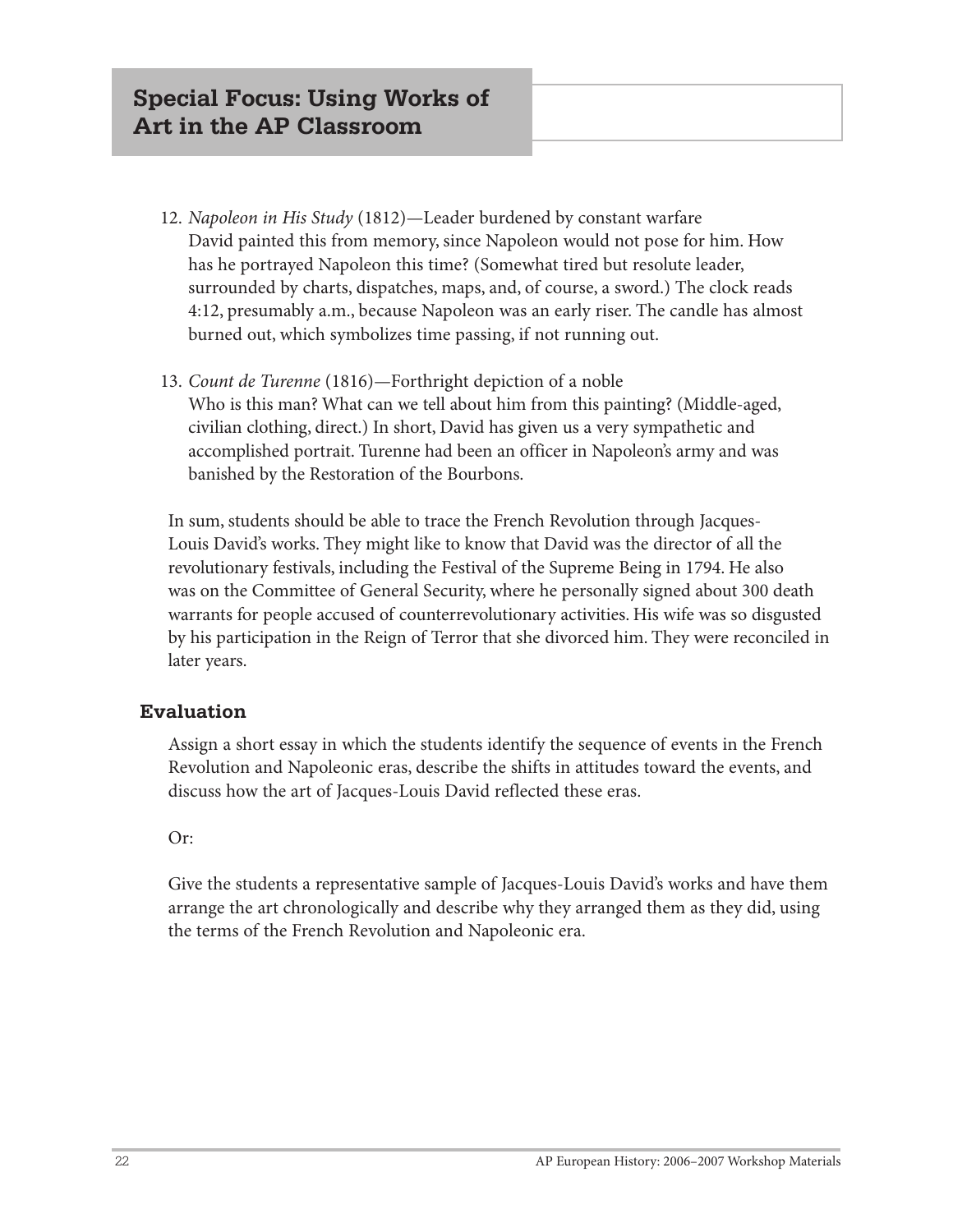- 12. *Napoleon in His Study* (1812)—Leader burdened by constant warfare David painted this from memory, since Napoleon would not pose for him. How has he portrayed Napoleon this time? (Somewhat tired but resolute leader, surrounded by charts, dispatches, maps, and, of course, a sword.) The clock reads 4:12, presumably a.m., because Napoleon was an early riser. The candle has almost burned out, which symbolizes time passing, if not running out.
- 13. *Count de Turenne* (1816)—Forthright depiction of a noble Who is this man? What can we tell about him from this painting? (Middle-aged, civilian clothing, direct.) In short, David has given us a very sympathetic and accomplished portrait. Turenne had been an officer in Napoleon's army and was banished by the Restoration of the Bourbons.

In sum, students should be able to trace the French Revolution through Jacques-Louis David's works. They might like to know that David was the director of all the revolutionary festivals, including the Festival of the Supreme Being in 1794. He also was on the Committee of General Security, where he personally signed about 300 death warrants for people accused of counterrevolutionary activities. His wife was so disgusted by his participation in the Reign of Terror that she divorced him. They were reconciled in later years.

#### **Evaluation**

Assign a short essay in which the students identify the sequence of events in the French Revolution and Napoleonic eras, describe the shifts in attitudes toward the events, and discuss how the art of Jacques-Louis David reflected these eras.

#### Or:

Give the students a representative sample of Jacques-Louis David's works and have them arrange the art chronologically and describe why they arranged them as they did, using the terms of the French Revolution and Napoleonic era.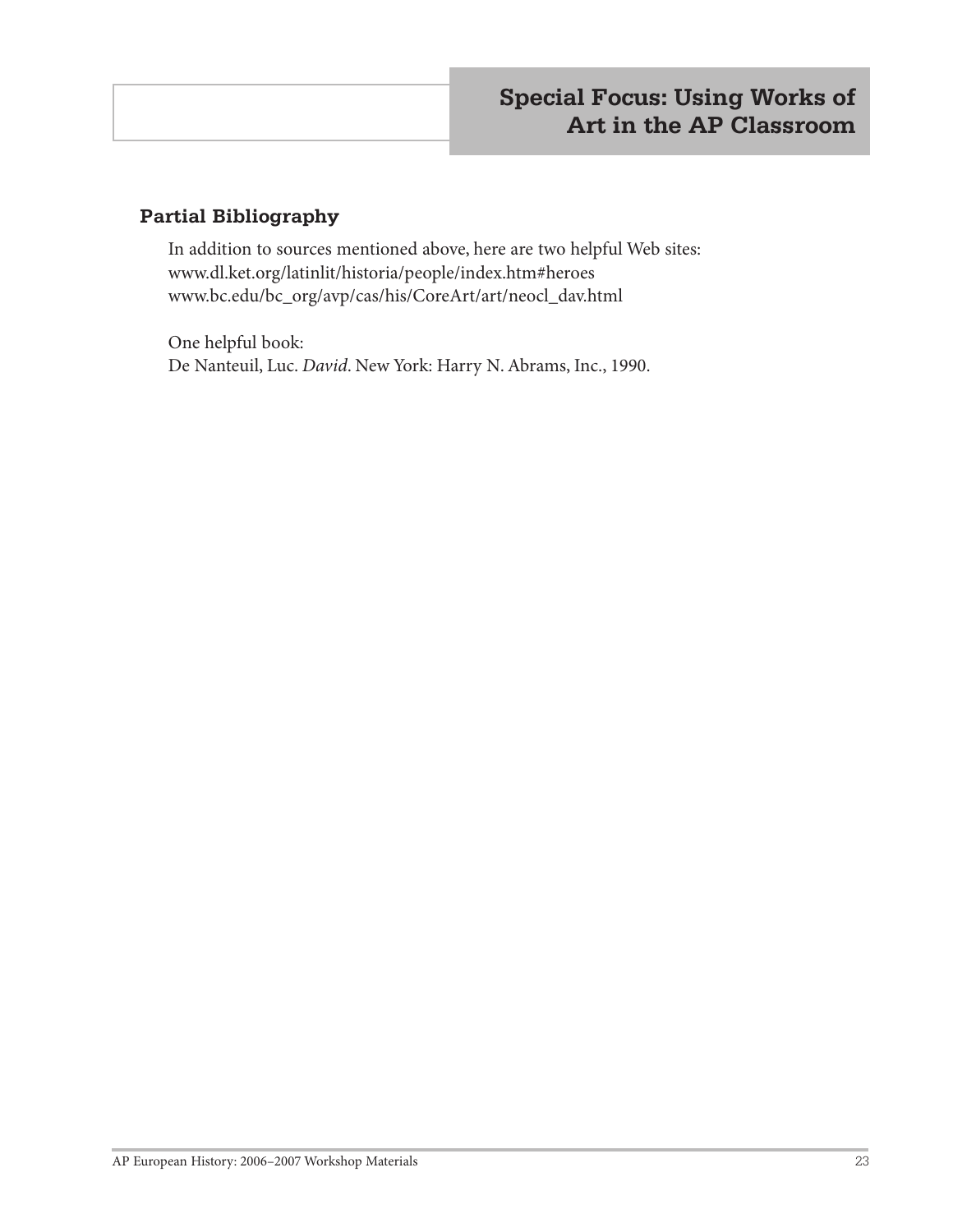#### **Partial Bibliography**

In addition to sources mentioned above, here are two helpful Web sites: www.dl.ket.org/latinlit/historia/people/index.htm#heroes www.bc.edu/bc\_org/avp/cas/his/CoreArt/art/neocl\_dav.html

One helpful book: De Nanteuil, Luc. *David*. New York: Harry N. Abrams, Inc., 1990.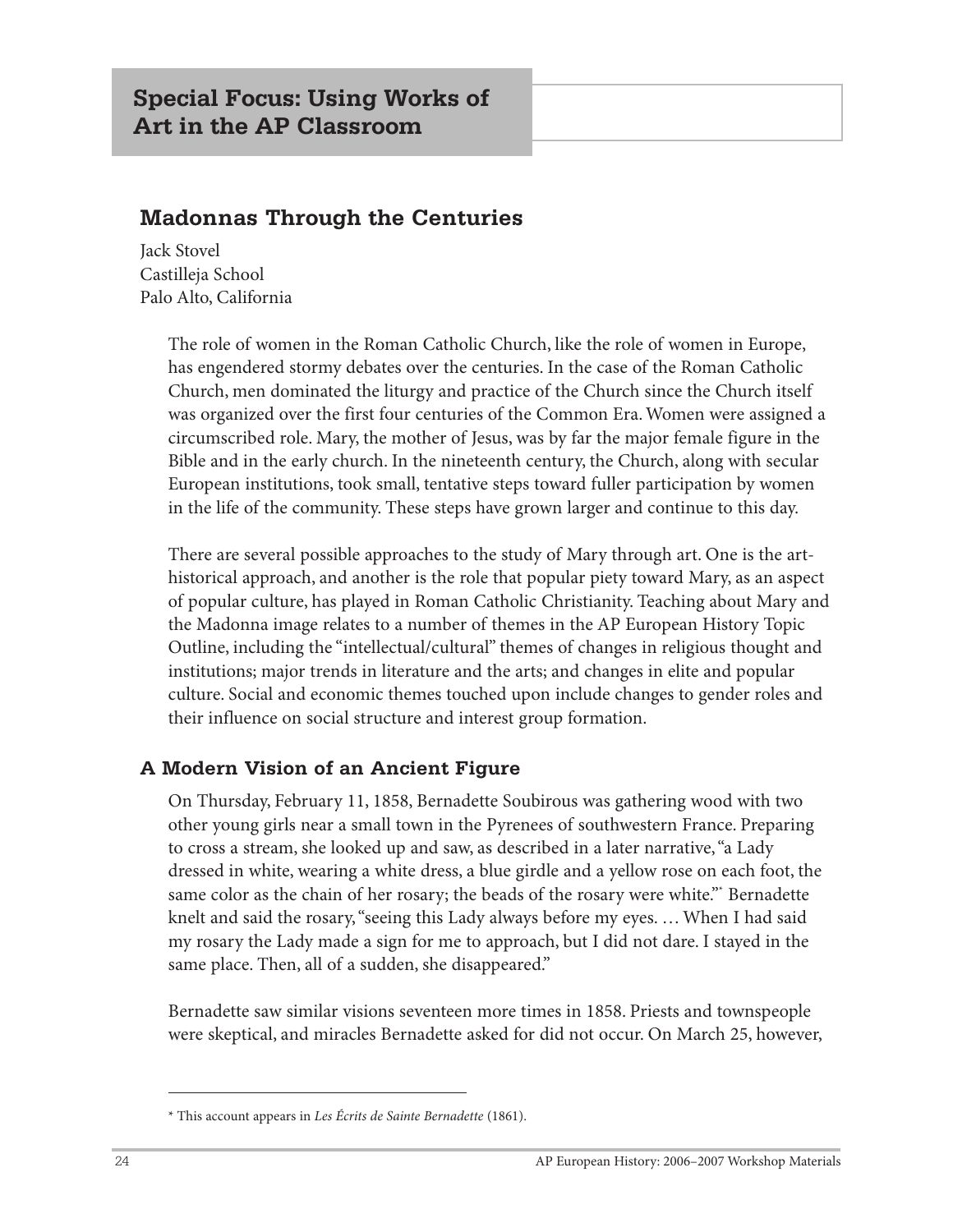# **Madonnas Through the Centuries**

Jack Stovel Castilleja School Palo Alto, California

> The role of women in the Roman Catholic Church, like the role of women in Europe, has engendered stormy debates over the centuries. In the case of the Roman Catholic Church, men dominated the liturgy and practice of the Church since the Church itself was organized over the first four centuries of the Common Era. Women were assigned a circumscribed role. Mary, the mother of Jesus, was by far the major female figure in the Bible and in the early church. In the nineteenth century, the Church, along with secular European institutions, took small, tentative steps toward fuller participation by women in the life of the community. These steps have grown larger and continue to this day.

> There are several possible approaches to the study of Mary through art. One is the arthistorical approach, and another is the role that popular piety toward Mary, as an aspect of popular culture, has played in Roman Catholic Christianity. Teaching about Mary and the Madonna image relates to a number of themes in the AP European History Topic Outline, including the "intellectual/cultural" themes of changes in religious thought and institutions; major trends in literature and the arts; and changes in elite and popular culture. Social and economic themes touched upon include changes to gender roles and their influence on social structure and interest group formation.

## **A Modern Vision of an Ancient Figure**

On Thursday, February 11, 1858, Bernadette Soubirous was gathering wood with two other young girls near a small town in the Pyrenees of southwestern France. Preparing to cross a stream, she looked up and saw, as described in a later narrative, "a Lady dressed in white, wearing a white dress, a blue girdle and a yellow rose on each foot, the same color as the chain of her rosary; the beads of the rosary were white."\* Bernadette knelt and said the rosary, "seeing this Lady always before my eyes. … When I had said my rosary the Lady made a sign for me to approach, but I did not dare. I stayed in the same place. Then, all of a sudden, she disappeared."

Bernadette saw similar visions seventeen more times in 1858. Priests and townspeople were skeptical, and miracles Bernadette asked for did not occur. On March 25, however,

<sup>\*</sup> This account appears in *Les Écrits de Sainte Bernadette* (1861).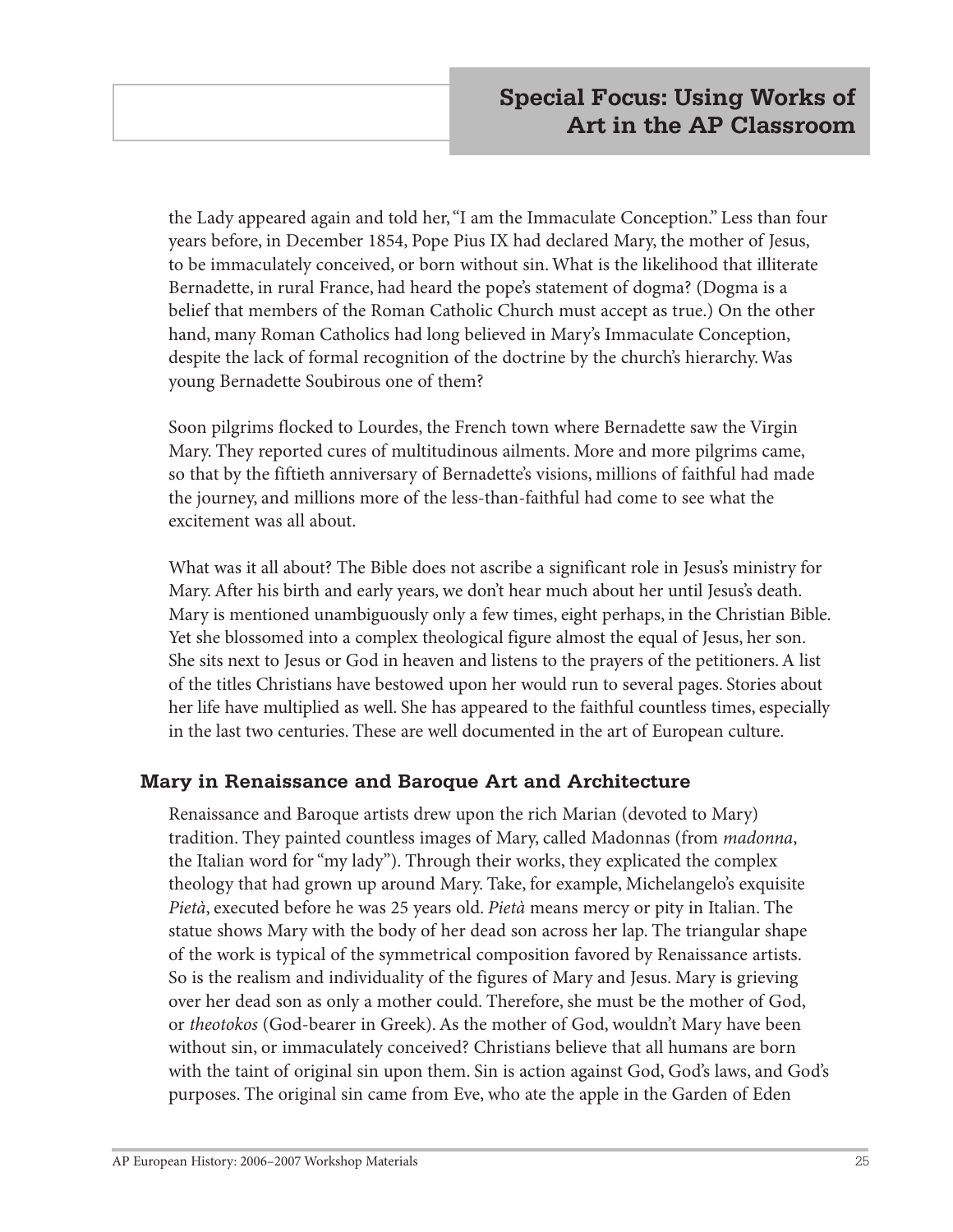the Lady appeared again and told her, "I am the Immaculate Conception." Less than four years before, in December 1854, Pope Pius IX had declared Mary, the mother of Jesus, to be immaculately conceived, or born without sin. What is the likelihood that illiterate Bernadette, in rural France, had heard the pope's statement of dogma? (Dogma is a belief that members of the Roman Catholic Church must accept as true.) On the other hand, many Roman Catholics had long believed in Mary's Immaculate Conception, despite the lack of formal recognition of the doctrine by the church's hierarchy. Was young Bernadette Soubirous one of them?

Soon pilgrims flocked to Lourdes, the French town where Bernadette saw the Virgin Mary. They reported cures of multitudinous ailments. More and more pilgrims came, so that by the fiftieth anniversary of Bernadette's visions, millions of faithful had made the journey, and millions more of the less-than-faithful had come to see what the excitement was all about.

What was it all about? The Bible does not ascribe a significant role in Jesus's ministry for Mary. After his birth and early years, we don't hear much about her until Jesus's death. Mary is mentioned unambiguously only a few times, eight perhaps, in the Christian Bible. Yet she blossomed into a complex theological figure almost the equal of Jesus, her son. She sits next to Jesus or God in heaven and listens to the prayers of the petitioners. A list of the titles Christians have bestowed upon her would run to several pages. Stories about her life have multiplied as well. She has appeared to the faithful countless times, especially in the last two centuries. These are well documented in the art of European culture.

#### **Mary in Renaissance and Baroque Art and Architecture**

Renaissance and Baroque artists drew upon the rich Marian (devoted to Mary) tradition. They painted countless images of Mary, called Madonnas (from *madonna*, the Italian word for "my lady"). Through their works, they explicated the complex theology that had grown up around Mary. Take, for example, Michelangelo's exquisite *Pietà*, executed before he was 25 years old. *Pietà* means mercy or pity in Italian. The statue shows Mary with the body of her dead son across her lap. The triangular shape of the work is typical of the symmetrical composition favored by Renaissance artists. So is the realism and individuality of the figures of Mary and Jesus. Mary is grieving over her dead son as only a mother could. Therefore, she must be the mother of God, or *theotokos* (God-bearer in Greek). As the mother of God, wouldn't Mary have been without sin, or immaculately conceived? Christians believe that all humans are born with the taint of original sin upon them. Sin is action against God, God's laws, and God's purposes. The original sin came from Eve, who ate the apple in the Garden of Eden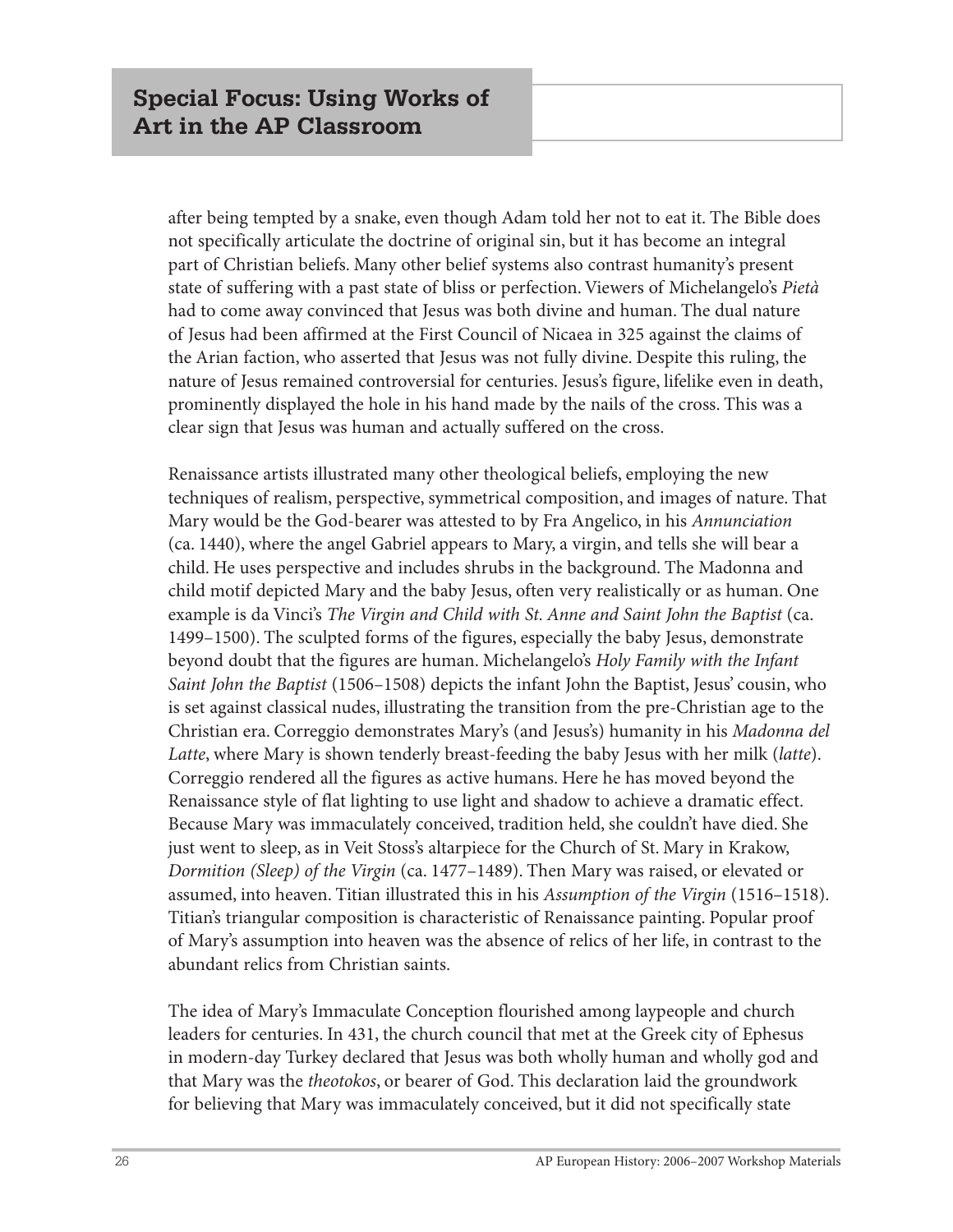after being tempted by a snake, even though Adam told her not to eat it. The Bible does not specifically articulate the doctrine of original sin, but it has become an integral part of Christian beliefs. Many other belief systems also contrast humanity's present state of suffering with a past state of bliss or perfection. Viewers of Michelangelo's *Pietà* had to come away convinced that Jesus was both divine and human. The dual nature of Jesus had been affirmed at the First Council of Nicaea in 325 against the claims of the Arian faction, who asserted that Jesus was not fully divine. Despite this ruling, the nature of Jesus remained controversial for centuries. Jesus's figure, lifelike even in death, prominently displayed the hole in his hand made by the nails of the cross. This was a clear sign that Jesus was human and actually suffered on the cross.

Renaissance artists illustrated many other theological beliefs, employing the new techniques of realism, perspective, symmetrical composition, and images of nature. That Mary would be the God-bearer was attested to by Fra Angelico, in his *Annunciation* (ca. 1440), where the angel Gabriel appears to Mary, a virgin, and tells she will bear a child. He uses perspective and includes shrubs in the background. The Madonna and child motif depicted Mary and the baby Jesus, often very realistically or as human. One example is da Vinci's *The Virgin and Child with St. Anne and Saint John the Baptist* (ca. 1499–1500). The sculpted forms of the figures, especially the baby Jesus, demonstrate beyond doubt that the figures are human. Michelangelo's *Holy Family with the Infant Saint John the Baptist* (1506–1508) depicts the infant John the Baptist, Jesus' cousin, who is set against classical nudes, illustrating the transition from the pre-Christian age to the Christian era. Correggio demonstrates Mary's (and Jesus's) humanity in his *Madonna del Latte*, where Mary is shown tenderly breast-feeding the baby Jesus with her milk (*latte*). Correggio rendered all the figures as active humans. Here he has moved beyond the Renaissance style of flat lighting to use light and shadow to achieve a dramatic effect. Because Mary was immaculately conceived, tradition held, she couldn't have died. She just went to sleep, as in Veit Stoss's altarpiece for the Church of St. Mary in Krakow, *Dormition (Sleep) of the Virgin* (ca. 1477–1489). Then Mary was raised, or elevated or assumed, into heaven. Titian illustrated this in his *Assumption of the Virgin* (1516–1518). Titian's triangular composition is characteristic of Renaissance painting. Popular proof of Mary's assumption into heaven was the absence of relics of her life, in contrast to the abundant relics from Christian saints.

The idea of Mary's Immaculate Conception flourished among laypeople and church leaders for centuries. In 431, the church council that met at the Greek city of Ephesus in modern-day Turkey declared that Jesus was both wholly human and wholly god and that Mary was the *theotokos*, or bearer of God. This declaration laid the groundwork for believing that Mary was immaculately conceived, but it did not specifically state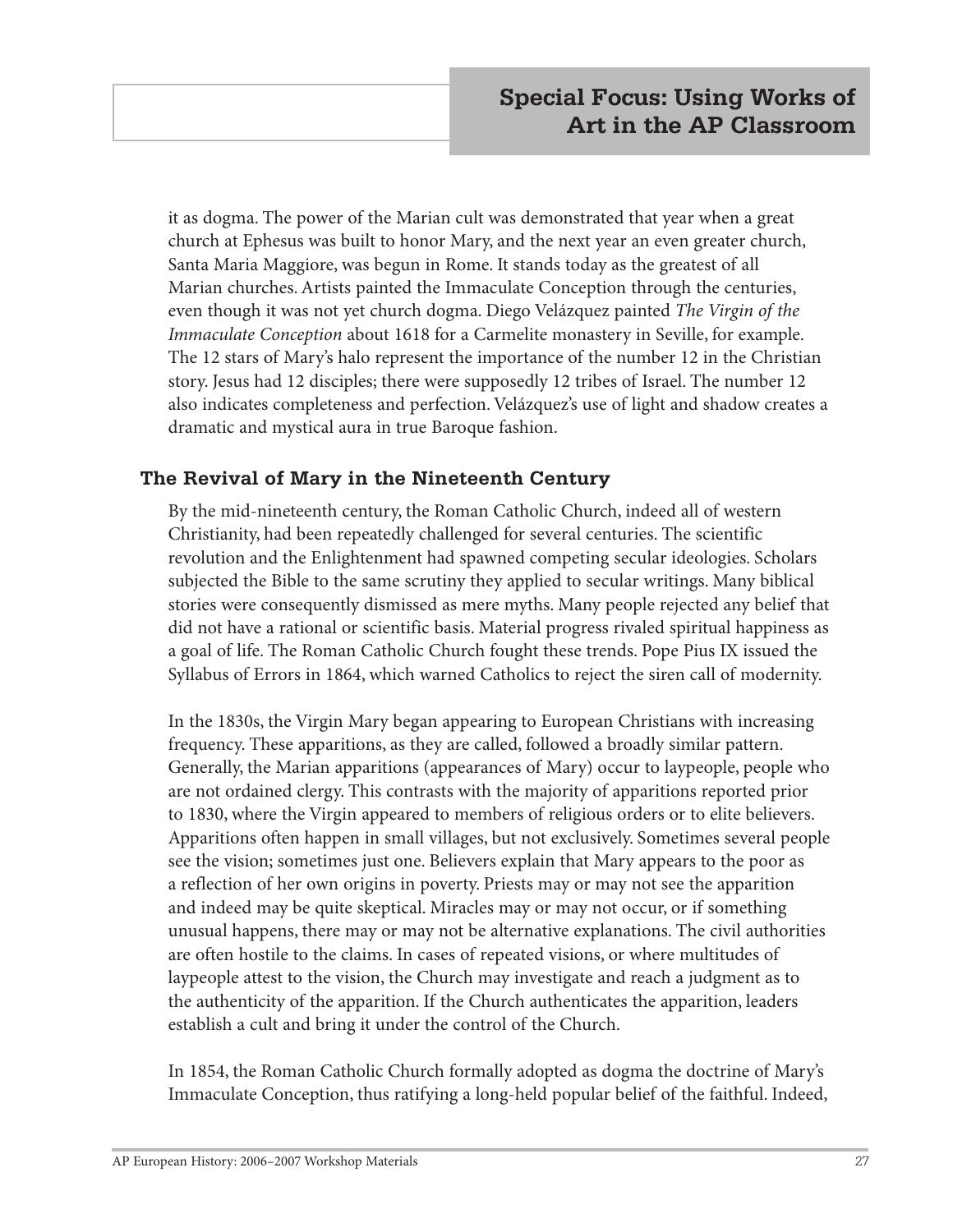it as dogma. The power of the Marian cult was demonstrated that year when a great church at Ephesus was built to honor Mary, and the next year an even greater church, Santa Maria Maggiore, was begun in Rome. It stands today as the greatest of all Marian churches. Artists painted the Immaculate Conception through the centuries, even though it was not yet church dogma. Diego Velázquez painted *The Virgin of the Immaculate Conception* about 1618 for a Carmelite monastery in Seville, for example. The 12 stars of Mary's halo represent the importance of the number 12 in the Christian story. Jesus had 12 disciples; there were supposedly 12 tribes of Israel. The number 12 also indicates completeness and perfection. Velázquez's use of light and shadow creates a dramatic and mystical aura in true Baroque fashion.

#### **The Revival of Mary in the Nineteenth Century**

By the mid-nineteenth century, the Roman Catholic Church, indeed all of western Christianity, had been repeatedly challenged for several centuries. The scientific revolution and the Enlightenment had spawned competing secular ideologies. Scholars subjected the Bible to the same scrutiny they applied to secular writings. Many biblical stories were consequently dismissed as mere myths. Many people rejected any belief that did not have a rational or scientific basis. Material progress rivaled spiritual happiness as a goal of life. The Roman Catholic Church fought these trends. Pope Pius IX issued the Syllabus of Errors in 1864, which warned Catholics to reject the siren call of modernity.

In the 1830s, the Virgin Mary began appearing to European Christians with increasing frequency. These apparitions, as they are called, followed a broadly similar pattern. Generally, the Marian apparitions (appearances of Mary) occur to laypeople, people who are not ordained clergy. This contrasts with the majority of apparitions reported prior to 1830, where the Virgin appeared to members of religious orders or to elite believers. Apparitions often happen in small villages, but not exclusively. Sometimes several people see the vision; sometimes just one. Believers explain that Mary appears to the poor as a reflection of her own origins in poverty. Priests may or may not see the apparition and indeed may be quite skeptical. Miracles may or may not occur, or if something unusual happens, there may or may not be alternative explanations. The civil authorities are often hostile to the claims. In cases of repeated visions, or where multitudes of laypeople attest to the vision, the Church may investigate and reach a judgment as to the authenticity of the apparition. If the Church authenticates the apparition, leaders establish a cult and bring it under the control of the Church.

In 1854, the Roman Catholic Church formally adopted as dogma the doctrine of Mary's Immaculate Conception, thus ratifying a long-held popular belief of the faithful. Indeed,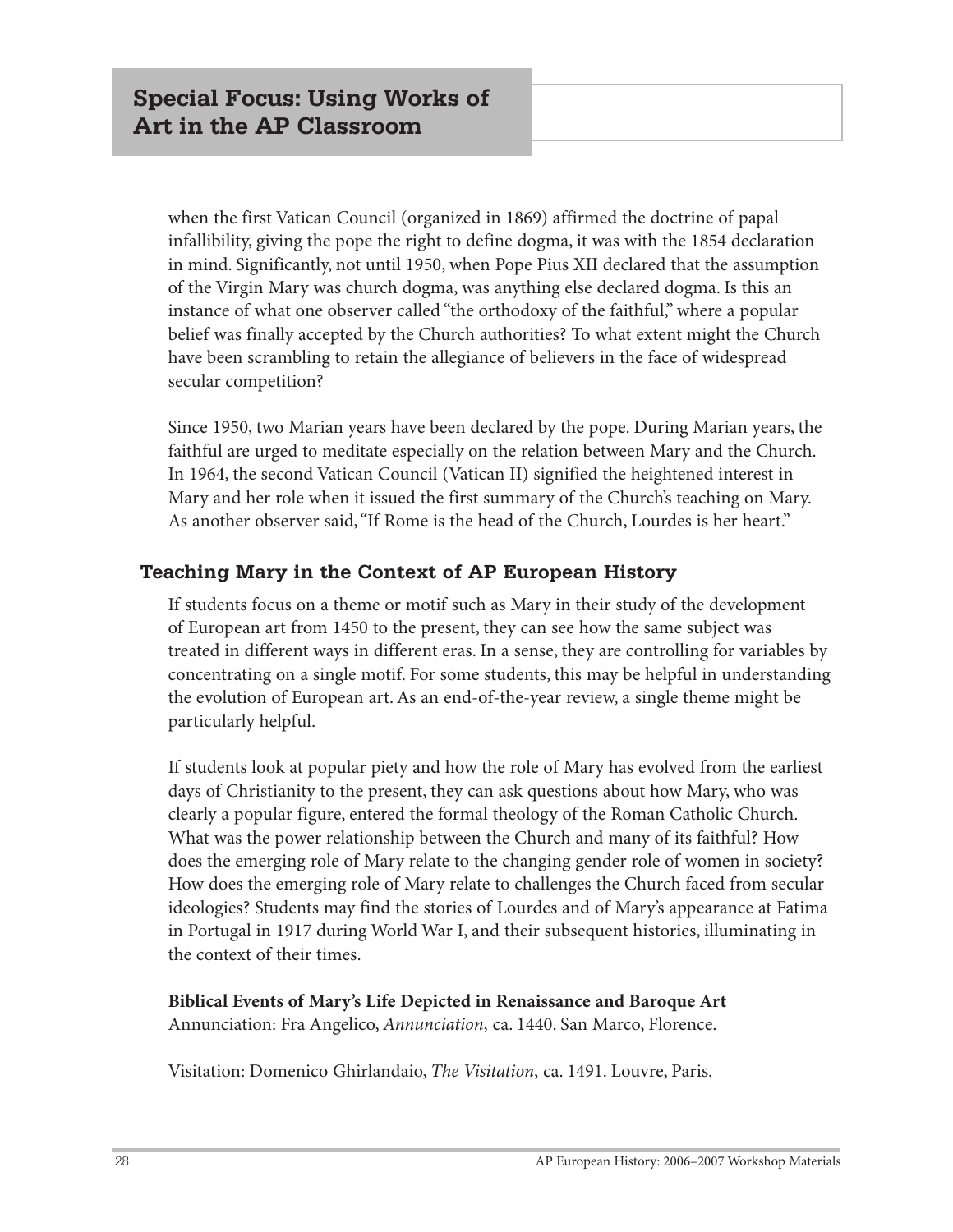when the first Vatican Council (organized in 1869) affirmed the doctrine of papal infallibility, giving the pope the right to define dogma, it was with the 1854 declaration in mind. Significantly, not until 1950, when Pope Pius XII declared that the assumption of the Virgin Mary was church dogma, was anything else declared dogma. Is this an instance of what one observer called "the orthodoxy of the faithful," where a popular belief was finally accepted by the Church authorities? To what extent might the Church have been scrambling to retain the allegiance of believers in the face of widespread secular competition?

Since 1950, two Marian years have been declared by the pope. During Marian years, the faithful are urged to meditate especially on the relation between Mary and the Church. In 1964, the second Vatican Council (Vatican II) signified the heightened interest in Mary and her role when it issued the first summary of the Church's teaching on Mary. As another observer said, "If Rome is the head of the Church, Lourdes is her heart."

#### **Teaching Mary in the Context of AP European History**

If students focus on a theme or motif such as Mary in their study of the development of European art from 1450 to the present, they can see how the same subject was treated in different ways in different eras. In a sense, they are controlling for variables by concentrating on a single motif. For some students, this may be helpful in understanding the evolution of European art. As an end-of-the-year review, a single theme might be particularly helpful.

If students look at popular piety and how the role of Mary has evolved from the earliest days of Christianity to the present, they can ask questions about how Mary, who was clearly a popular figure, entered the formal theology of the Roman Catholic Church. What was the power relationship between the Church and many of its faithful? How does the emerging role of Mary relate to the changing gender role of women in society? How does the emerging role of Mary relate to challenges the Church faced from secular ideologies? Students may find the stories of Lourdes and of Mary's appearance at Fatima in Portugal in 1917 during World War I, and their subsequent histories, illuminating in the context of their times.

**Biblical Events of Mary's Life Depicted in Renaissance and Baroque Art** Annunciation: Fra Angelico, *Annunciation*, ca. 1440. San Marco, Florence.

Visitation: Domenico Ghirlandaio, *The Visitation*, ca. 1491. Louvre, Paris.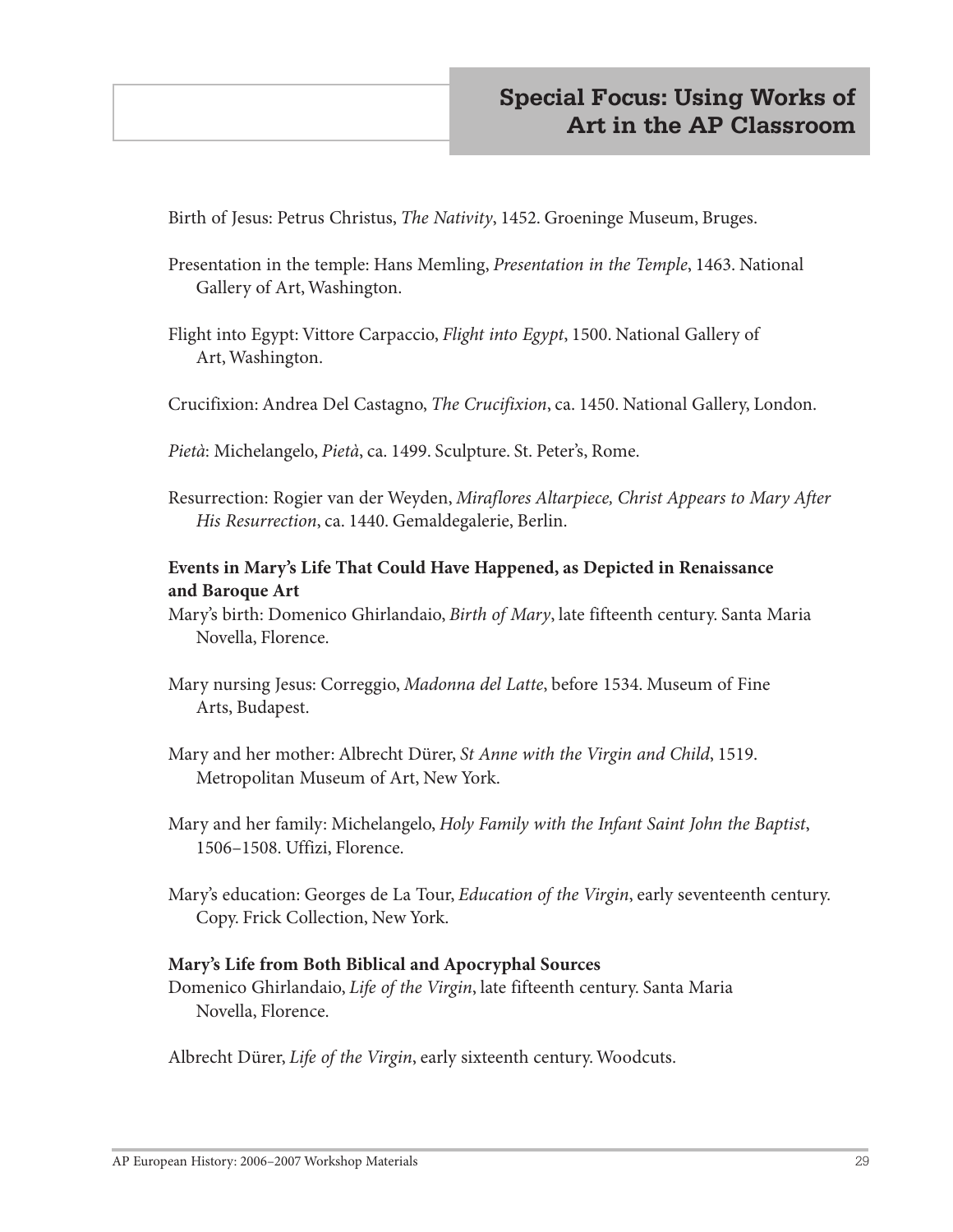Birth of Jesus: Petrus Christus, *The Nativity*, 1452. Groeninge Museum, Bruges.

- Presentation in the temple: Hans Memling, *Presentation in the Temple*, 1463. National Gallery of Art, Washington.
- Flight into Egypt: Vittore Carpaccio, *Flight into Egypt*, 1500. National Gallery of Art, Washington.
- Crucifixion: Andrea Del Castagno, *The Crucifixion*, ca. 1450. National Gallery, London.

*Pietà*: Michelangelo, *Pietà*, ca. 1499. Sculpture. St. Peter's, Rome.

Resurrection: Rogier van der Weyden, *Miraflores Altarpiece, Christ Appears to Mary After His Resurrection*, ca. 1440. Gemaldegalerie, Berlin.

#### **Events in Mary's Life That Could Have Happened, as Depicted in Renaissance and Baroque Art**

- Mary's birth: Domenico Ghirlandaio, *Birth of Mary*, late fifteenth century. Santa Maria Novella, Florence.
- Mary nursing Jesus: Correggio, *Madonna del Latte*, before 1534. Museum of Fine Arts, Budapest.
- Mary and her mother: Albrecht Dürer, *St Anne with the Virgin and Child*, 1519. Metropolitan Museum of Art, New York.
- Mary and her family: Michelangelo, *Holy Family with the Infant Saint John the Baptist*, 1506–1508. Uffizi, Florence.
- Mary's education: Georges de La Tour, *Education of the Virgin*, early seventeenth century. Copy. Frick Collection, New York.

#### **Mary's Life from Both Biblical and Apocryphal Sources**

Domenico Ghirlandaio, *Life of the Virgin*, late fifteenth century. Santa Maria Novella, Florence.

Albrecht Dürer, *Life of the Virgin*, early sixteenth century. Woodcuts.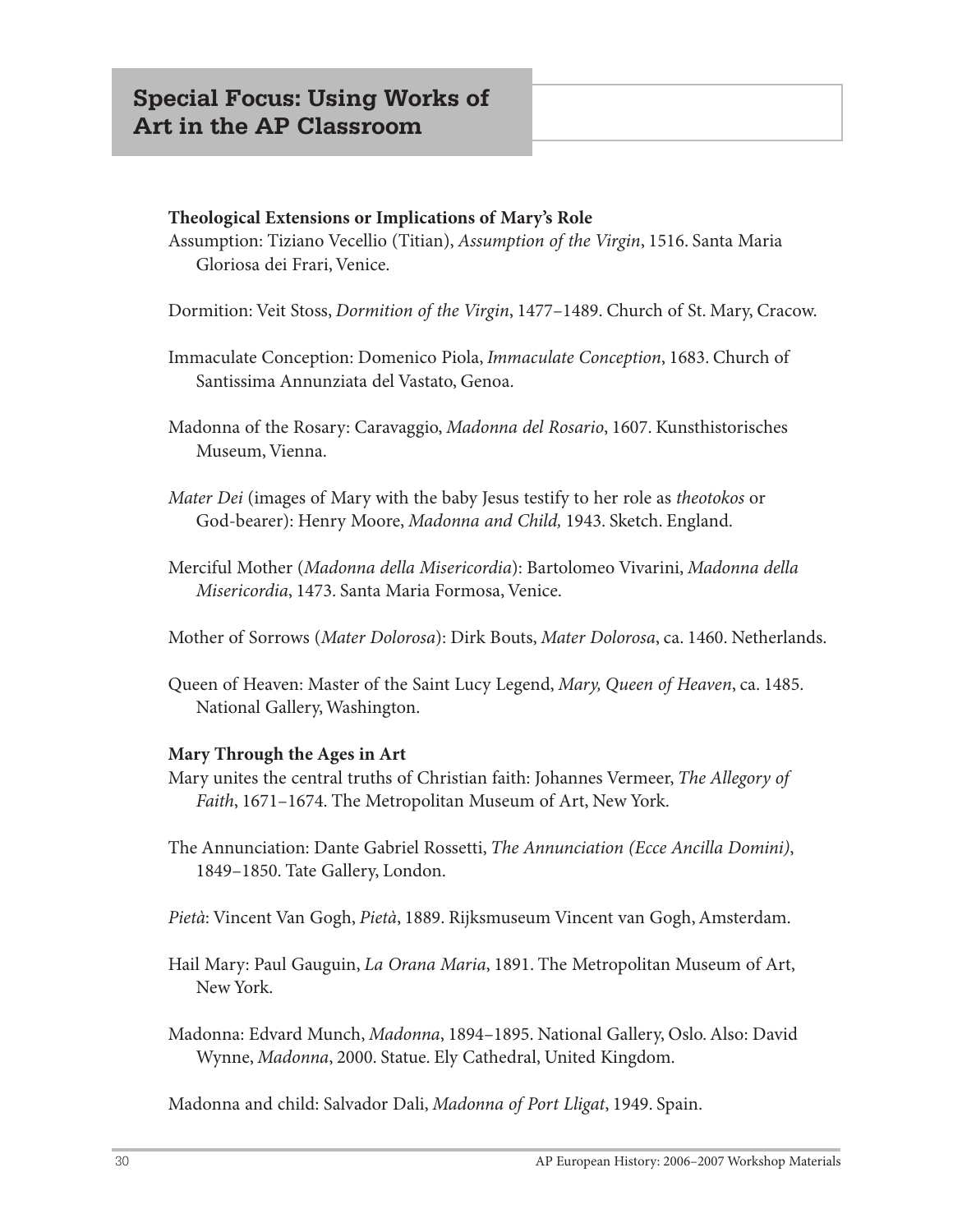#### **Theological Extensions or Implications of Mary's Role**

Assumption: Tiziano Vecellio (Titian), *Assumption of the Virgin*, 1516. Santa Maria Gloriosa dei Frari, Venice.

Dormition: Veit Stoss, *Dormition of the Virgin*, 1477–1489. Church of St. Mary, Cracow.

Immaculate Conception: Domenico Piola, *Immaculate Conception*, 1683. Church of Santissima Annunziata del Vastato, Genoa.

Madonna of the Rosary: Caravaggio, *Madonna del Rosario*, 1607. Kunsthistorisches Museum, Vienna.

- *Mater Dei* (images of Mary with the baby Jesus testify to her role as *theotokos* or God-bearer): Henry Moore, *Madonna and Child,* 1943. Sketch. England.
- Merciful Mother (*Madonna della Misericordia*): Bartolomeo Vivarini, *Madonna della Misericordia*, 1473. Santa Maria Formosa, Venice.

Mother of Sorrows (*Mater Dolorosa*): Dirk Bouts, *Mater Dolorosa*, ca. 1460. Netherlands.

Queen of Heaven: Master of the Saint Lucy Legend, *Mary, Queen of Heaven*, ca. 1485. National Gallery, Washington.

#### **Mary Through the Ages in Art**

- Mary unites the central truths of Christian faith: Johannes Vermeer, *The Allegory of Faith*, 1671–1674. The Metropolitan Museum of Art, New York.
- The Annunciation: Dante Gabriel Rossetti, *The Annunciation (Ecce Ancilla Domini)*, 1849–1850. Tate Gallery, London.

*Pietà*: Vincent Van Gogh, *Pietà*, 1889. Rijksmuseum Vincent van Gogh, Amsterdam.

- Hail Mary: Paul Gauguin, *La Orana Maria*, 1891. The Metropolitan Museum of Art, New York.
- Madonna: Edvard Munch, *Madonna*, 1894–1895. National Gallery, Oslo. Also: David Wynne, *Madonna*, 2000. Statue. Ely Cathedral, United Kingdom.

Madonna and child: Salvador Dali, *Madonna of Port Lligat*, 1949. Spain.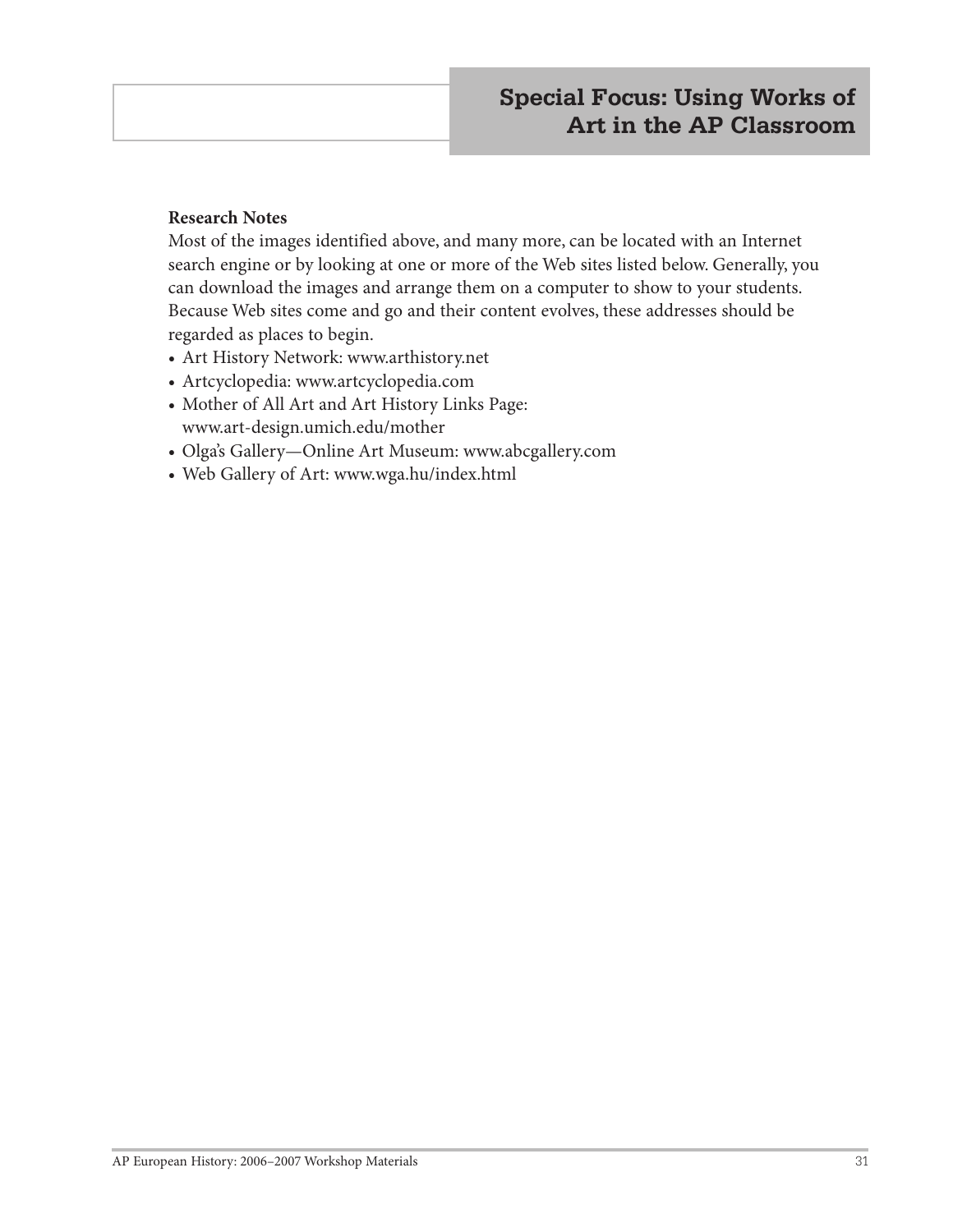#### **Research Notes**

Most of the images identified above, and many more, can be located with an Internet search engine or by looking at one or more of the Web sites listed below. Generally, you can download the images and arrange them on a computer to show to your students. Because Web sites come and go and their content evolves, these addresses should be regarded as places to begin.

- Art History Network: www.arthistory.net
- Artcyclopedia: www.artcyclopedia.com
- Mother of All Art and Art History Links Page: www.art-design.umich.edu/mother
- Olga's Gallery—Online Art Museum: www.abcgallery.com
- Web Gallery of Art: www.wga.hu/index.html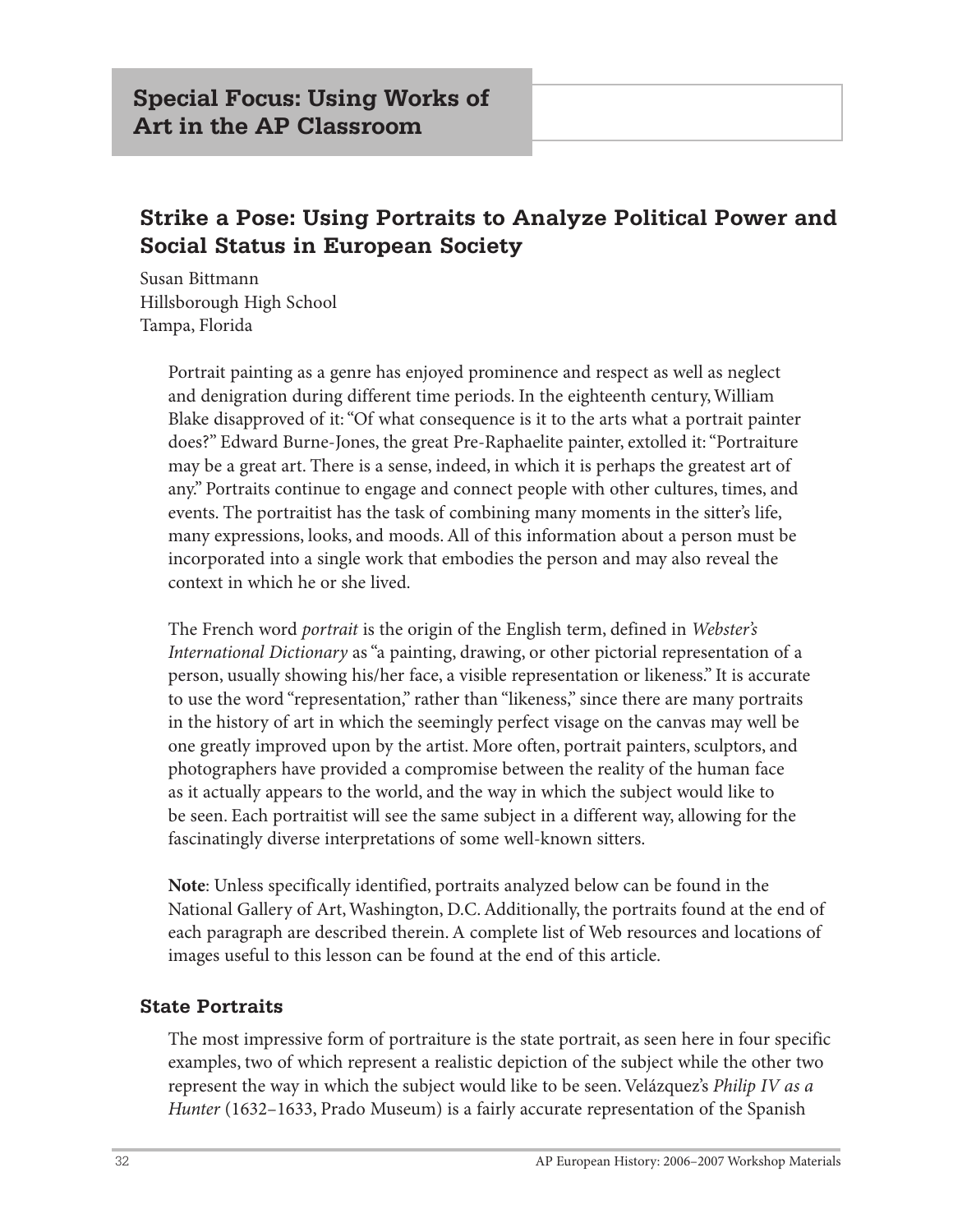# **Strike a Pose: Using Portraits to Analyze Political Power and Social Status in European Society**

Susan Bittmann Hillsborough High School Tampa, Florida

> Portrait painting as a genre has enjoyed prominence and respect as well as neglect and denigration during different time periods. In the eighteenth century, William Blake disapproved of it: "Of what consequence is it to the arts what a portrait painter does?" Edward Burne-Jones, the great Pre-Raphaelite painter, extolled it: "Portraiture may be a great art. There is a sense, indeed, in which it is perhaps the greatest art of any." Portraits continue to engage and connect people with other cultures, times, and events. The portraitist has the task of combining many moments in the sitter's life, many expressions, looks, and moods. All of this information about a person must be incorporated into a single work that embodies the person and may also reveal the context in which he or she lived.

The French word *portrait* is the origin of the English term, defined in *Webster's International Dictionary* as "a painting, drawing, or other pictorial representation of a person, usually showing his/her face, a visible representation or likeness." It is accurate to use the word "representation," rather than "likeness," since there are many portraits in the history of art in which the seemingly perfect visage on the canvas may well be one greatly improved upon by the artist. More often, portrait painters, sculptors, and photographers have provided a compromise between the reality of the human face as it actually appears to the world, and the way in which the subject would like to be seen. Each portraitist will see the same subject in a different way, allowing for the fascinatingly diverse interpretations of some well-known sitters.

**Note**: Unless specifically identified, portraits analyzed below can be found in the National Gallery of Art, Washington, D.C. Additionally, the portraits found at the end of each paragraph are described therein. A complete list of Web resources and locations of images useful to this lesson can be found at the end of this article.

#### **State Portraits**

The most impressive form of portraiture is the state portrait, as seen here in four specific examples, two of which represent a realistic depiction of the subject while the other two represent the way in which the subject would like to be seen. Velázquez's *Philip IV as a Hunter* (1632–1633, Prado Museum) is a fairly accurate representation of the Spanish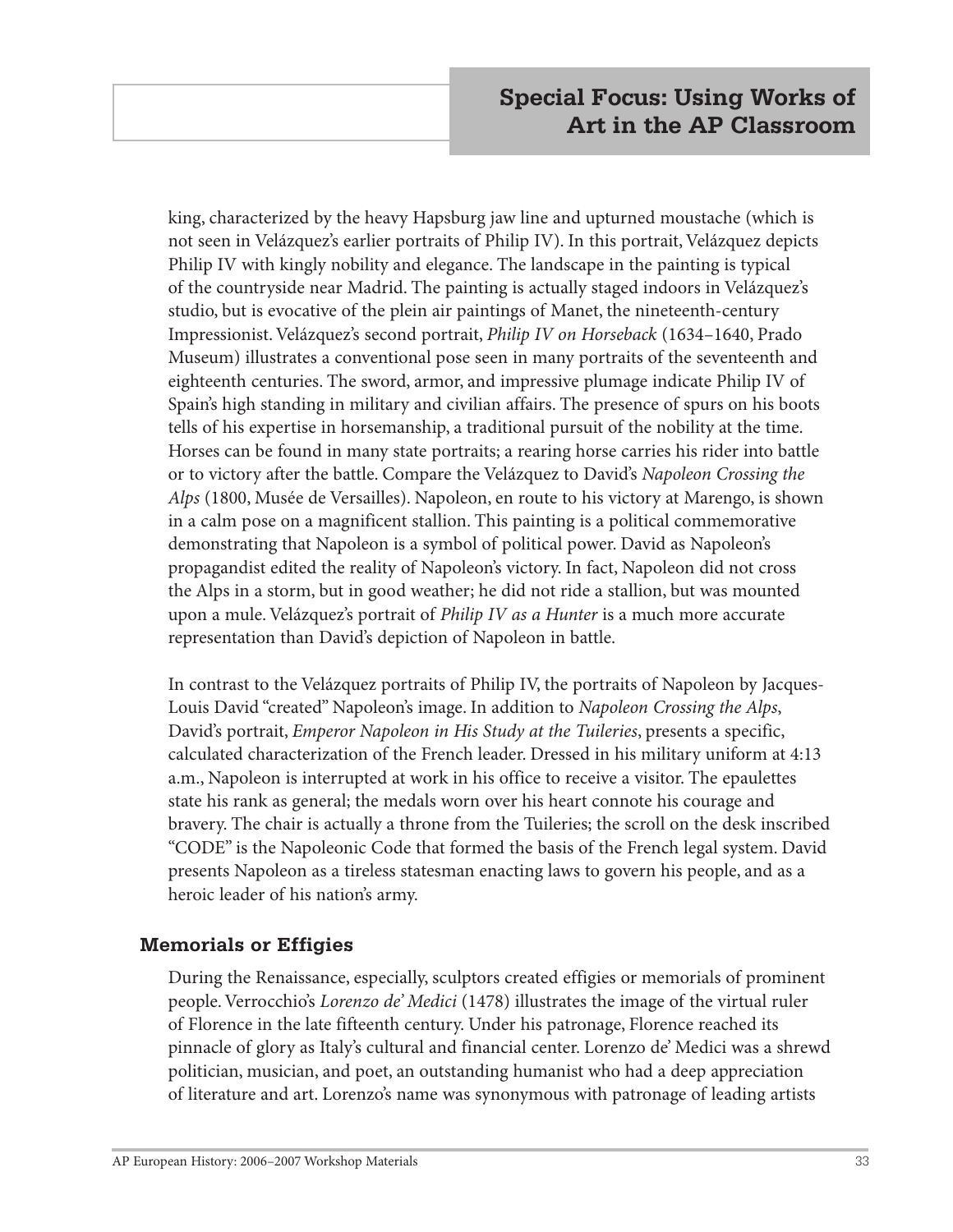king, characterized by the heavy Hapsburg jaw line and upturned moustache (which is not seen in Velázquez's earlier portraits of Philip IV). In this portrait, Velázquez depicts Philip IV with kingly nobility and elegance. The landscape in the painting is typical of the countryside near Madrid. The painting is actually staged indoors in Velázquez's studio, but is evocative of the plein air paintings of Manet, the nineteenth-century Impressionist. Velázquez's second portrait, *Philip IV on Horseback* (1634–1640, Prado Museum) illustrates a conventional pose seen in many portraits of the seventeenth and eighteenth centuries. The sword, armor, and impressive plumage indicate Philip IV of Spain's high standing in military and civilian affairs. The presence of spurs on his boots tells of his expertise in horsemanship, a traditional pursuit of the nobility at the time. Horses can be found in many state portraits; a rearing horse carries his rider into battle or to victory after the battle. Compare the Velázquez to David's *Napoleon Crossing the Alps* (1800, Musée de Versailles). Napoleon, en route to his victory at Marengo, is shown in a calm pose on a magnificent stallion. This painting is a political commemorative demonstrating that Napoleon is a symbol of political power. David as Napoleon's propagandist edited the reality of Napoleon's victory. In fact, Napoleon did not cross the Alps in a storm, but in good weather; he did not ride a stallion, but was mounted upon a mule. Velázquez's portrait of *Philip IV as a Hunter* is a much more accurate representation than David's depiction of Napoleon in battle.

In contrast to the Velázquez portraits of Philip IV, the portraits of Napoleon by Jacques-Louis David "created" Napoleon's image. In addition to *Napoleon Crossing the Alps*, David's portrait, *Emperor Napoleon in His Study at the Tuileries*, presents a specific, calculated characterization of the French leader. Dressed in his military uniform at 4:13 a.m., Napoleon is interrupted at work in his office to receive a visitor. The epaulettes state his rank as general; the medals worn over his heart connote his courage and bravery. The chair is actually a throne from the Tuileries; the scroll on the desk inscribed "CODE" is the Napoleonic Code that formed the basis of the French legal system. David presents Napoleon as a tireless statesman enacting laws to govern his people, and as a heroic leader of his nation's army.

#### **Memorials or Effigies**

During the Renaissance, especially, sculptors created effigies or memorials of prominent people. Verrocchio's *Lorenzo de' Medici* (1478) illustrates the image of the virtual ruler of Florence in the late fifteenth century. Under his patronage, Florence reached its pinnacle of glory as Italy's cultural and financial center. Lorenzo de' Medici was a shrewd politician, musician, and poet, an outstanding humanist who had a deep appreciation of literature and art. Lorenzo's name was synonymous with patronage of leading artists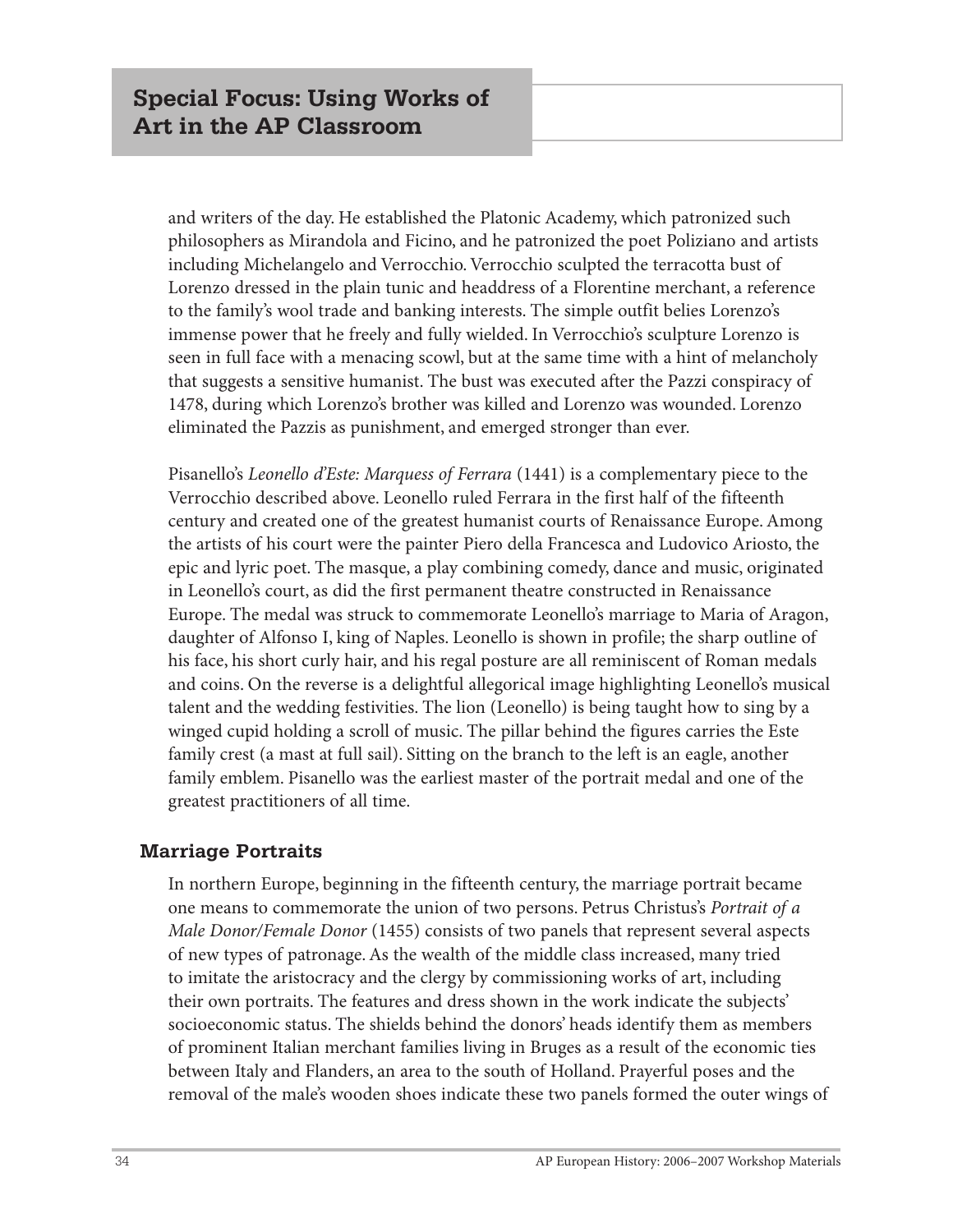and writers of the day. He established the Platonic Academy, which patronized such philosophers as Mirandola and Ficino, and he patronized the poet Poliziano and artists including Michelangelo and Verrocchio. Verrocchio sculpted the terracotta bust of Lorenzo dressed in the plain tunic and headdress of a Florentine merchant, a reference to the family's wool trade and banking interests. The simple outfit belies Lorenzo's immense power that he freely and fully wielded. In Verrocchio's sculpture Lorenzo is seen in full face with a menacing scowl, but at the same time with a hint of melancholy that suggests a sensitive humanist. The bust was executed after the Pazzi conspiracy of 1478, during which Lorenzo's brother was killed and Lorenzo was wounded. Lorenzo eliminated the Pazzis as punishment, and emerged stronger than ever.

Pisanello's *Leonello d'Este: Marquess of Ferrara* (1441) is a complementary piece to the Verrocchio described above. Leonello ruled Ferrara in the first half of the fifteenth century and created one of the greatest humanist courts of Renaissance Europe. Among the artists of his court were the painter Piero della Francesca and Ludovico Ariosto, the epic and lyric poet. The masque, a play combining comedy, dance and music, originated in Leonello's court, as did the first permanent theatre constructed in Renaissance Europe. The medal was struck to commemorate Leonello's marriage to Maria of Aragon, daughter of Alfonso I, king of Naples. Leonello is shown in profile; the sharp outline of his face, his short curly hair, and his regal posture are all reminiscent of Roman medals and coins. On the reverse is a delightful allegorical image highlighting Leonello's musical talent and the wedding festivities. The lion (Leonello) is being taught how to sing by a winged cupid holding a scroll of music. The pillar behind the figures carries the Este family crest (a mast at full sail). Sitting on the branch to the left is an eagle, another family emblem. Pisanello was the earliest master of the portrait medal and one of the greatest practitioners of all time.

#### **Marriage Portraits**

In northern Europe, beginning in the fifteenth century, the marriage portrait became one means to commemorate the union of two persons. Petrus Christus's *Portrait of a Male Donor/Female Donor* (1455) consists of two panels that represent several aspects of new types of patronage. As the wealth of the middle class increased, many tried to imitate the aristocracy and the clergy by commissioning works of art, including their own portraits. The features and dress shown in the work indicate the subjects' socioeconomic status. The shields behind the donors' heads identify them as members of prominent Italian merchant families living in Bruges as a result of the economic ties between Italy and Flanders, an area to the south of Holland. Prayerful poses and the removal of the male's wooden shoes indicate these two panels formed the outer wings of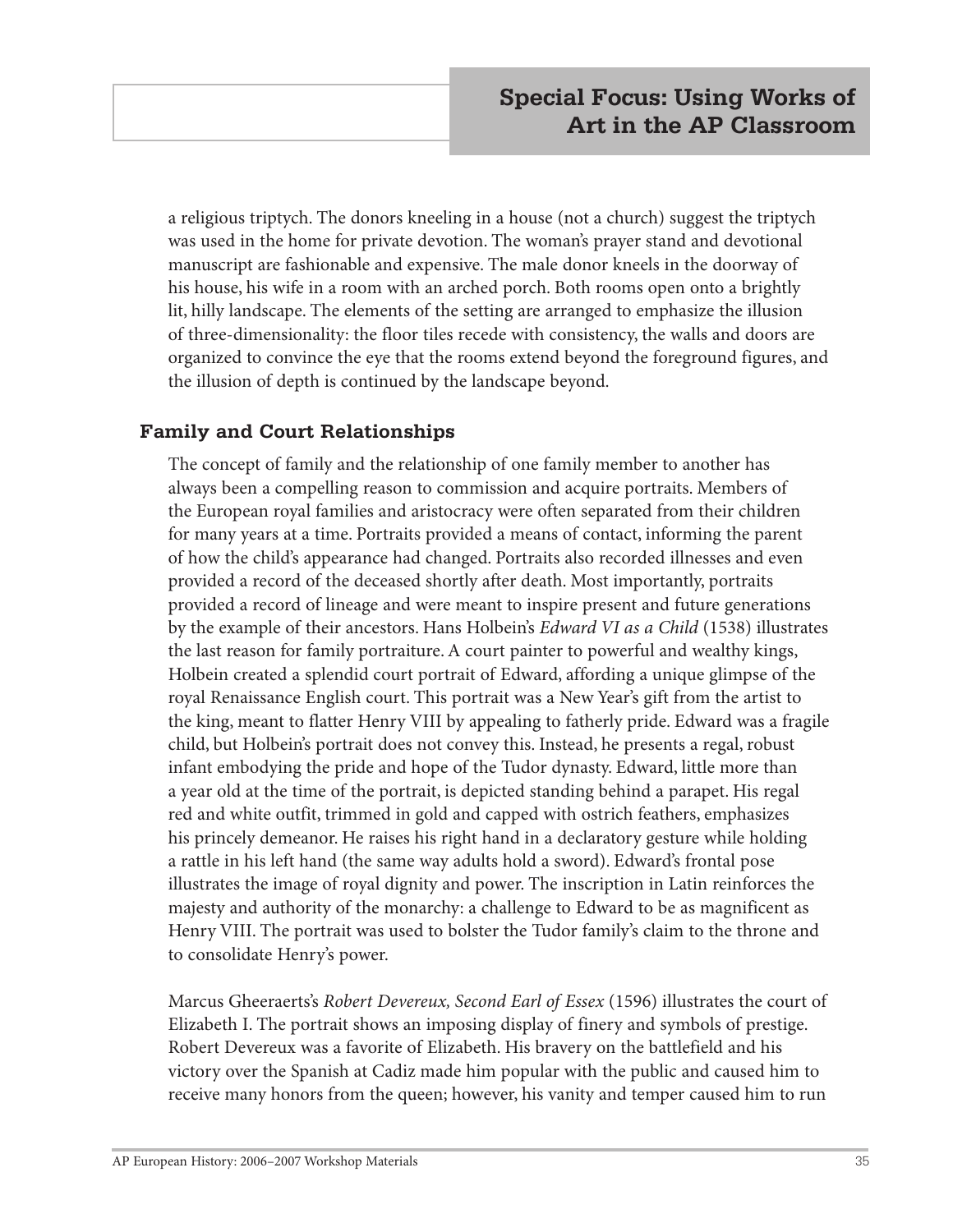a religious triptych. The donors kneeling in a house (not a church) suggest the triptych was used in the home for private devotion. The woman's prayer stand and devotional manuscript are fashionable and expensive. The male donor kneels in the doorway of his house, his wife in a room with an arched porch. Both rooms open onto a brightly lit, hilly landscape. The elements of the setting are arranged to emphasize the illusion of three-dimensionality: the floor tiles recede with consistency, the walls and doors are organized to convince the eye that the rooms extend beyond the foreground figures, and the illusion of depth is continued by the landscape beyond.

#### **Family and Court Relationships**

The concept of family and the relationship of one family member to another has always been a compelling reason to commission and acquire portraits. Members of the European royal families and aristocracy were often separated from their children for many years at a time. Portraits provided a means of contact, informing the parent of how the child's appearance had changed. Portraits also recorded illnesses and even provided a record of the deceased shortly after death. Most importantly, portraits provided a record of lineage and were meant to inspire present and future generations by the example of their ancestors. Hans Holbein's *Edward VI as a Child* (1538) illustrates the last reason for family portraiture. A court painter to powerful and wealthy kings, Holbein created a splendid court portrait of Edward, affording a unique glimpse of the royal Renaissance English court. This portrait was a New Year's gift from the artist to the king, meant to flatter Henry VIII by appealing to fatherly pride. Edward was a fragile child, but Holbein's portrait does not convey this. Instead, he presents a regal, robust infant embodying the pride and hope of the Tudor dynasty. Edward, little more than a year old at the time of the portrait, is depicted standing behind a parapet. His regal red and white outfit, trimmed in gold and capped with ostrich feathers, emphasizes his princely demeanor. He raises his right hand in a declaratory gesture while holding a rattle in his left hand (the same way adults hold a sword). Edward's frontal pose illustrates the image of royal dignity and power. The inscription in Latin reinforces the majesty and authority of the monarchy: a challenge to Edward to be as magnificent as Henry VIII. The portrait was used to bolster the Tudor family's claim to the throne and to consolidate Henry's power.

Marcus Gheeraerts's *Robert Devereux, Second Earl of Essex* (1596) illustrates the court of Elizabeth I. The portrait shows an imposing display of finery and symbols of prestige. Robert Devereux was a favorite of Elizabeth. His bravery on the battlefield and his victory over the Spanish at Cadiz made him popular with the public and caused him to receive many honors from the queen; however, his vanity and temper caused him to run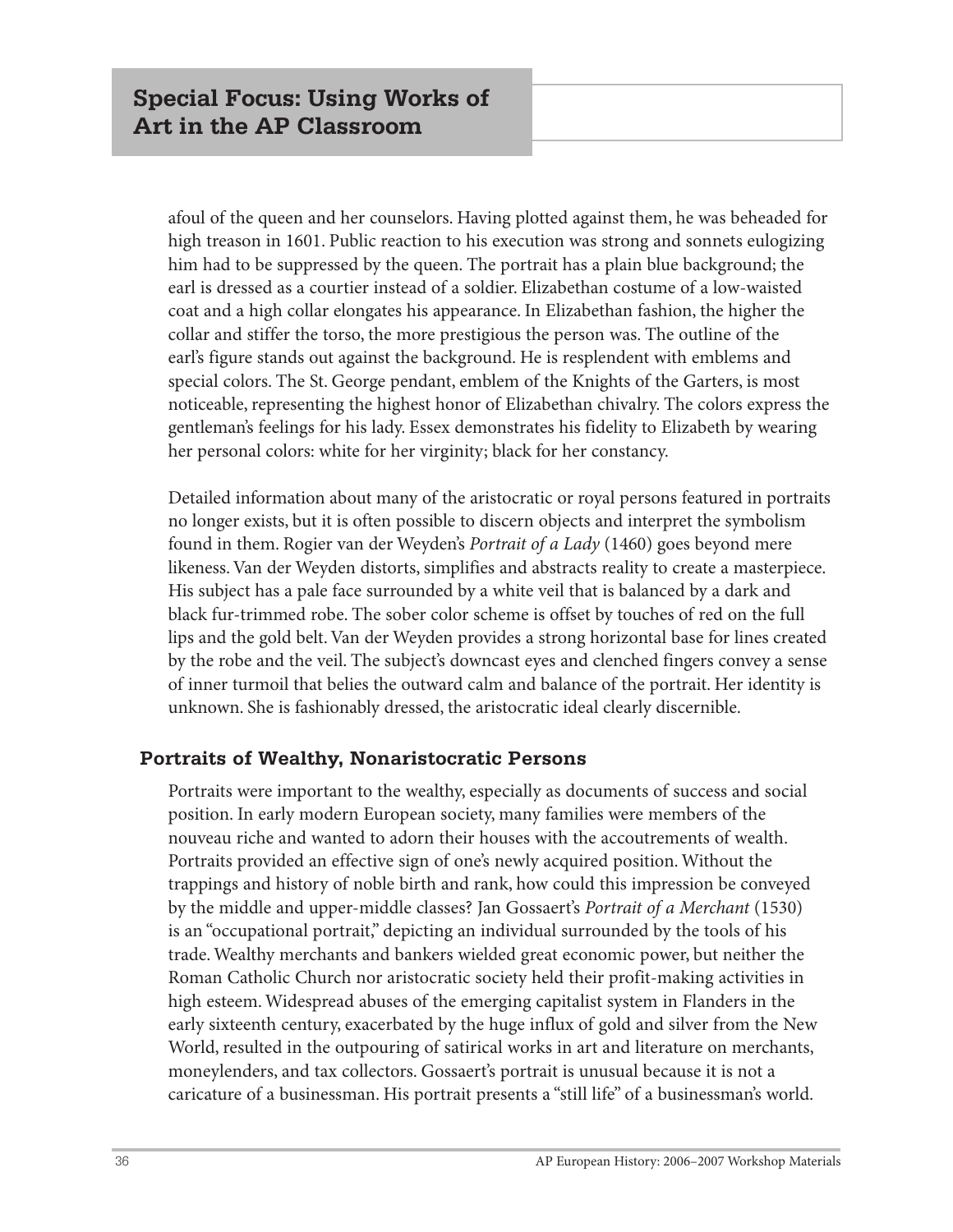afoul of the queen and her counselors. Having plotted against them, he was beheaded for high treason in 1601. Public reaction to his execution was strong and sonnets eulogizing him had to be suppressed by the queen. The portrait has a plain blue background; the earl is dressed as a courtier instead of a soldier. Elizabethan costume of a low-waisted coat and a high collar elongates his appearance. In Elizabethan fashion, the higher the collar and stiffer the torso, the more prestigious the person was. The outline of the earl's figure stands out against the background. He is resplendent with emblems and special colors. The St. George pendant, emblem of the Knights of the Garters, is most noticeable, representing the highest honor of Elizabethan chivalry. The colors express the gentleman's feelings for his lady. Essex demonstrates his fidelity to Elizabeth by wearing her personal colors: white for her virginity; black for her constancy.

Detailed information about many of the aristocratic or royal persons featured in portraits no longer exists, but it is often possible to discern objects and interpret the symbolism found in them. Rogier van der Weyden's *Portrait of a Lady* (1460) goes beyond mere likeness. Van der Weyden distorts, simplifies and abstracts reality to create a masterpiece. His subject has a pale face surrounded by a white veil that is balanced by a dark and black fur-trimmed robe. The sober color scheme is offset by touches of red on the full lips and the gold belt. Van der Weyden provides a strong horizontal base for lines created by the robe and the veil. The subject's downcast eyes and clenched fingers convey a sense of inner turmoil that belies the outward calm and balance of the portrait. Her identity is unknown. She is fashionably dressed, the aristocratic ideal clearly discernible.

#### **Portraits of Wealthy, Nonaristocratic Persons**

Portraits were important to the wealthy, especially as documents of success and social position. In early modern European society, many families were members of the nouveau riche and wanted to adorn their houses with the accoutrements of wealth. Portraits provided an effective sign of one's newly acquired position. Without the trappings and history of noble birth and rank, how could this impression be conveyed by the middle and upper-middle classes? Jan Gossaert's *Portrait of a Merchant* (1530) is an "occupational portrait," depicting an individual surrounded by the tools of his trade. Wealthy merchants and bankers wielded great economic power, but neither the Roman Catholic Church nor aristocratic society held their profit-making activities in high esteem. Widespread abuses of the emerging capitalist system in Flanders in the early sixteenth century, exacerbated by the huge influx of gold and silver from the New World, resulted in the outpouring of satirical works in art and literature on merchants, moneylenders, and tax collectors. Gossaert's portrait is unusual because it is not a caricature of a businessman. His portrait presents a "still life" of a businessman's world.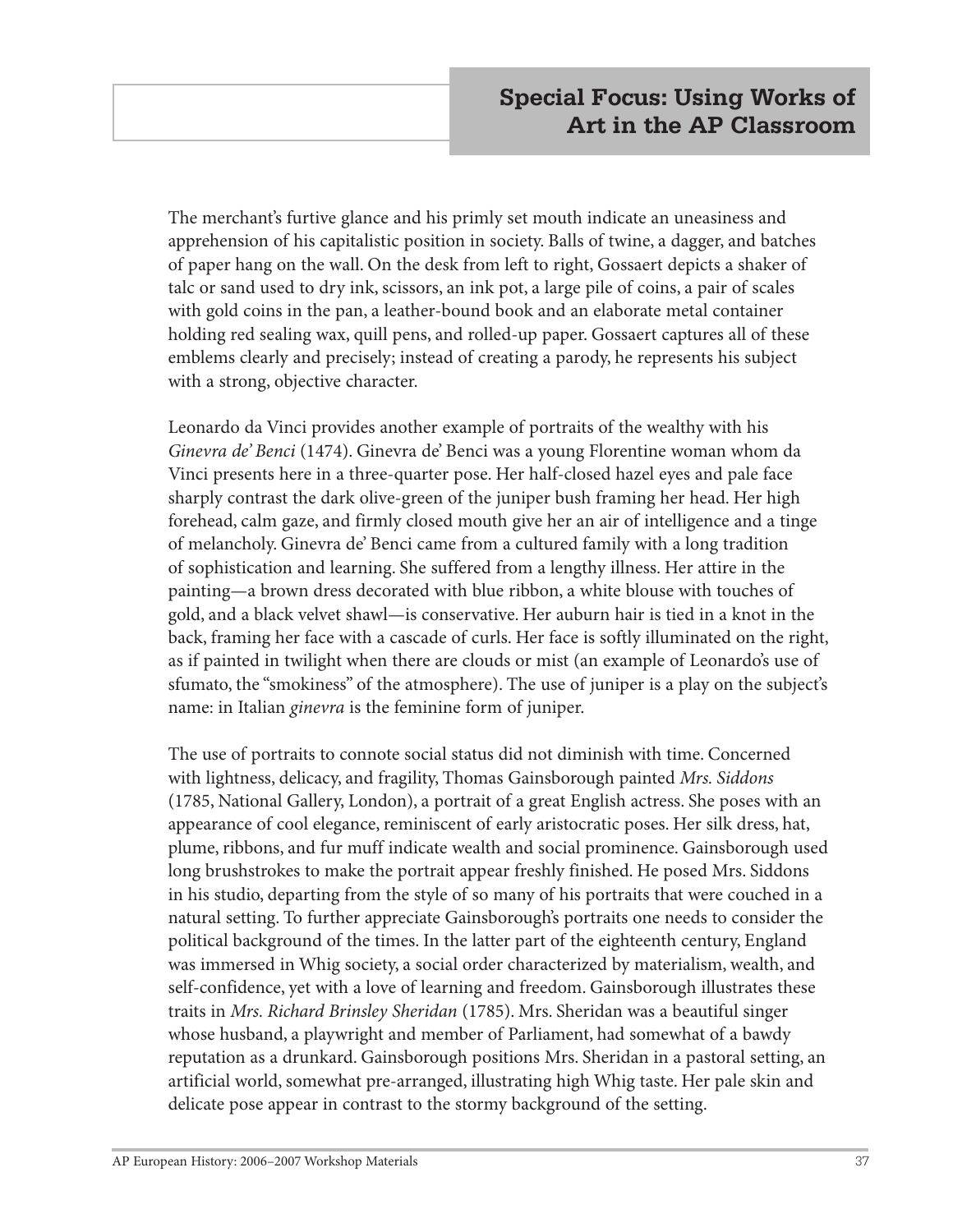The merchant's furtive glance and his primly set mouth indicate an uneasiness and apprehension of his capitalistic position in society. Balls of twine, a dagger, and batches of paper hang on the wall. On the desk from left to right, Gossaert depicts a shaker of talc or sand used to dry ink, scissors, an ink pot, a large pile of coins, a pair of scales with gold coins in the pan, a leather-bound book and an elaborate metal container holding red sealing wax, quill pens, and rolled-up paper. Gossaert captures all of these emblems clearly and precisely; instead of creating a parody, he represents his subject with a strong, objective character.

Leonardo da Vinci provides another example of portraits of the wealthy with his *Ginevra de' Benci* (1474). Ginevra de' Benci was a young Florentine woman whom da Vinci presents here in a three-quarter pose. Her half-closed hazel eyes and pale face sharply contrast the dark olive-green of the juniper bush framing her head. Her high forehead, calm gaze, and firmly closed mouth give her an air of intelligence and a tinge of melancholy. Ginevra de' Benci came from a cultured family with a long tradition of sophistication and learning. She suffered from a lengthy illness. Her attire in the painting—a brown dress decorated with blue ribbon, a white blouse with touches of gold, and a black velvet shawl—is conservative. Her auburn hair is tied in a knot in the back, framing her face with a cascade of curls. Her face is softly illuminated on the right, as if painted in twilight when there are clouds or mist (an example of Leonardo's use of sfumato, the "smokiness" of the atmosphere). The use of juniper is a play on the subject's name: in Italian *ginevra* is the feminine form of juniper.

The use of portraits to connote social status did not diminish with time. Concerned with lightness, delicacy, and fragility, Thomas Gainsborough painted *Mrs. Siddons* (1785, National Gallery, London), a portrait of a great English actress. She poses with an appearance of cool elegance, reminiscent of early aristocratic poses. Her silk dress, hat, plume, ribbons, and fur muff indicate wealth and social prominence. Gainsborough used long brushstrokes to make the portrait appear freshly finished. He posed Mrs. Siddons in his studio, departing from the style of so many of his portraits that were couched in a natural setting. To further appreciate Gainsborough's portraits one needs to consider the political background of the times. In the latter part of the eighteenth century, England was immersed in Whig society, a social order characterized by materialism, wealth, and self-confidence, yet with a love of learning and freedom. Gainsborough illustrates these traits in *Mrs. Richard Brinsley Sheridan* (1785). Mrs. Sheridan was a beautiful singer whose husband, a playwright and member of Parliament, had somewhat of a bawdy reputation as a drunkard. Gainsborough positions Mrs. Sheridan in a pastoral setting, an artificial world, somewhat pre-arranged, illustrating high Whig taste. Her pale skin and delicate pose appear in contrast to the stormy background of the setting.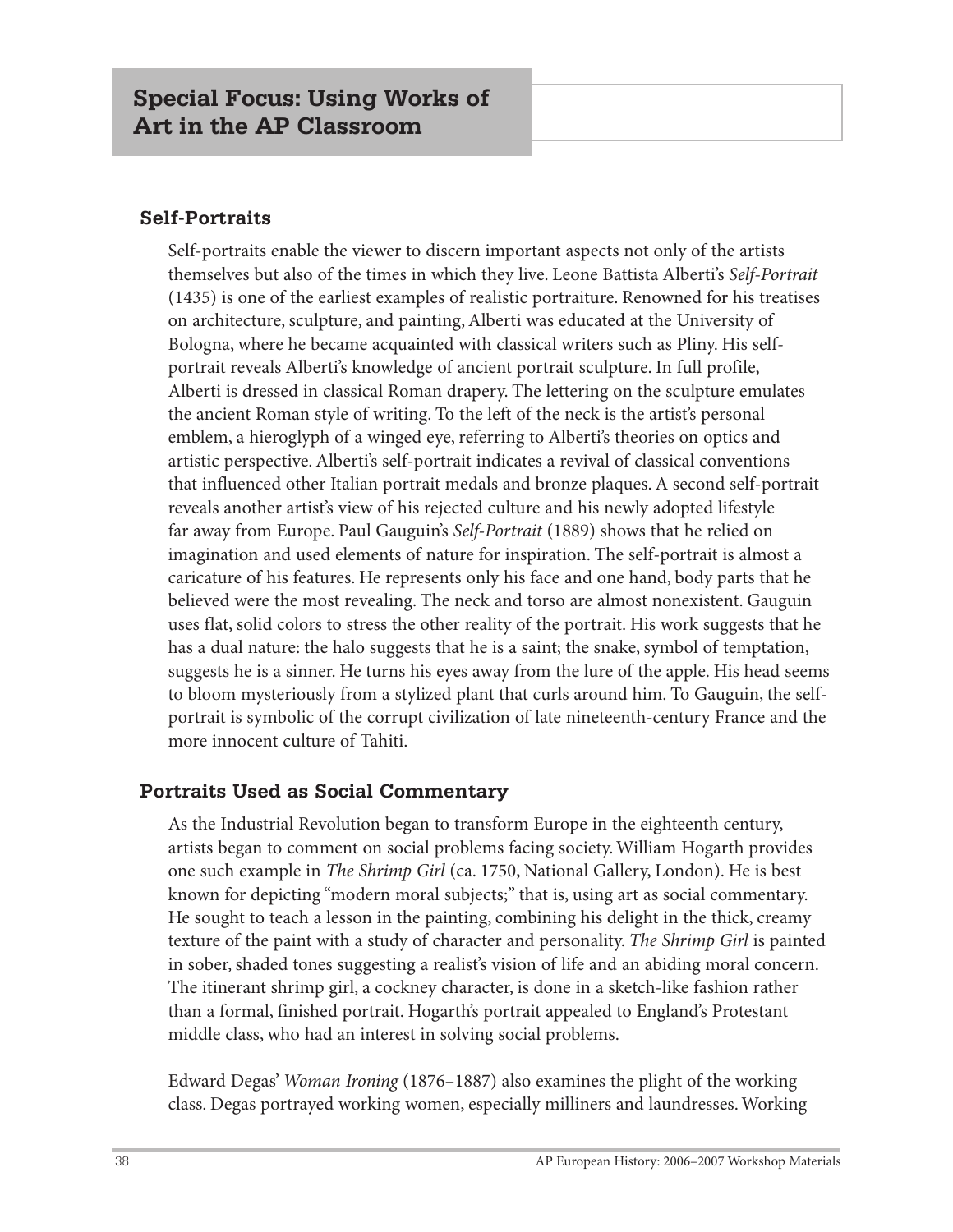#### **Self-Portraits**

Self-portraits enable the viewer to discern important aspects not only of the artists themselves but also of the times in which they live. Leone Battista Alberti's *Self-Portrait* (1435) is one of the earliest examples of realistic portraiture. Renowned for his treatises on architecture, sculpture, and painting, Alberti was educated at the University of Bologna, where he became acquainted with classical writers such as Pliny. His selfportrait reveals Alberti's knowledge of ancient portrait sculpture. In full profile, Alberti is dressed in classical Roman drapery. The lettering on the sculpture emulates the ancient Roman style of writing. To the left of the neck is the artist's personal emblem, a hieroglyph of a winged eye, referring to Alberti's theories on optics and artistic perspective. Alberti's self-portrait indicates a revival of classical conventions that influenced other Italian portrait medals and bronze plaques. A second self-portrait reveals another artist's view of his rejected culture and his newly adopted lifestyle far away from Europe. Paul Gauguin's *Self-Portrait* (1889) shows that he relied on imagination and used elements of nature for inspiration. The self-portrait is almost a caricature of his features. He represents only his face and one hand, body parts that he believed were the most revealing. The neck and torso are almost nonexistent. Gauguin uses flat, solid colors to stress the other reality of the portrait. His work suggests that he has a dual nature: the halo suggests that he is a saint; the snake, symbol of temptation, suggests he is a sinner. He turns his eyes away from the lure of the apple. His head seems to bloom mysteriously from a stylized plant that curls around him. To Gauguin, the selfportrait is symbolic of the corrupt civilization of late nineteenth-century France and the more innocent culture of Tahiti.

#### **Portraits Used as Social Commentary**

As the Industrial Revolution began to transform Europe in the eighteenth century, artists began to comment on social problems facing society. William Hogarth provides one such example in *The Shrimp Girl* (ca. 1750, National Gallery, London). He is best known for depicting "modern moral subjects;" that is, using art as social commentary. He sought to teach a lesson in the painting, combining his delight in the thick, creamy texture of the paint with a study of character and personality. *The Shrimp Girl* is painted in sober, shaded tones suggesting a realist's vision of life and an abiding moral concern. The itinerant shrimp girl, a cockney character, is done in a sketch-like fashion rather than a formal, finished portrait. Hogarth's portrait appealed to England's Protestant middle class, who had an interest in solving social problems.

Edward Degas' *Woman Ironing* (1876–1887) also examines the plight of the working class. Degas portrayed working women, especially milliners and laundresses. Working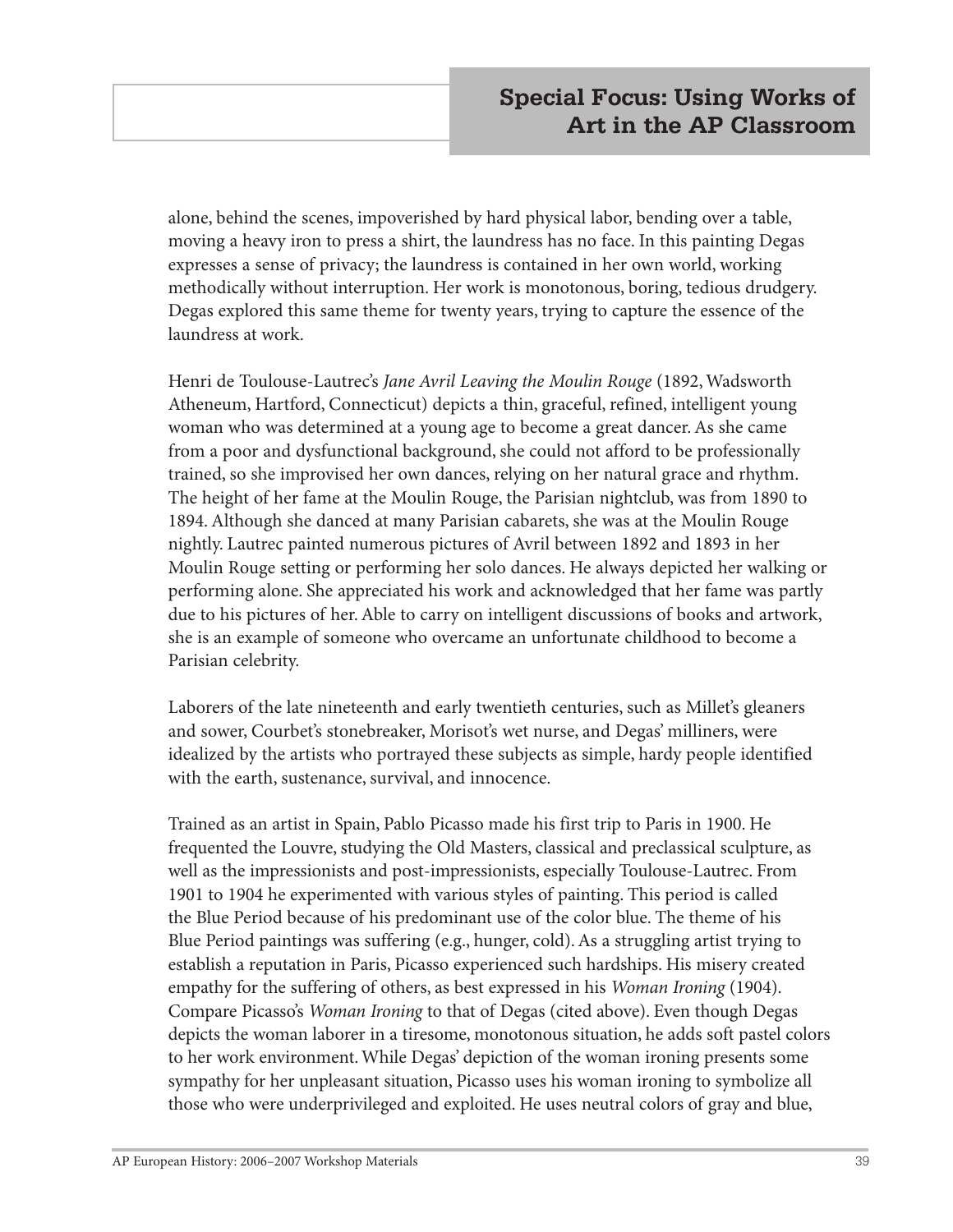alone, behind the scenes, impoverished by hard physical labor, bending over a table, moving a heavy iron to press a shirt, the laundress has no face. In this painting Degas expresses a sense of privacy; the laundress is contained in her own world, working methodically without interruption. Her work is monotonous, boring, tedious drudgery. Degas explored this same theme for twenty years, trying to capture the essence of the laundress at work.

Henri de Toulouse-Lautrec's *Jane Avril Leaving the Moulin Rouge* (1892, Wadsworth Atheneum, Hartford, Connecticut) depicts a thin, graceful, refined, intelligent young woman who was determined at a young age to become a great dancer. As she came from a poor and dysfunctional background, she could not afford to be professionally trained, so she improvised her own dances, relying on her natural grace and rhythm. The height of her fame at the Moulin Rouge, the Parisian nightclub, was from 1890 to 1894. Although she danced at many Parisian cabarets, she was at the Moulin Rouge nightly. Lautrec painted numerous pictures of Avril between 1892 and 1893 in her Moulin Rouge setting or performing her solo dances. He always depicted her walking or performing alone. She appreciated his work and acknowledged that her fame was partly due to his pictures of her. Able to carry on intelligent discussions of books and artwork, she is an example of someone who overcame an unfortunate childhood to become a Parisian celebrity.

Laborers of the late nineteenth and early twentieth centuries, such as Millet's gleaners and sower, Courbet's stonebreaker, Morisot's wet nurse, and Degas' milliners, were idealized by the artists who portrayed these subjects as simple, hardy people identified with the earth, sustenance, survival, and innocence.

Trained as an artist in Spain, Pablo Picasso made his first trip to Paris in 1900. He frequented the Louvre, studying the Old Masters, classical and preclassical sculpture, as well as the impressionists and post-impressionists, especially Toulouse-Lautrec. From 1901 to 1904 he experimented with various styles of painting. This period is called the Blue Period because of his predominant use of the color blue. The theme of his Blue Period paintings was suffering (e.g., hunger, cold). As a struggling artist trying to establish a reputation in Paris, Picasso experienced such hardships. His misery created empathy for the suffering of others, as best expressed in his *Woman Ironing* (1904). Compare Picasso's *Woman Ironing* to that of Degas (cited above). Even though Degas depicts the woman laborer in a tiresome, monotonous situation, he adds soft pastel colors to her work environment. While Degas' depiction of the woman ironing presents some sympathy for her unpleasant situation, Picasso uses his woman ironing to symbolize all those who were underprivileged and exploited. He uses neutral colors of gray and blue,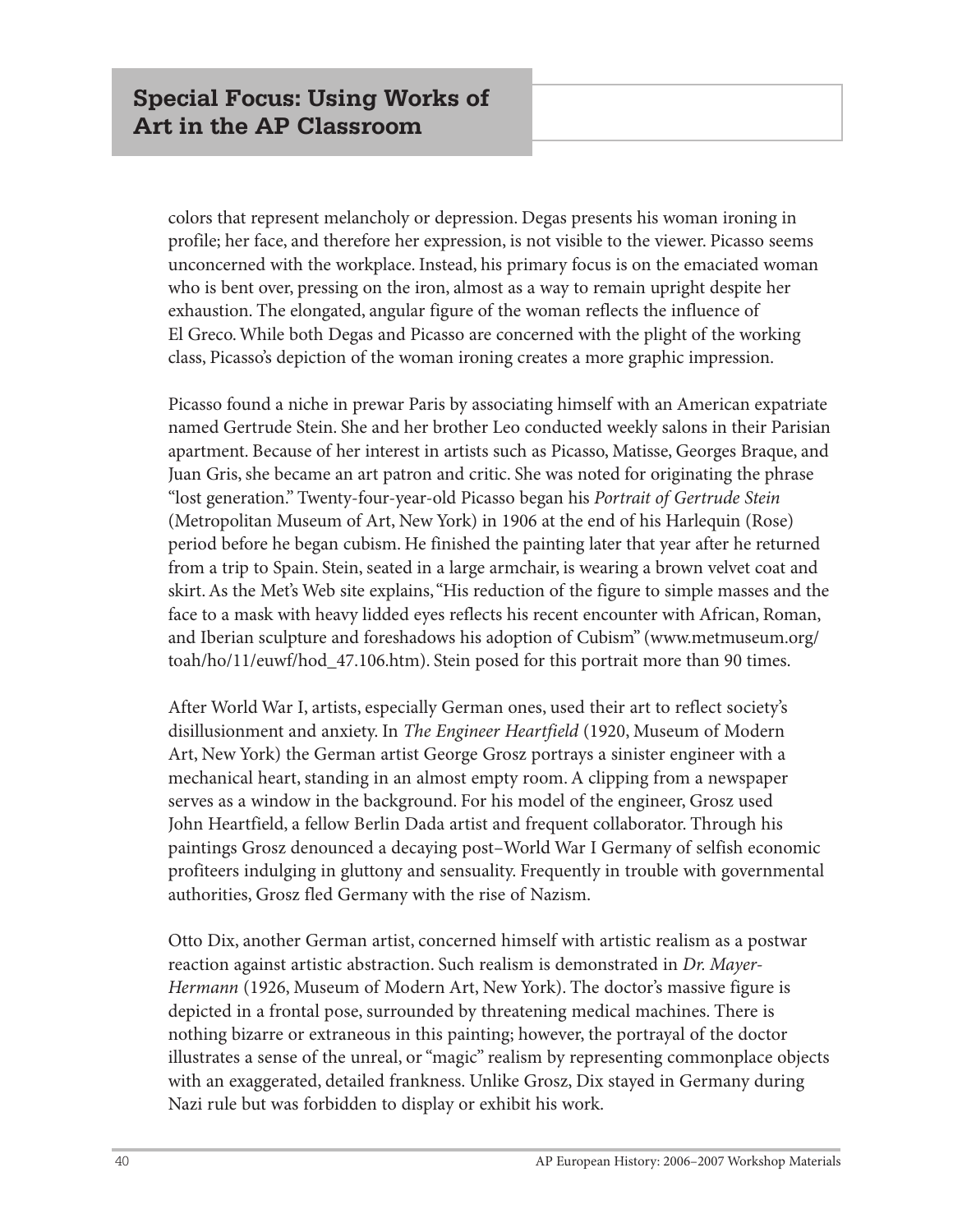colors that represent melancholy or depression. Degas presents his woman ironing in profile; her face, and therefore her expression, is not visible to the viewer. Picasso seems unconcerned with the workplace. Instead, his primary focus is on the emaciated woman who is bent over, pressing on the iron, almost as a way to remain upright despite her exhaustion. The elongated, angular figure of the woman reflects the influence of El Greco. While both Degas and Picasso are concerned with the plight of the working class, Picasso's depiction of the woman ironing creates a more graphic impression.

Picasso found a niche in prewar Paris by associating himself with an American expatriate named Gertrude Stein. She and her brother Leo conducted weekly salons in their Parisian apartment. Because of her interest in artists such as Picasso, Matisse, Georges Braque, and Juan Gris, she became an art patron and critic. She was noted for originating the phrase "lost generation." Twenty-four-year-old Picasso began his *Portrait of Gertrude Stein* (Metropolitan Museum of Art, New York) in 1906 at the end of his Harlequin (Rose) period before he began cubism. He finished the painting later that year after he returned from a trip to Spain. Stein, seated in a large armchair, is wearing a brown velvet coat and skirt. As the Met's Web site explains, "His reduction of the figure to simple masses and the face to a mask with heavy lidded eyes reflects his recent encounter with African, Roman, and Iberian sculpture and foreshadows his adoption of Cubism" (www.metmuseum.org/ toah/ho/11/euwf/hod\_47.106.htm). Stein posed for this portrait more than 90 times.

After World War I, artists, especially German ones, used their art to reflect society's disillusionment and anxiety. In *The Engineer Heartfield* (1920, Museum of Modern Art, New York) the German artist George Grosz portrays a sinister engineer with a mechanical heart, standing in an almost empty room. A clipping from a newspaper serves as a window in the background. For his model of the engineer, Grosz used John Heartfield, a fellow Berlin Dada artist and frequent collaborator. Through his paintings Grosz denounced a decaying post–World War I Germany of selfish economic profiteers indulging in gluttony and sensuality. Frequently in trouble with governmental authorities, Grosz fled Germany with the rise of Nazism.

Otto Dix, another German artist, concerned himself with artistic realism as a postwar reaction against artistic abstraction. Such realism is demonstrated in *Dr. Mayer-Hermann* (1926, Museum of Modern Art, New York). The doctor's massive figure is depicted in a frontal pose, surrounded by threatening medical machines. There is nothing bizarre or extraneous in this painting; however, the portrayal of the doctor illustrates a sense of the unreal, or "magic" realism by representing commonplace objects with an exaggerated, detailed frankness. Unlike Grosz, Dix stayed in Germany during Nazi rule but was forbidden to display or exhibit his work.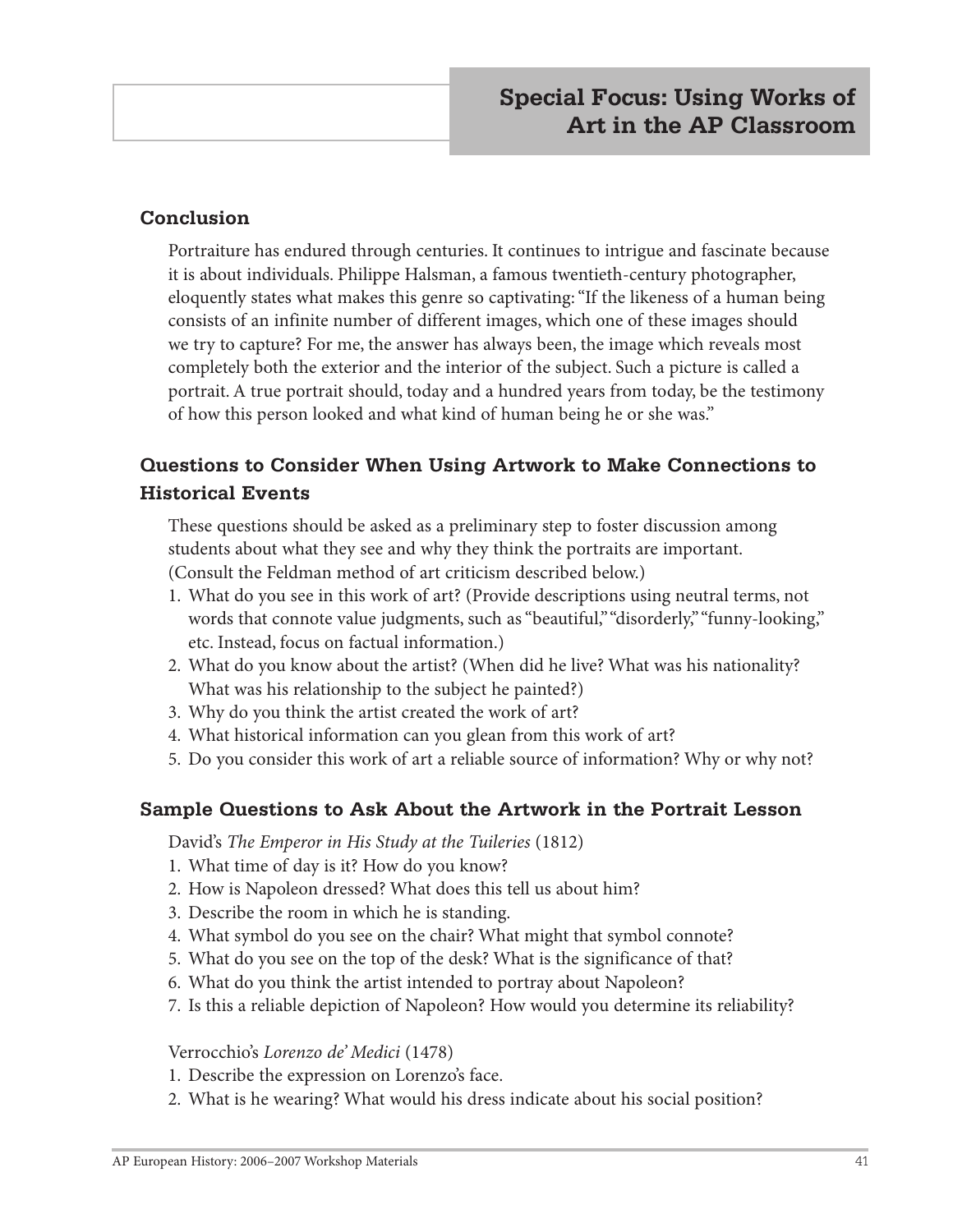#### **Conclusion**

Portraiture has endured through centuries. It continues to intrigue and fascinate because it is about individuals. Philippe Halsman, a famous twentieth-century photographer, eloquently states what makes this genre so captivating: "If the likeness of a human being consists of an infinite number of different images, which one of these images should we try to capture? For me, the answer has always been, the image which reveals most completely both the exterior and the interior of the subject. Such a picture is called a portrait. A true portrait should, today and a hundred years from today, be the testimony of how this person looked and what kind of human being he or she was."

# **Questions to Consider When Using Artwork to Make Connections to Historical Events**

These questions should be asked as a preliminary step to foster discussion among students about what they see and why they think the portraits are important. (Consult the Feldman method of art criticism described below.)

- 1. What do you see in this work of art? (Provide descriptions using neutral terms, not words that connote value judgments, such as "beautiful," "disorderly," "funny-looking," etc. Instead, focus on factual information.)
- 2. What do you know about the artist? (When did he live? What was his nationality? What was his relationship to the subject he painted?)
- 3. Why do you think the artist created the work of art?
- 4. What historical information can you glean from this work of art?
- 5. Do you consider this work of art a reliable source of information? Why or why not?

#### **Sample Questions to Ask About the Artwork in the Portrait Lesson**

David's *The Emperor in His Study at the Tuileries* (1812)

- 1. What time of day is it? How do you know?
- 2. How is Napoleon dressed? What does this tell us about him?
- 3. Describe the room in which he is standing.
- 4. What symbol do you see on the chair? What might that symbol connote?
- 5. What do you see on the top of the desk? What is the significance of that?
- 6. What do you think the artist intended to portray about Napoleon?
- 7. Is this a reliable depiction of Napoleon? How would you determine its reliability?

Verrocchio's *Lorenzo de' Medici* (1478)

- 1. Describe the expression on Lorenzo's face.
- 2. What is he wearing? What would his dress indicate about his social position?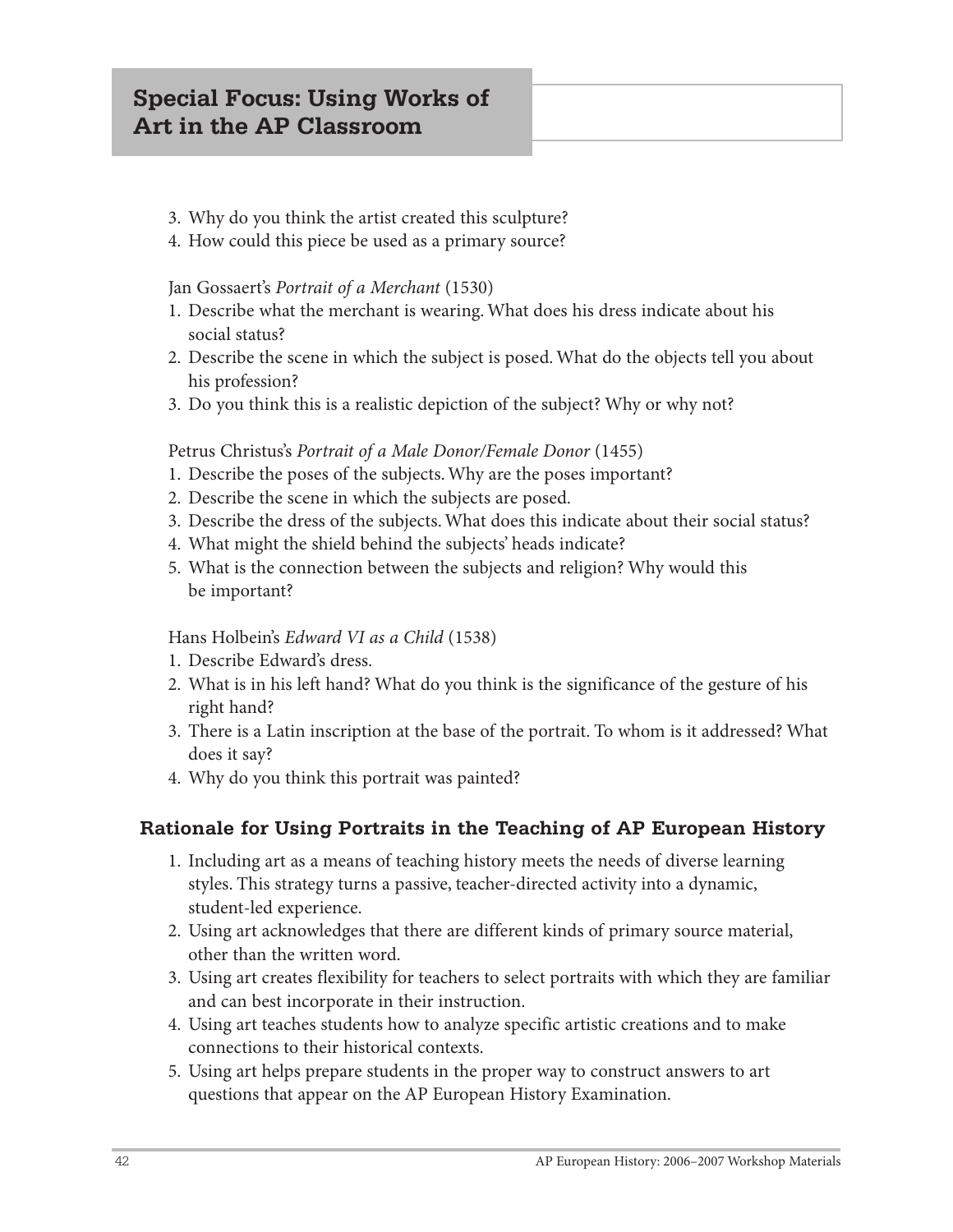# **Special Focus: Using Works of Art in the AP Classroom**

- 3. Why do you think the artist created this sculpture?
- 4. How could this piece be used as a primary source?

#### Jan Gossaert's *Portrait of a Merchant* (1530)

- 1. Describe what the merchant is wearing. What does his dress indicate about his social status?
- 2. Describe the scene in which the subject is posed. What do the objects tell you about his profession?
- 3. Do you think this is a realistic depiction of the subject? Why or why not?

#### Petrus Christus's *Portrait of a Male Donor/Female Donor* (1455)

- 1. Describe the poses of the subjects. Why are the poses important?
- 2. Describe the scene in which the subjects are posed.
- 3. Describe the dress of the subjects. What does this indicate about their social status?
- 4. What might the shield behind the subjects' heads indicate?
- 5. What is the connection between the subjects and religion? Why would this be important?

#### Hans Holbein's *Edward VI as a Child* (1538)

- 1. Describe Edward's dress.
- 2. What is in his left hand? What do you think is the significance of the gesture of his right hand?
- 3. There is a Latin inscription at the base of the portrait. To whom is it addressed? What does it say?
- 4. Why do you think this portrait was painted?

#### **Rationale for Using Portraits in the Teaching of AP European History**

- 1. Including art as a means of teaching history meets the needs of diverse learning styles. This strategy turns a passive, teacher-directed activity into a dynamic, student-led experience.
- 2. Using art acknowledges that there are different kinds of primary source material, other than the written word.
- 3. Using art creates flexibility for teachers to select portraits with which they are familiar and can best incorporate in their instruction.
- 4. Using art teaches students how to analyze specific artistic creations and to make connections to their historical contexts.
- 5. Using art helps prepare students in the proper way to construct answers to art questions that appear on the AP European History Examination.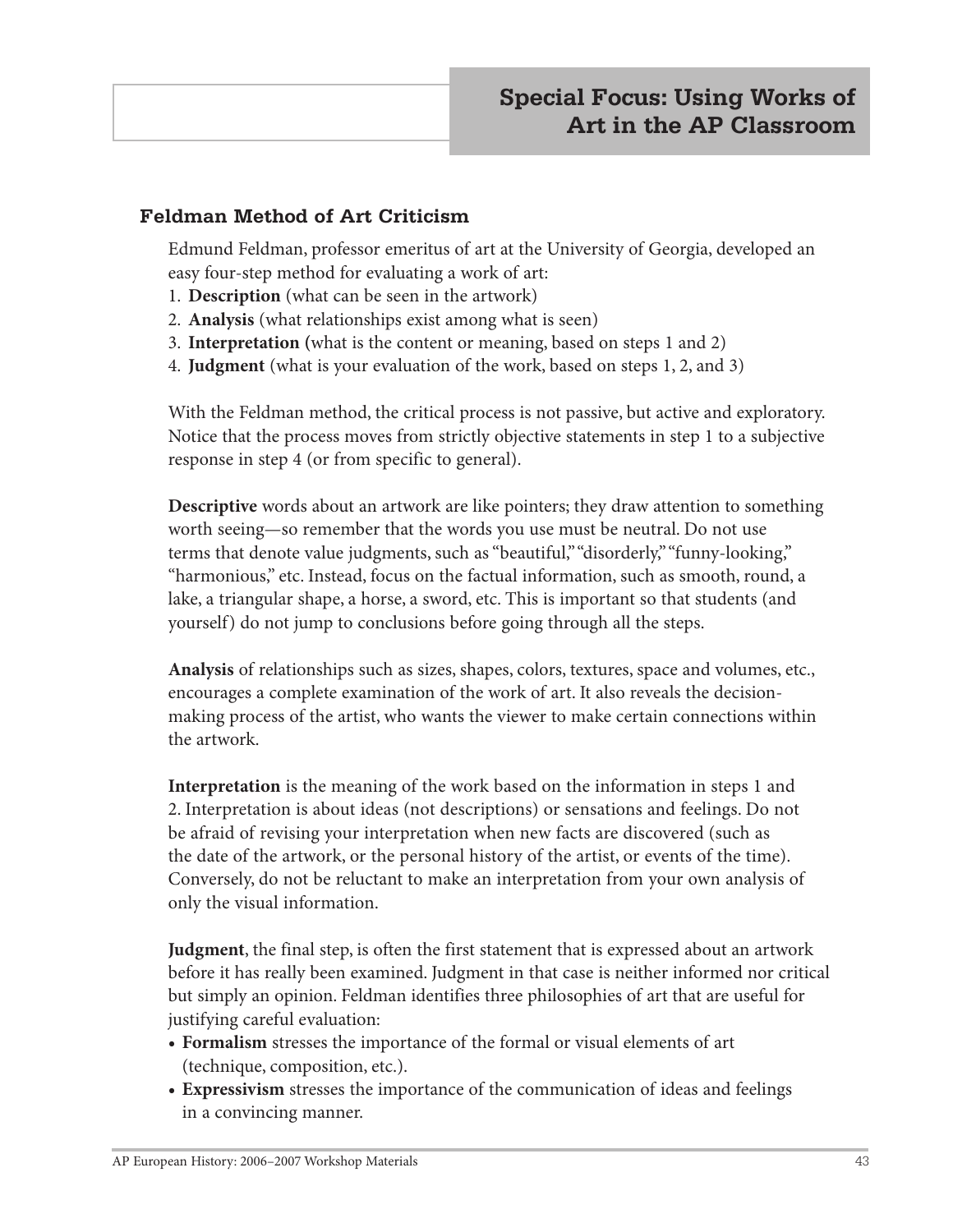#### **Feldman Method of Art Criticism**

Edmund Feldman, professor emeritus of art at the University of Georgia, developed an easy four-step method for evaluating a work of art:

- 1. **Description** (what can be seen in the artwork)
- 2. **Analysis** (what relationships exist among what is seen)
- 3. **Interpretation (**what is the content or meaning, based on steps 1 and 2)
- 4. **Judgment** (what is your evaluation of the work, based on steps 1, 2, and 3)

With the Feldman method, the critical process is not passive, but active and exploratory. Notice that the process moves from strictly objective statements in step 1 to a subjective response in step 4 (or from specific to general).

**Descriptive** words about an artwork are like pointers; they draw attention to something worth seeing—so remember that the words you use must be neutral. Do not use terms that denote value judgments, such as "beautiful," "disorderly," "funny-looking," "harmonious," etc. Instead, focus on the factual information, such as smooth, round, a lake, a triangular shape, a horse, a sword, etc. This is important so that students (and yourself) do not jump to conclusions before going through all the steps.

**Analysis** of relationships such as sizes, shapes, colors, textures, space and volumes, etc., encourages a complete examination of the work of art. It also reveals the decisionmaking process of the artist, who wants the viewer to make certain connections within the artwork.

**Interpretation** is the meaning of the work based on the information in steps 1 and 2. Interpretation is about ideas (not descriptions) or sensations and feelings. Do not be afraid of revising your interpretation when new facts are discovered (such as the date of the artwork, or the personal history of the artist, or events of the time). Conversely, do not be reluctant to make an interpretation from your own analysis of only the visual information.

**Judgment**, the final step, is often the first statement that is expressed about an artwork before it has really been examined. Judgment in that case is neither informed nor critical but simply an opinion. Feldman identifies three philosophies of art that are useful for justifying careful evaluation:

- **• Formalism** stresses the importance of the formal or visual elements of art (technique, composition, etc.).
- **• Expressivism** stresses the importance of the communication of ideas and feelings in a convincing manner.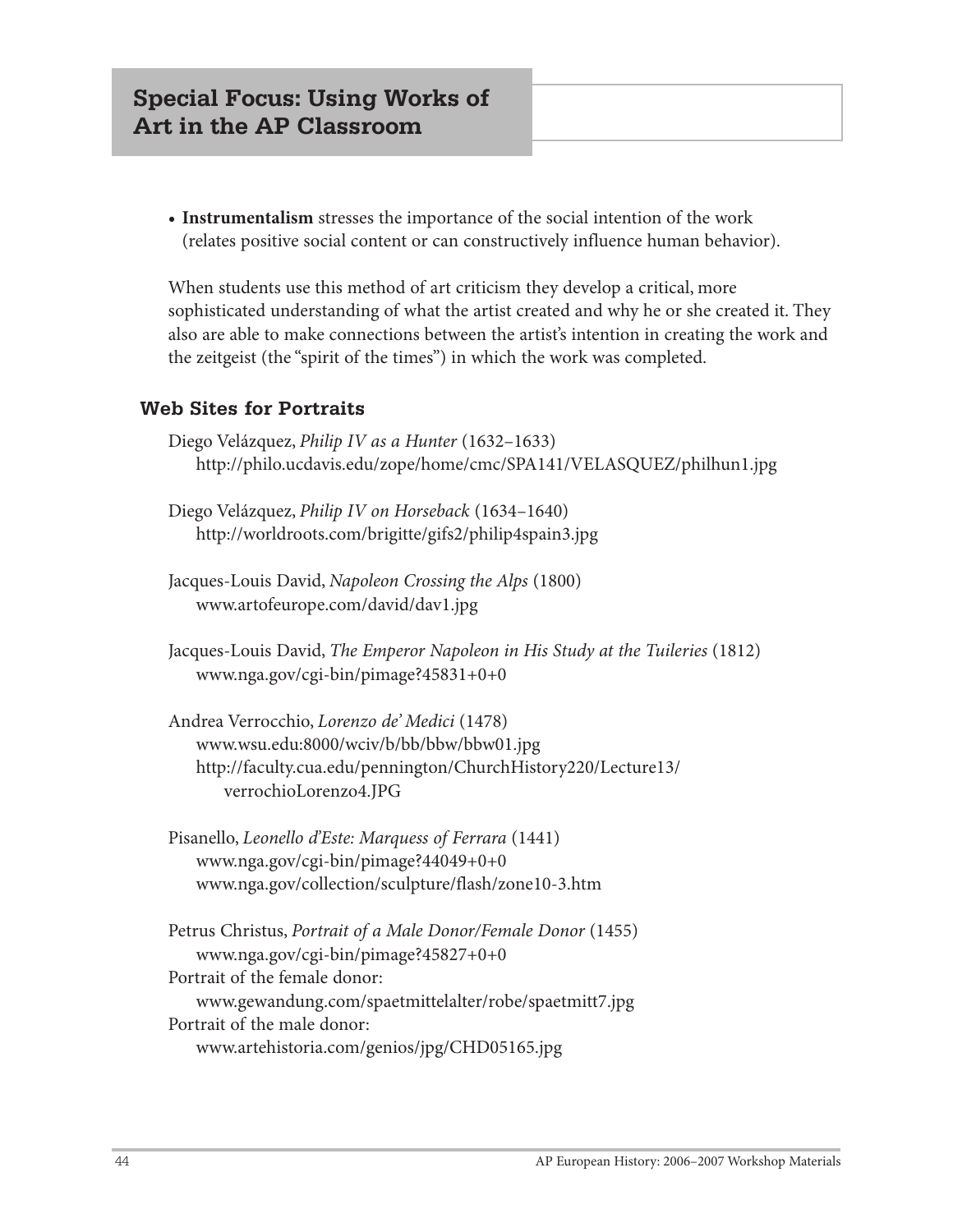**• Instrumentalism** stresses the importance of the social intention of the work (relates positive social content or can constructively influence human behavior).

When students use this method of art criticism they develop a critical, more sophisticated understanding of what the artist created and why he or she created it. They also are able to make connections between the artist's intention in creating the work and the zeitgeist (the "spirit of the times") in which the work was completed.

#### **Web Sites for Portraits**

- Diego Velázquez, *Philip IV as a Hunter* (1632–1633) http://philo.ucdavis.edu/zope/home/cmc/SPA141/VELASQUEZ/philhun1.jpg
- Diego Velázquez, *Philip IV on Horseback* (1634–1640) http://worldroots.com/brigitte/gifs2/philip4spain3.jpg
- Jacques-Louis David, *Napoleon Crossing the Alps* (1800) www.artofeurope.com/david/dav1.jpg

Jacques-Louis David, *The Emperor Napoleon in His Study at the Tuileries* (1812) www.nga.gov/cgi-bin/pimage?45831+0+0

- Andrea Verrocchio, *Lorenzo de' Medici* (1478) www.wsu.edu:8000/wciv/b/bb/bbw/bbw01.jpg http://faculty.cua.edu/pennington/ChurchHistory220/Lecture13/ verrochioLorenzo4.JPG
- Pisanello, *Leonello d'Este: Marquess of Ferrara* (1441) www.nga.gov/cgi-bin/pimage?44049+0+0 www.nga.gov/collection/sculpture/flash/zone10-3.htm

Petrus Christus, *Portrait of a Male Donor/Female Donor* (1455) www.nga.gov/cgi-bin/pimage?45827+0+0 Portrait of the female donor: www.gewandung.com/spaetmittelalter/robe/spaetmitt7.jpg Portrait of the male donor: www.artehistoria.com/genios/jpg/CHD05165.jpg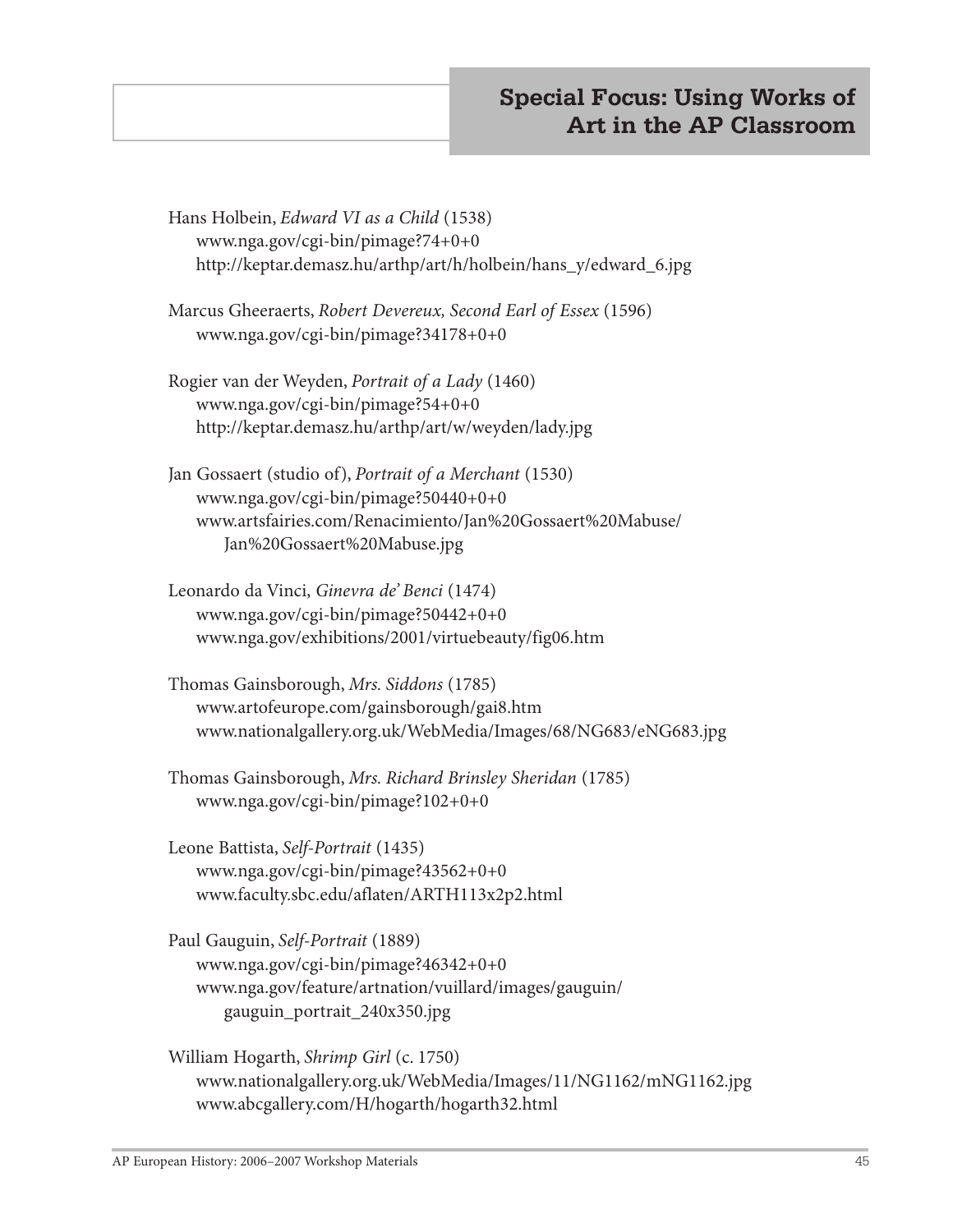Hans Holbein, *Edward VI as a Child* (1538) www.nga.gov/cgi-bin/pimage?74+0+0 http://keptar.demasz.hu/arthp/art/h/holbein/hans\_y/edward\_6.jpg

Marcus Gheeraerts, *Robert Devereux, Second Earl of Essex* (1596) www.nga.gov/cgi-bin/pimage?34178+0+0

- Rogier van der Weyden, *Portrait of a Lady* (1460) www.nga.gov/cgi-bin/pimage?54+0+0 http://keptar.demasz.hu/arthp/art/w/weyden/lady.jpg
- Jan Gossaert (studio of), *Portrait of a Merchant* (1530) www.nga.gov/cgi-bin/pimage?50440+0+0 www.artsfairies.com/Renacimiento/Jan%20Gossaert%20Mabuse/ Jan%20Gossaert%20Mabuse.jpg
- Leonardo da Vinci, *Ginevra de' Benci* (1474) www.nga.gov/cgi-bin/pimage?50442+0+0 www.nga.gov/exhibitions/2001/virtuebeauty/fig06.htm
- Thomas Gainsborough, *Mrs. Siddons* (1785) www.artofeurope.com/gainsborough/gai8.htm www.nationalgallery.org.uk/WebMedia/Images/68/NG683/eNG683.jpg
- Thomas Gainsborough, *Mrs. Richard Brinsley Sheridan* (1785) www.nga.gov/cgi-bin/pimage?102+0+0
- Leone Battista, *Self-Portrait* (1435) www.nga.gov/cgi-bin/pimage?43562+0+0 www.faculty.sbc.edu/aflaten/ARTH113x2p2.html
- Paul Gauguin, *Self-Portrait* (1889) www.nga.gov/cgi-bin/pimage?46342+0+0 www.nga.gov/feature/artnation/vuillard/images/gauguin/ gauguin\_portrait\_240x350.jpg
- William Hogarth, *Shrimp Girl* (c. 1750) www.nationalgallery.org.uk/WebMedia/Images/11/NG1162/mNG1162.jpg www.abcgallery.com/H/hogarth/hogarth32.html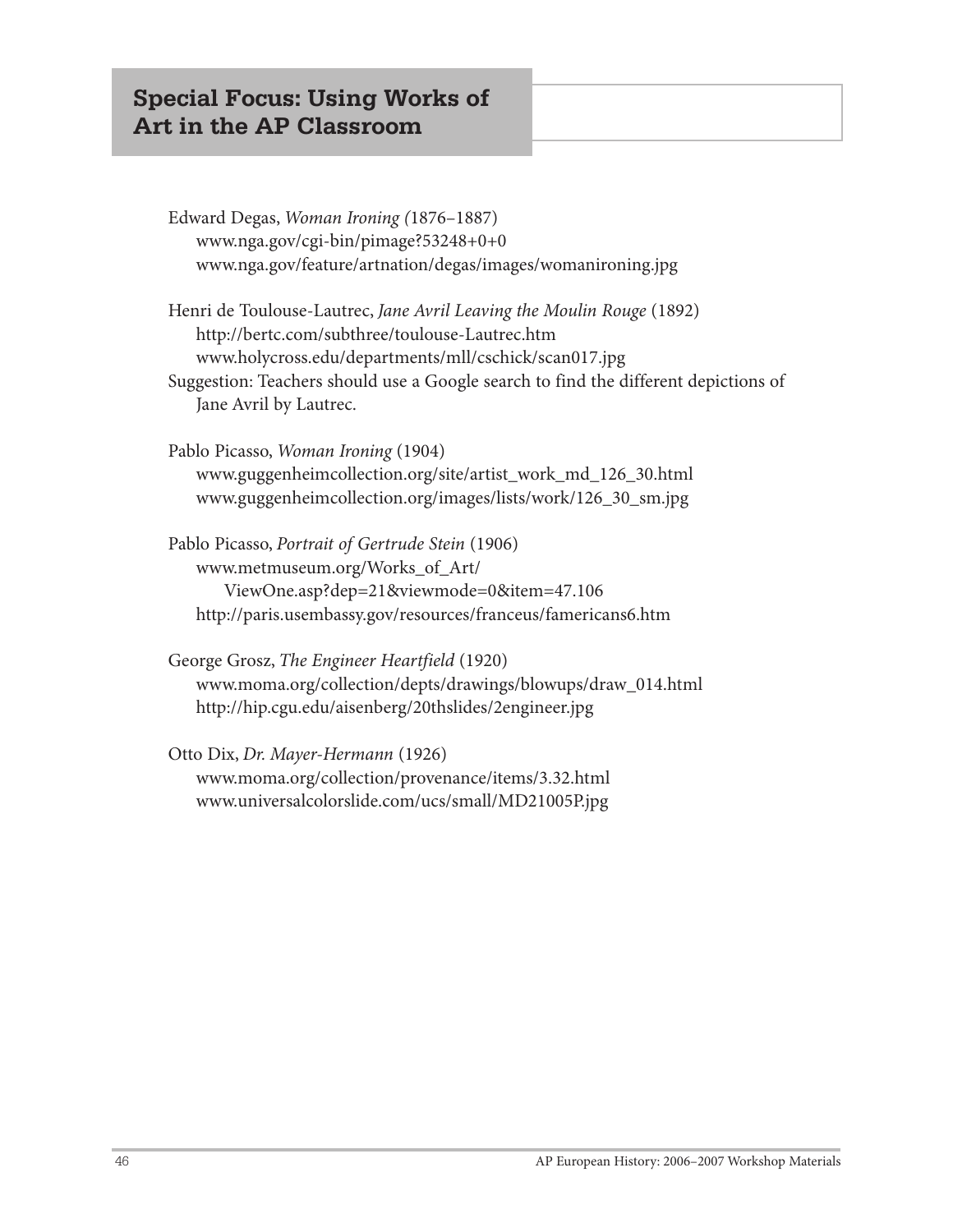# **Special Focus: Using Works of Art in the AP Classroom**

| Edward Degas, Woman Ironing (1876-1887)                                                                                 |
|-------------------------------------------------------------------------------------------------------------------------|
| www.nga.gov/cgi-bin/pimage?53248+0+0<br>www.nga.gov/feature/artnation/degas/images/womanironing.jpg                     |
| Henri de Toulouse-Lautrec, Jane Avril Leaving the Moulin Rouge (1892)<br>http://bertc.com/subthree/toulouse-Lautrec.htm |
| www.holycross.edu/departments/mll/cschick/scan017.jpg                                                                   |
| Suggestion: Teachers should use a Google search to find the different depictions of<br>Jane Avril by Lautrec.           |
| Pablo Picasso, Woman Ironing (1904)                                                                                     |
| www.guggenheimcollection.org/site/artist_work_md_126_30.html                                                            |
| www.guggenheimcollection.org/images/lists/work/126_30_sm.jpg                                                            |
| Pablo Picasso, Portrait of Gertrude Stein (1906)                                                                        |
| www.metmuseum.org/Works_of_Art/                                                                                         |
| ViewOne.asp?dep=21&viewmode=0&item=47.106                                                                               |
| http://paris.usembassy.gov/resources/franceus/famericans6.htm                                                           |
| George Grosz, The Engineer Heartfield (1920)                                                                            |
| www.moma.org/collection/depts/drawings/blowups/draw_014.html                                                            |
| http://hip.cgu.edu/aisenberg/20thslides/2engineer.jpg                                                                   |

Otto Dix, *Dr. Mayer-Hermann* (1926) www.moma.org/collection/provenance/items/3.32.html www.universalcolorslide.com/ucs/small/MD21005P.jpg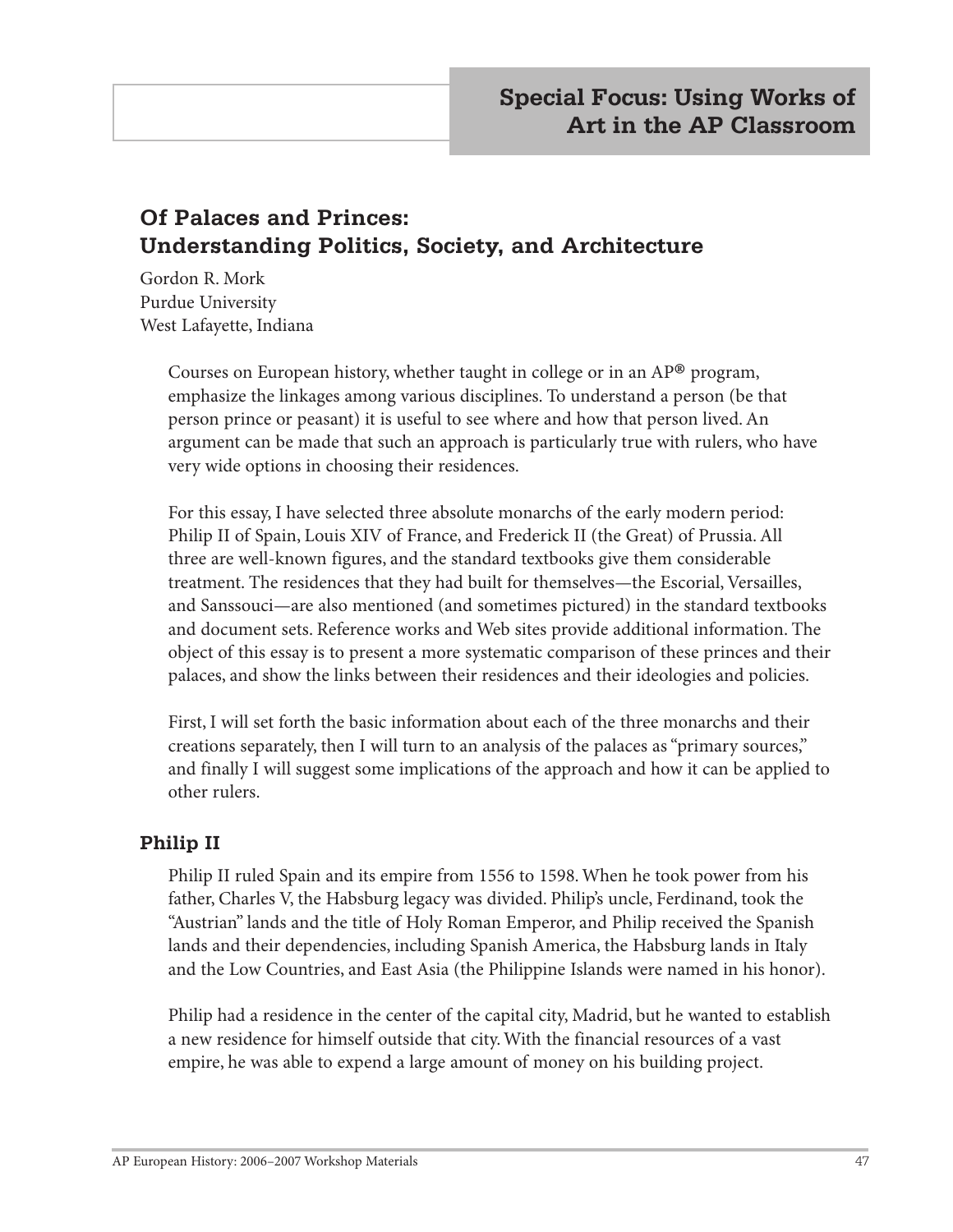# **Of Palaces and Princes: Understanding Politics, Society, and Architecture**

Gordon R. Mork Purdue University West Lafayette, Indiana

> Courses on European history, whether taught in college or in an  $AP^{\circledR}$  program, emphasize the linkages among various disciplines. To understand a person (be that person prince or peasant) it is useful to see where and how that person lived. An argument can be made that such an approach is particularly true with rulers, who have very wide options in choosing their residences.

For this essay, I have selected three absolute monarchs of the early modern period: Philip II of Spain, Louis XIV of France, and Frederick II (the Great) of Prussia. All three are well-known figures, and the standard textbooks give them considerable treatment. The residences that they had built for themselves—the Escorial, Versailles, and Sanssouci—are also mentioned (and sometimes pictured) in the standard textbooks and document sets. Reference works and Web sites provide additional information. The object of this essay is to present a more systematic comparison of these princes and their palaces, and show the links between their residences and their ideologies and policies.

First, I will set forth the basic information about each of the three monarchs and their creations separately, then I will turn to an analysis of the palaces as "primary sources," and finally I will suggest some implications of the approach and how it can be applied to other rulers.

#### **Philip II**

Philip II ruled Spain and its empire from 1556 to 1598. When he took power from his father, Charles V, the Habsburg legacy was divided. Philip's uncle, Ferdinand, took the "Austrian" lands and the title of Holy Roman Emperor, and Philip received the Spanish lands and their dependencies, including Spanish America, the Habsburg lands in Italy and the Low Countries, and East Asia (the Philippine Islands were named in his honor).

Philip had a residence in the center of the capital city, Madrid, but he wanted to establish a new residence for himself outside that city. With the financial resources of a vast empire, he was able to expend a large amount of money on his building project.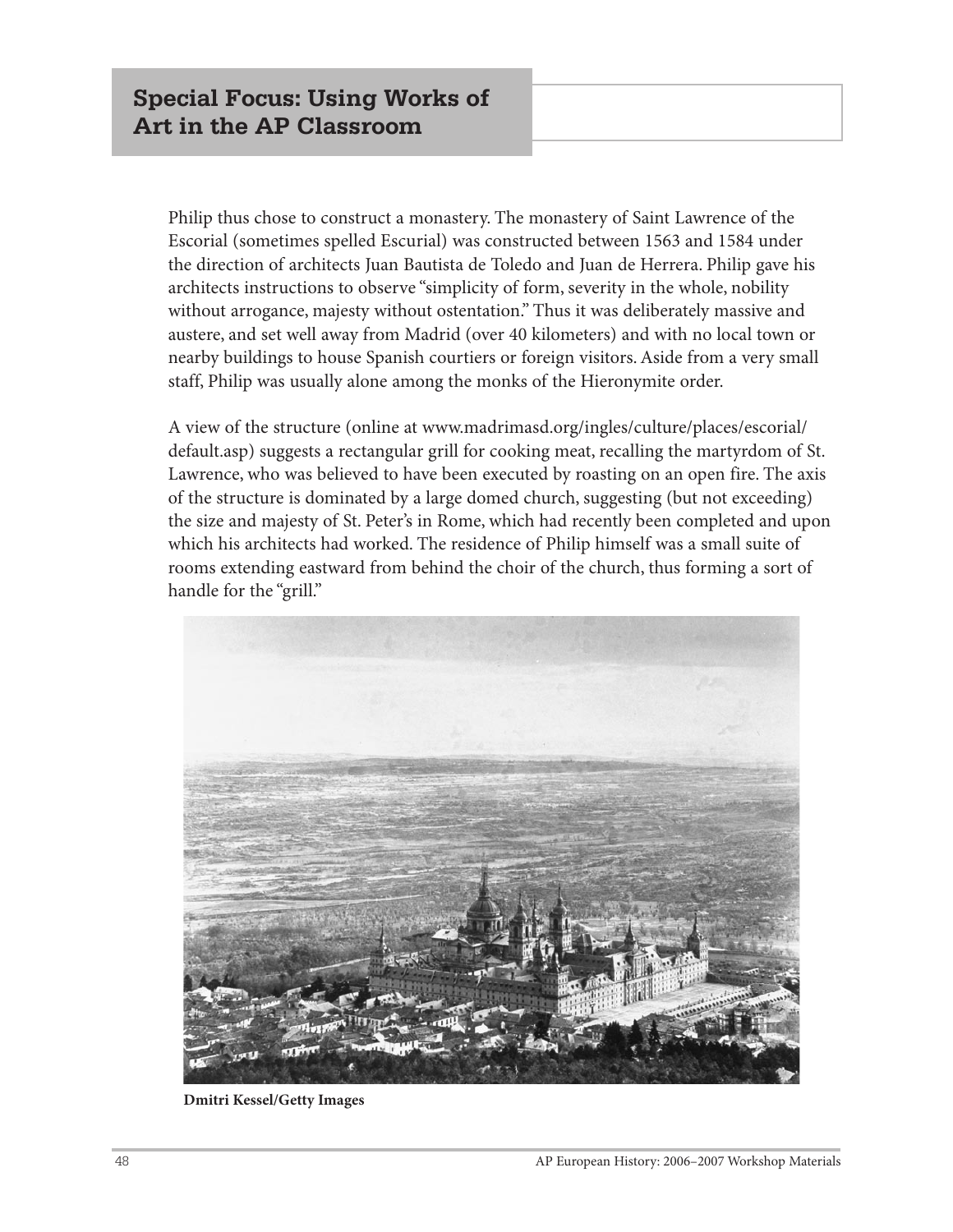Philip thus chose to construct a monastery. The monastery of Saint Lawrence of the Escorial (sometimes spelled Escurial) was constructed between 1563 and 1584 under the direction of architects Juan Bautista de Toledo and Juan de Herrera. Philip gave his architects instructions to observe "simplicity of form, severity in the whole, nobility without arrogance, majesty without ostentation." Thus it was deliberately massive and austere, and set well away from Madrid (over 40 kilometers) and with no local town or nearby buildings to house Spanish courtiers or foreign visitors. Aside from a very small staff, Philip was usually alone among the monks of the Hieronymite order.

A view of the structure (online at www.madrimasd.org/ingles/culture/places/escorial/ default.asp) suggests a rectangular grill for cooking meat, recalling the martyrdom of St. Lawrence, who was believed to have been executed by roasting on an open fire. The axis of the structure is dominated by a large domed church, suggesting (but not exceeding) the size and majesty of St. Peter's in Rome, which had recently been completed and upon which his architects had worked. The residence of Philip himself was a small suite of rooms extending eastward from behind the choir of the church, thus forming a sort of handle for the "grill."



**Dmitri Kessel/Getty Images**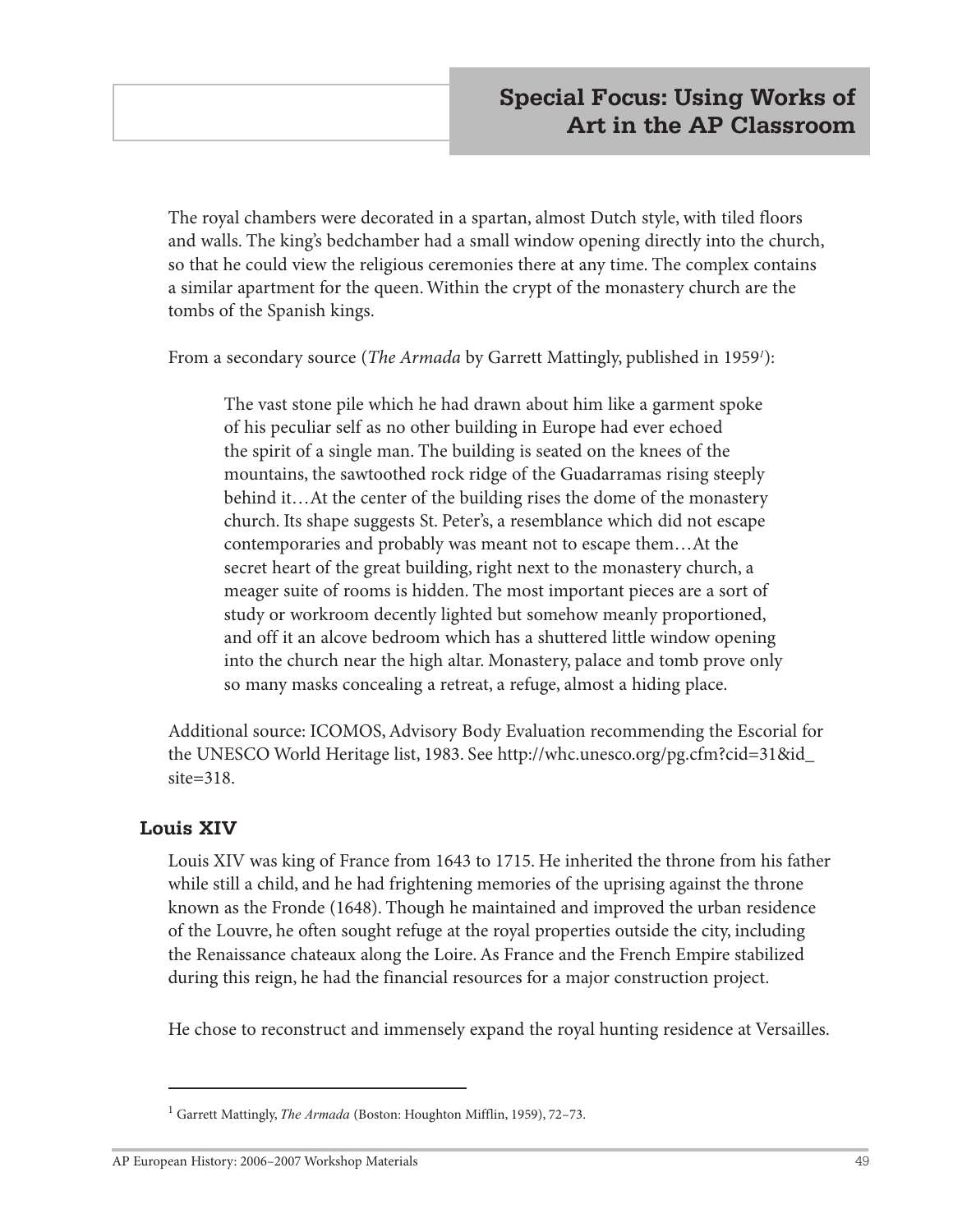The royal chambers were decorated in a spartan, almost Dutch style, with tiled floors and walls. The king's bedchamber had a small window opening directly into the church, so that he could view the religious ceremonies there at any time. The complex contains a similar apartment for the queen. Within the crypt of the monastery church are the tombs of the Spanish kings.

From a secondary source (*The Armada* by Garrett Mattingly, published in 1959*<sup>1</sup>* ):

The vast stone pile which he had drawn about him like a garment spoke of his peculiar self as no other building in Europe had ever echoed the spirit of a single man. The building is seated on the knees of the mountains, the sawtoothed rock ridge of the Guadarramas rising steeply behind it…At the center of the building rises the dome of the monastery church. Its shape suggests St. Peter's, a resemblance which did not escape contemporaries and probably was meant not to escape them…At the secret heart of the great building, right next to the monastery church, a meager suite of rooms is hidden. The most important pieces are a sort of study or workroom decently lighted but somehow meanly proportioned, and off it an alcove bedroom which has a shuttered little window opening into the church near the high altar. Monastery, palace and tomb prove only so many masks concealing a retreat, a refuge, almost a hiding place.

Additional source: ICOMOS, Advisory Body Evaluation recommending the Escorial for the UNESCO World Heritage list, 1983. See http://whc.unesco.org/pg.cfm?cid=31&id\_ site=318.

#### **Louis XIV**

Louis XIV was king of France from 1643 to 1715. He inherited the throne from his father while still a child, and he had frightening memories of the uprising against the throne known as the Fronde (1648). Though he maintained and improved the urban residence of the Louvre, he often sought refuge at the royal properties outside the city, including the Renaissance chateaux along the Loire. As France and the French Empire stabilized during this reign, he had the financial resources for a major construction project.

He chose to reconstruct and immensely expand the royal hunting residence at Versailles.

<sup>1</sup> Garrett Mattingly, *The Armada* (Boston: Houghton Mifflin, 1959), 72–73.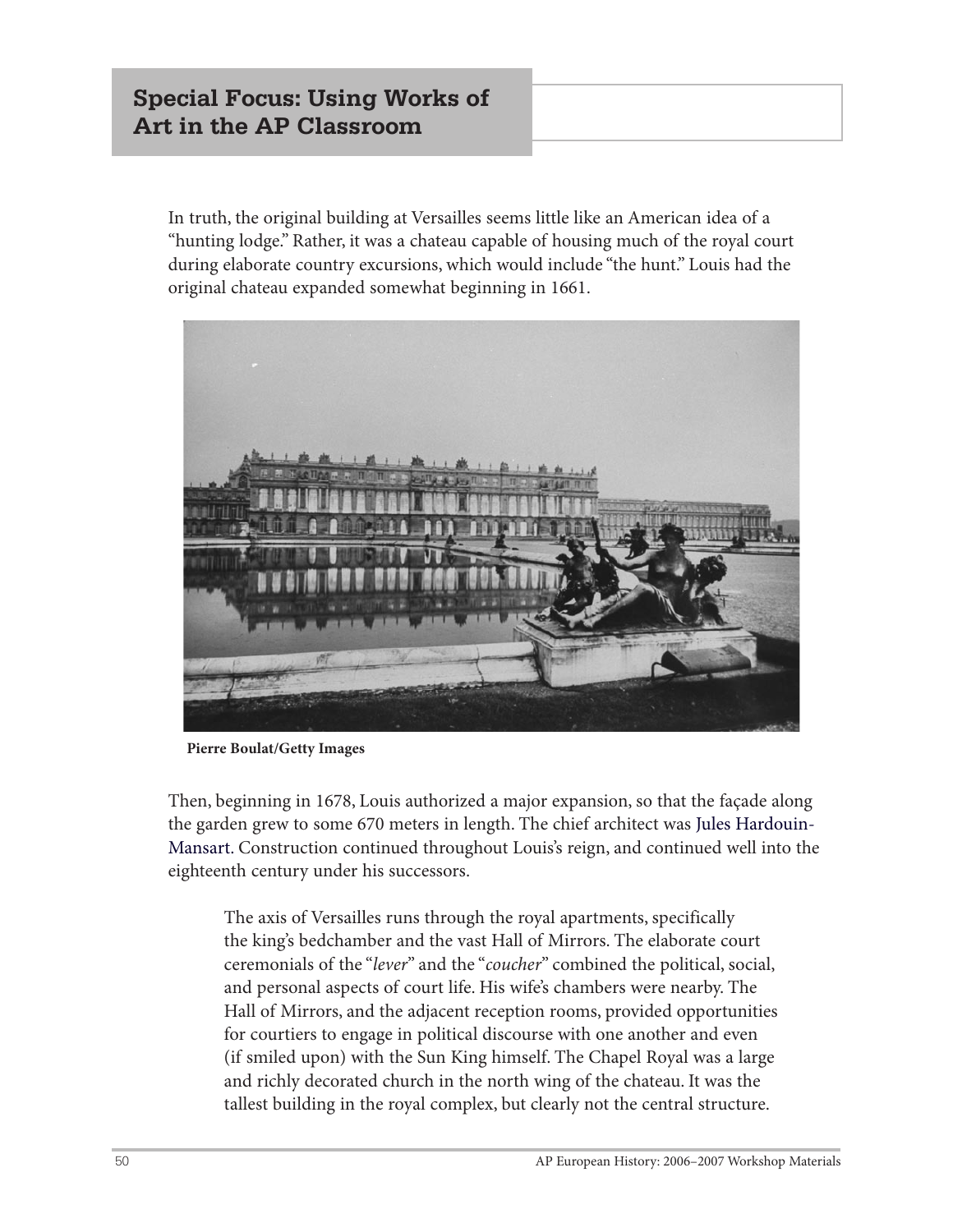# **Special Focus: Using Works of Art in the AP Classroom**

In truth, the original building at Versailles seems little like an American idea of a "hunting lodge." Rather, it was a chateau capable of housing much of the royal court during elaborate country excursions, which would include "the hunt." Louis had the original chateau expanded somewhat beginning in 1661.



**Pierre Boulat/Getty Images**

Then, beginning in 1678, Louis authorized a major expansion, so that the façade along the garden grew to some 670 meters in length. The chief architect was Jules Hardouin-Mansart. Construction continued throughout Louis's reign, and continued well into the eighteenth century under his successors.

The axis of Versailles runs through the royal apartments, specifically the king's bedchamber and the vast Hall of Mirrors. The elaborate court ceremonials of the "*lever*" and the "*coucher*" combined the political, social, and personal aspects of court life. His wife's chambers were nearby. The Hall of Mirrors, and the adjacent reception rooms, provided opportunities for courtiers to engage in political discourse with one another and even (if smiled upon) with the Sun King himself. The Chapel Royal was a large and richly decorated church in the north wing of the chateau. It was the tallest building in the royal complex, but clearly not the central structure.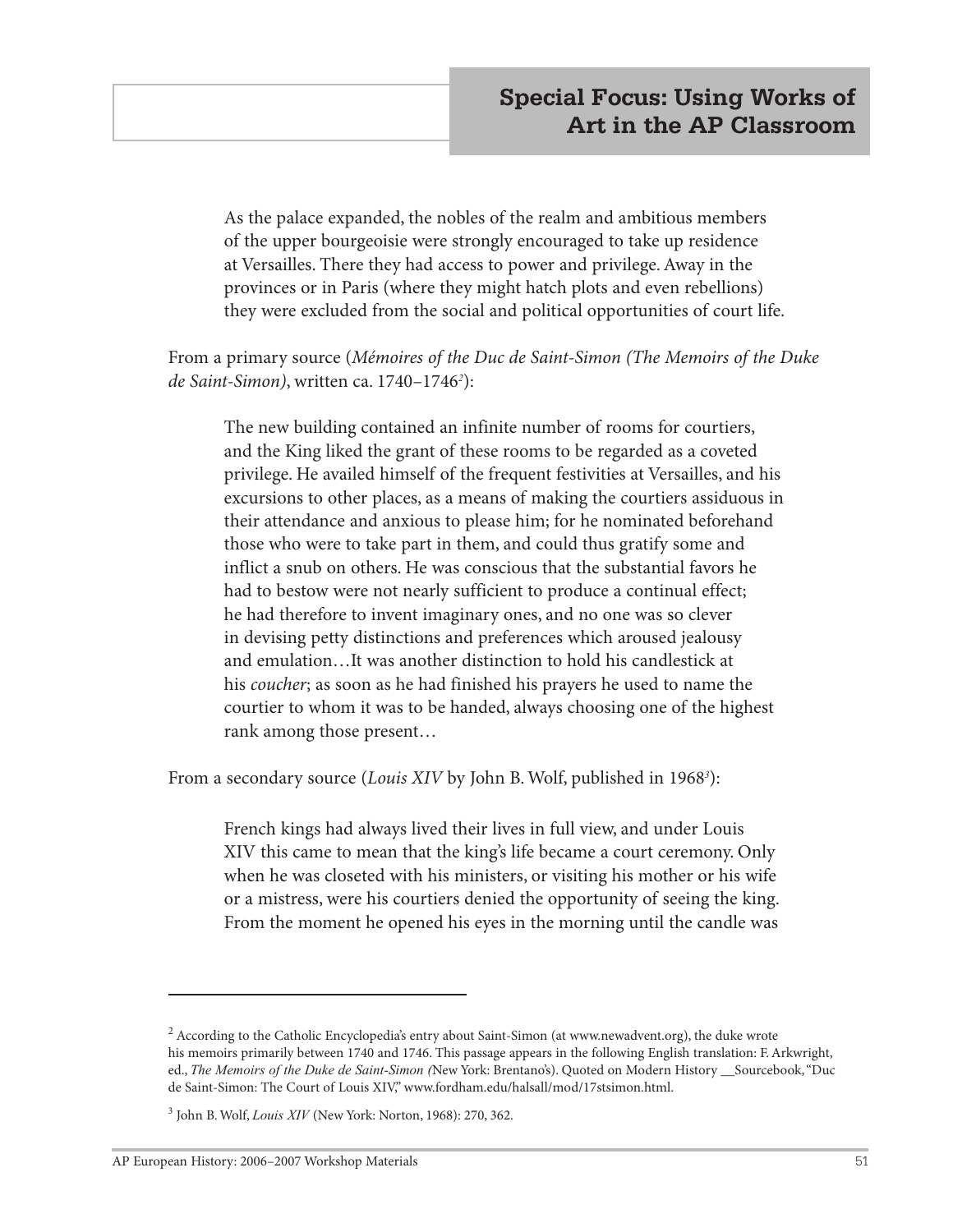As the palace expanded, the nobles of the realm and ambitious members of the upper bourgeoisie were strongly encouraged to take up residence at Versailles. There they had access to power and privilege. Away in the provinces or in Paris (where they might hatch plots and even rebellions) they were excluded from the social and political opportunities of court life.

From a primary source (*Mémoires of the Duc de Saint-Simon (The Memoirs of the Duke de Saint-Simon)*, written ca. 1740–1746*<sup>2</sup>* ):

The new building contained an infinite number of rooms for courtiers, and the King liked the grant of these rooms to be regarded as a coveted privilege. He availed himself of the frequent festivities at Versailles, and his excursions to other places, as a means of making the courtiers assiduous in their attendance and anxious to please him; for he nominated beforehand those who were to take part in them, and could thus gratify some and inflict a snub on others. He was conscious that the substantial favors he had to bestow were not nearly sufficient to produce a continual effect; he had therefore to invent imaginary ones, and no one was so clever in devising petty distinctions and preferences which aroused jealousy and emulation…It was another distinction to hold his candlestick at his *coucher*; as soon as he had finished his prayers he used to name the courtier to whom it was to be handed, always choosing one of the highest rank among those present…

From a secondary source (*Louis XIV* by John B. Wolf, published in 1968*<sup>3</sup>* ):

French kings had always lived their lives in full view, and under Louis XIV this came to mean that the king's life became a court ceremony. Only when he was closeted with his ministers, or visiting his mother or his wife or a mistress, were his courtiers denied the opportunity of seeing the king. From the moment he opened his eyes in the morning until the candle was

 $^2$  According to the Catholic Encyclopedia's entry about Saint-Simon (at www.newadvent.org), the duke wrote his memoirs primarily between 1740 and 1746. This passage appears in the following English translation: F. Arkwright, ed., *The Memoirs of the Duke de Saint-Simon (*New York: Brentano's). Quoted on Modern History \_\_Sourcebook, "Duc de Saint-Simon: The Court of Louis XIV," www.fordham.edu/halsall/mod/17stsimon.html.

<sup>3</sup> John B. Wolf, *Louis XIV* (New York: Norton, 1968): 270, 362.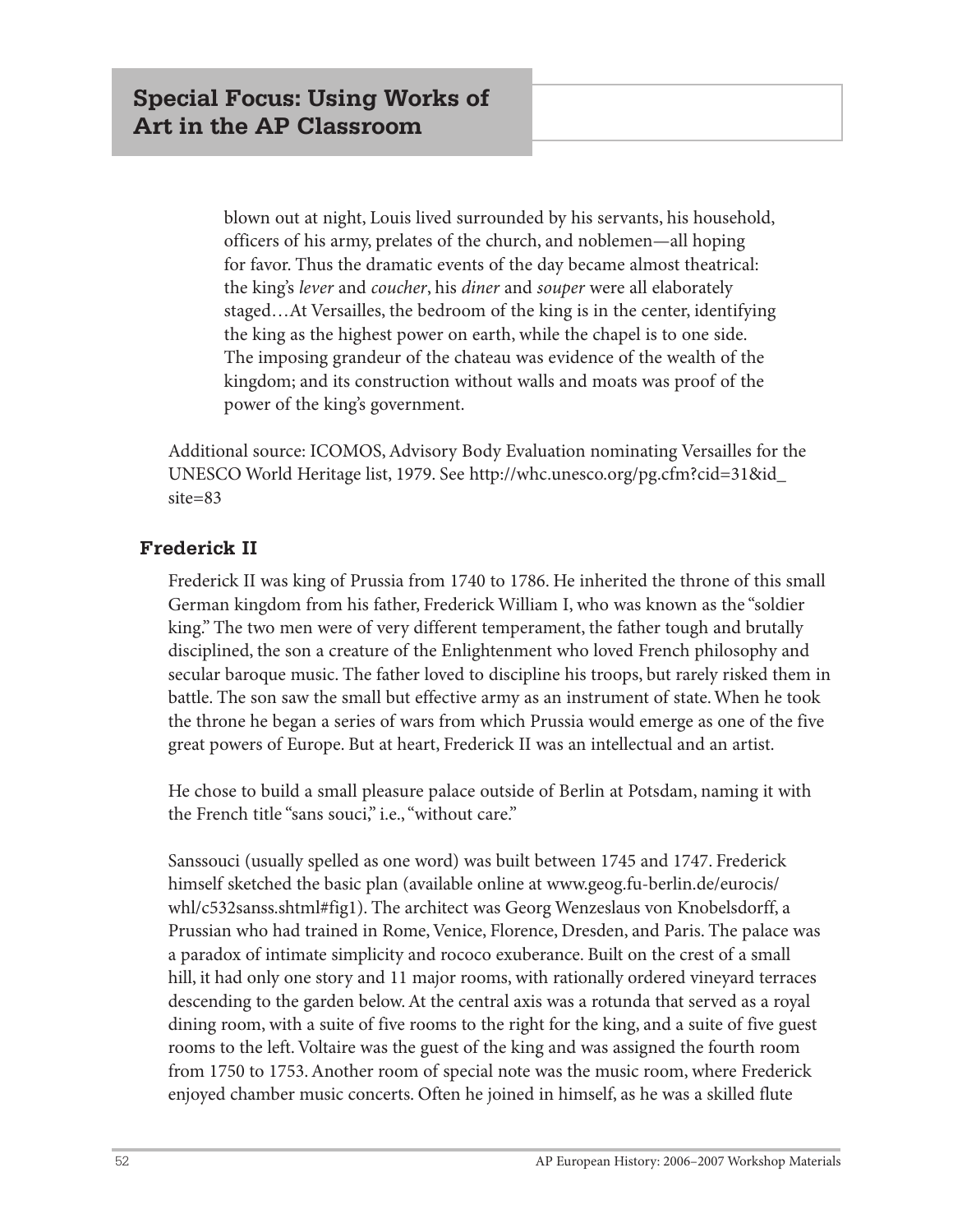blown out at night, Louis lived surrounded by his servants, his household, officers of his army, prelates of the church, and noblemen—all hoping for favor. Thus the dramatic events of the day became almost theatrical: the king's *lever* and *coucher*, his *diner* and *souper* were all elaborately staged…At Versailles, the bedroom of the king is in the center, identifying the king as the highest power on earth, while the chapel is to one side. The imposing grandeur of the chateau was evidence of the wealth of the kingdom; and its construction without walls and moats was proof of the power of the king's government.

Additional source: ICOMOS, Advisory Body Evaluation nominating Versailles for the UNESCO World Heritage list, 1979. See http://whc.unesco.org/pg.cfm?cid=31&id\_ site=83

#### **Frederick II**

Frederick II was king of Prussia from 1740 to 1786. He inherited the throne of this small German kingdom from his father, Frederick William I, who was known as the "soldier king." The two men were of very different temperament, the father tough and brutally disciplined, the son a creature of the Enlightenment who loved French philosophy and secular baroque music. The father loved to discipline his troops, but rarely risked them in battle. The son saw the small but effective army as an instrument of state. When he took the throne he began a series of wars from which Prussia would emerge as one of the five great powers of Europe. But at heart, Frederick II was an intellectual and an artist.

He chose to build a small pleasure palace outside of Berlin at Potsdam, naming it with the French title "sans souci," i.e., "without care."

Sanssouci (usually spelled as one word) was built between 1745 and 1747. Frederick himself sketched the basic plan (available online at www.geog.fu-berlin.de/eurocis/ whl/c532sanss.shtml#fig1). The architect was Georg Wenzeslaus von Knobelsdorff, a Prussian who had trained in Rome, Venice, Florence, Dresden, and Paris. The palace was a paradox of intimate simplicity and rococo exuberance. Built on the crest of a small hill, it had only one story and 11 major rooms, with rationally ordered vineyard terraces descending to the garden below. At the central axis was a rotunda that served as a royal dining room, with a suite of five rooms to the right for the king, and a suite of five guest rooms to the left. Voltaire was the guest of the king and was assigned the fourth room from 1750 to 1753. Another room of special note was the music room, where Frederick enjoyed chamber music concerts. Often he joined in himself, as he was a skilled flute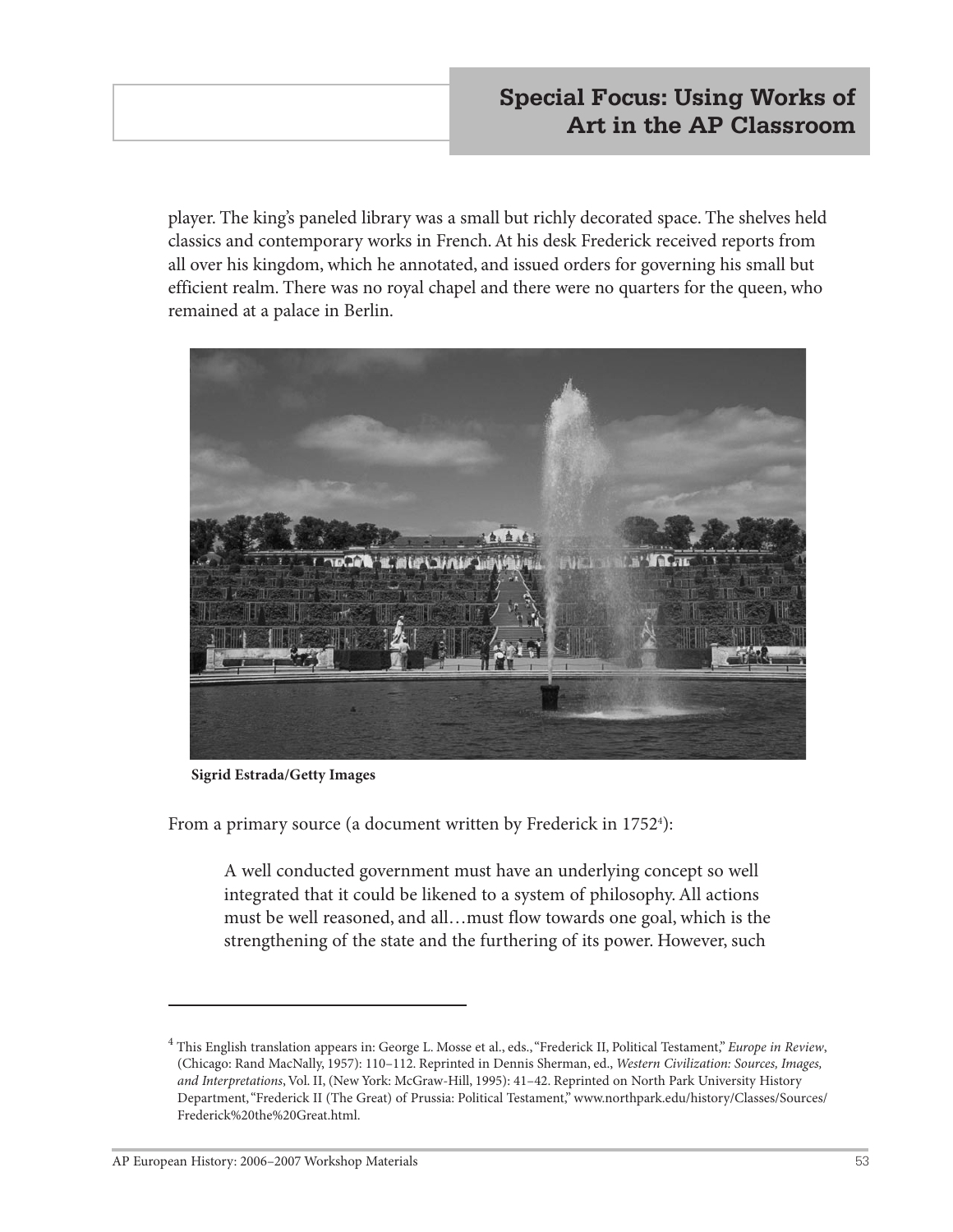player. The king's paneled library was a small but richly decorated space. The shelves held classics and contemporary works in French. At his desk Frederick received reports from all over his kingdom, which he annotated, and issued orders for governing his small but efficient realm. There was no royal chapel and there were no quarters for the queen, who remained at a palace in Berlin.



**Sigrid Estrada/Getty Images**

From a primary source (a document written by Frederick in 17524 ):

A well conducted government must have an underlying concept so well integrated that it could be likened to a system of philosophy. All actions must be well reasoned, and all…must flow towards one goal, which is the strengthening of the state and the furthering of its power. However, such

<sup>4</sup> This English translation appears in: George L. Mosse et al., eds., "Frederick II, Political Testament," *Europe in Review*, (Chicago: Rand MacNally, 1957): 110–112. Reprinted in Dennis Sherman, ed., *Western Civilization: Sources, Images, and Interpretations*, Vol. II, (New York: McGraw-Hill, 1995): 41–42. Reprinted on North Park University History Department, "Frederick II (The Great) of Prussia: Political Testament," www.northpark.edu/history/Classes/Sources/ Frederick%20the%20Great.html.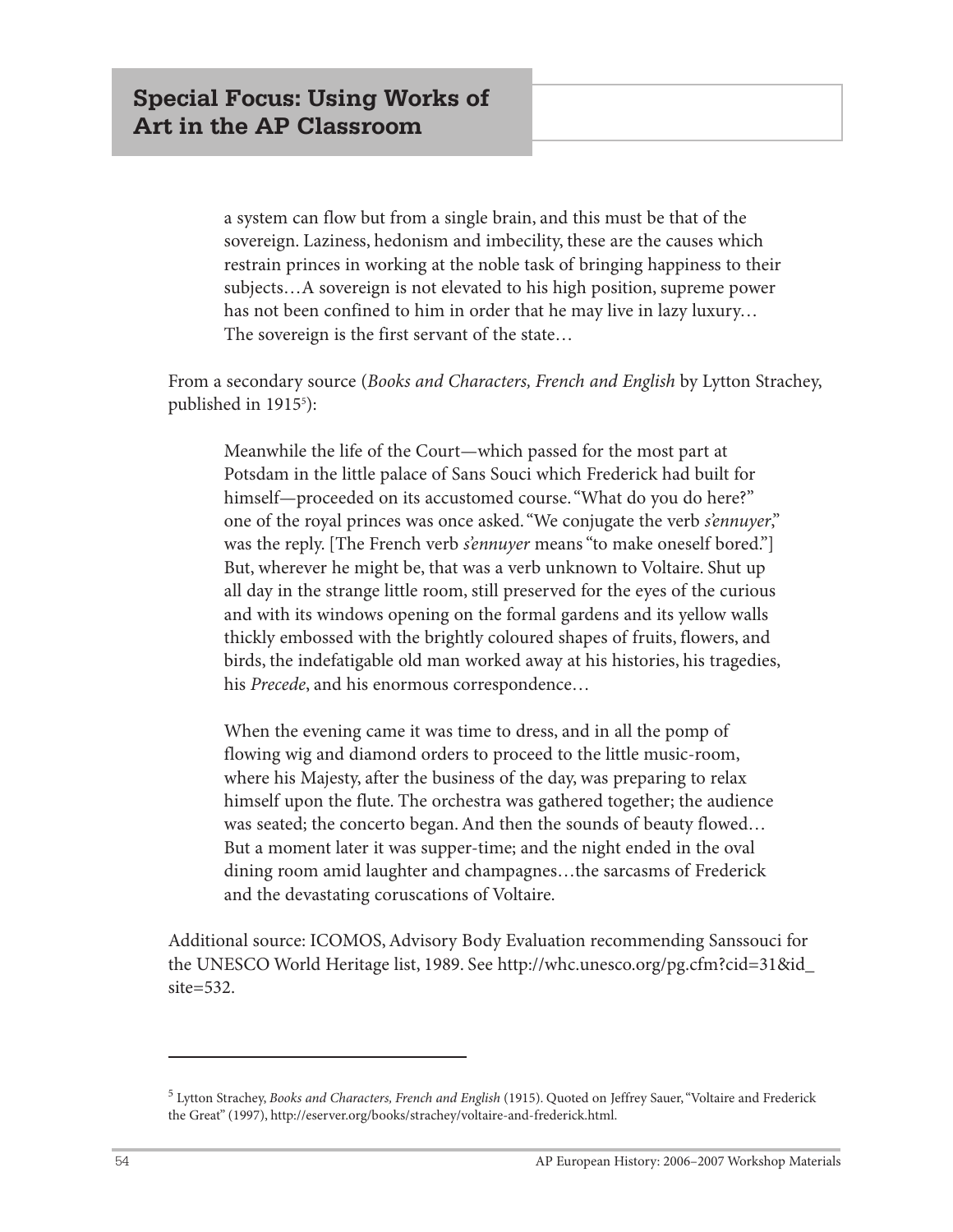a system can flow but from a single brain, and this must be that of the sovereign. Laziness, hedonism and imbecility, these are the causes which restrain princes in working at the noble task of bringing happiness to their subjects…A sovereign is not elevated to his high position, supreme power has not been confined to him in order that he may live in lazy luxury… The sovereign is the first servant of the state…

From a secondary source (*Books and Characters, French and English* by Lytton Strachey, published in 19155 ):

Meanwhile the life of the Court—which passed for the most part at Potsdam in the little palace of Sans Souci which Frederick had built for himself—proceeded on its accustomed course. "What do you do here?" one of the royal princes was once asked. "We conjugate the verb *s'ennuyer*," was the reply. [The French verb *s'ennuyer* means "to make oneself bored."] But, wherever he might be, that was a verb unknown to Voltaire. Shut up all day in the strange little room, still preserved for the eyes of the curious and with its windows opening on the formal gardens and its yellow walls thickly embossed with the brightly coloured shapes of fruits, flowers, and birds, the indefatigable old man worked away at his histories, his tragedies, his *Precede*, and his enormous correspondence…

When the evening came it was time to dress, and in all the pomp of flowing wig and diamond orders to proceed to the little music-room, where his Majesty, after the business of the day, was preparing to relax himself upon the flute. The orchestra was gathered together; the audience was seated; the concerto began. And then the sounds of beauty flowed… But a moment later it was supper-time; and the night ended in the oval dining room amid laughter and champagnes…the sarcasms of Frederick and the devastating coruscations of Voltaire.

Additional source: ICOMOS, Advisory Body Evaluation recommending Sanssouci for the UNESCO World Heritage list, 1989. See http://whc.unesco.org/pg.cfm?cid=31&id\_ site=532.

<sup>5</sup> Lytton Strachey, *Books and Characters, French and English* (1915). Quoted on Jeffrey Sauer, "Voltaire and Frederick the Great" (1997), http://eserver.org/books/strachey/voltaire-and-frederick.html.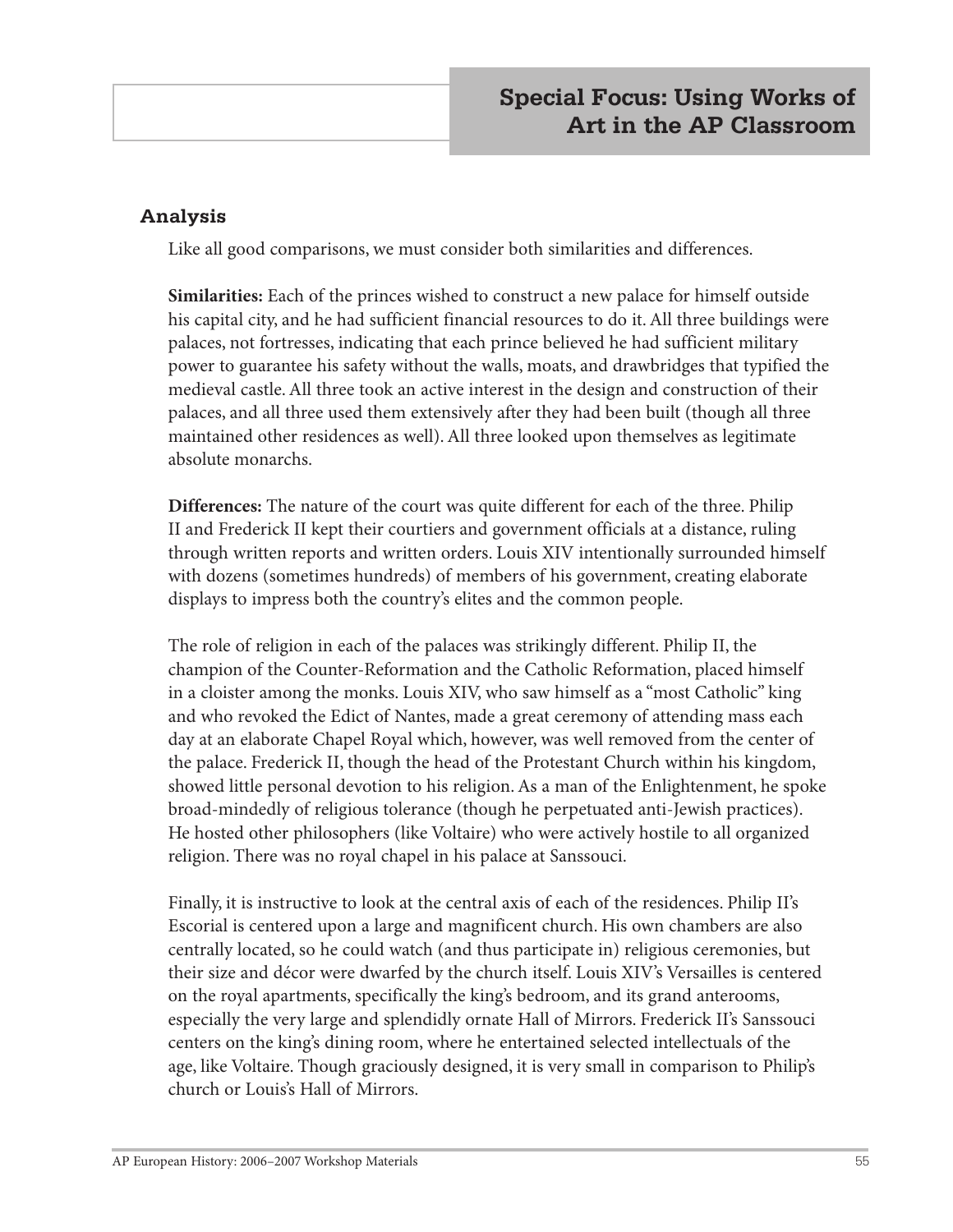#### **Analysis**

Like all good comparisons, we must consider both similarities and differences.

**Similarities:** Each of the princes wished to construct a new palace for himself outside his capital city, and he had sufficient financial resources to do it. All three buildings were palaces, not fortresses, indicating that each prince believed he had sufficient military power to guarantee his safety without the walls, moats, and drawbridges that typified the medieval castle. All three took an active interest in the design and construction of their palaces, and all three used them extensively after they had been built (though all three maintained other residences as well). All three looked upon themselves as legitimate absolute monarchs.

**Differences:** The nature of the court was quite different for each of the three. Philip II and Frederick II kept their courtiers and government officials at a distance, ruling through written reports and written orders. Louis XIV intentionally surrounded himself with dozens (sometimes hundreds) of members of his government, creating elaborate displays to impress both the country's elites and the common people.

The role of religion in each of the palaces was strikingly different. Philip II, the champion of the Counter-Reformation and the Catholic Reformation, placed himself in a cloister among the monks. Louis XIV, who saw himself as a "most Catholic" king and who revoked the Edict of Nantes, made a great ceremony of attending mass each day at an elaborate Chapel Royal which, however, was well removed from the center of the palace. Frederick II, though the head of the Protestant Church within his kingdom, showed little personal devotion to his religion. As a man of the Enlightenment, he spoke broad-mindedly of religious tolerance (though he perpetuated anti-Jewish practices). He hosted other philosophers (like Voltaire) who were actively hostile to all organized religion. There was no royal chapel in his palace at Sanssouci.

Finally, it is instructive to look at the central axis of each of the residences. Philip II's Escorial is centered upon a large and magnificent church. His own chambers are also centrally located, so he could watch (and thus participate in) religious ceremonies, but their size and décor were dwarfed by the church itself. Louis XIV's Versailles is centered on the royal apartments, specifically the king's bedroom, and its grand anterooms, especially the very large and splendidly ornate Hall of Mirrors. Frederick II's Sanssouci centers on the king's dining room, where he entertained selected intellectuals of the age, like Voltaire. Though graciously designed, it is very small in comparison to Philip's church or Louis's Hall of Mirrors.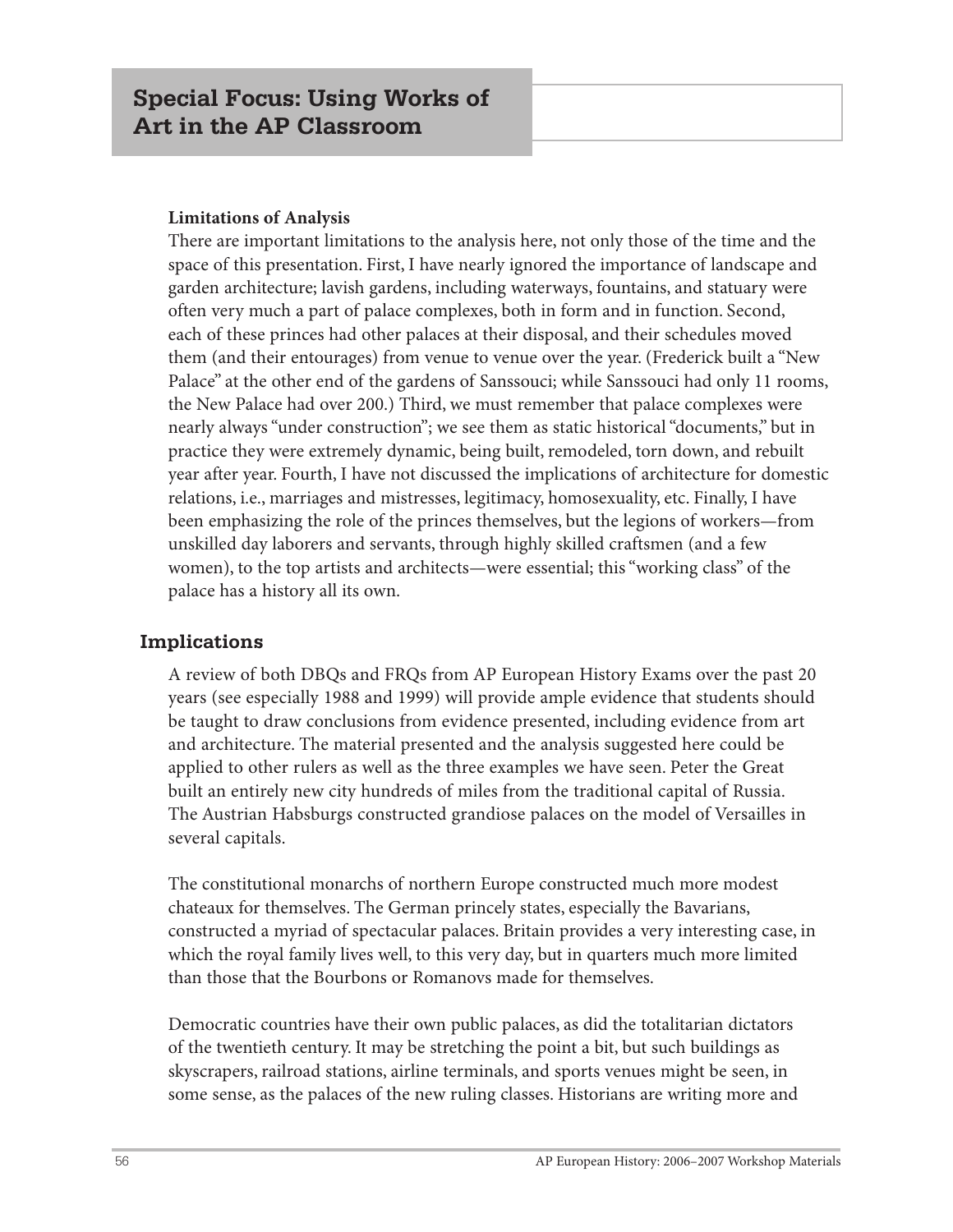#### **Limitations of Analysis**

There are important limitations to the analysis here, not only those of the time and the space of this presentation. First, I have nearly ignored the importance of landscape and garden architecture; lavish gardens, including waterways, fountains, and statuary were often very much a part of palace complexes, both in form and in function. Second, each of these princes had other palaces at their disposal, and their schedules moved them (and their entourages) from venue to venue over the year. (Frederick built a "New Palace" at the other end of the gardens of Sanssouci; while Sanssouci had only 11 rooms, the New Palace had over 200.) Third, we must remember that palace complexes were nearly always "under construction"; we see them as static historical "documents," but in practice they were extremely dynamic, being built, remodeled, torn down, and rebuilt year after year. Fourth, I have not discussed the implications of architecture for domestic relations, i.e., marriages and mistresses, legitimacy, homosexuality, etc. Finally, I have been emphasizing the role of the princes themselves, but the legions of workers—from unskilled day laborers and servants, through highly skilled craftsmen (and a few women), to the top artists and architects—were essential; this "working class" of the palace has a history all its own.

#### **Implications**

A review of both DBQs and FRQs from AP European History Exams over the past 20 years (see especially 1988 and 1999) will provide ample evidence that students should be taught to draw conclusions from evidence presented, including evidence from art and architecture. The material presented and the analysis suggested here could be applied to other rulers as well as the three examples we have seen. Peter the Great built an entirely new city hundreds of miles from the traditional capital of Russia. The Austrian Habsburgs constructed grandiose palaces on the model of Versailles in several capitals.

The constitutional monarchs of northern Europe constructed much more modest chateaux for themselves. The German princely states, especially the Bavarians, constructed a myriad of spectacular palaces. Britain provides a very interesting case, in which the royal family lives well, to this very day, but in quarters much more limited than those that the Bourbons or Romanovs made for themselves.

Democratic countries have their own public palaces, as did the totalitarian dictators of the twentieth century. It may be stretching the point a bit, but such buildings as skyscrapers, railroad stations, airline terminals, and sports venues might be seen, in some sense, as the palaces of the new ruling classes. Historians are writing more and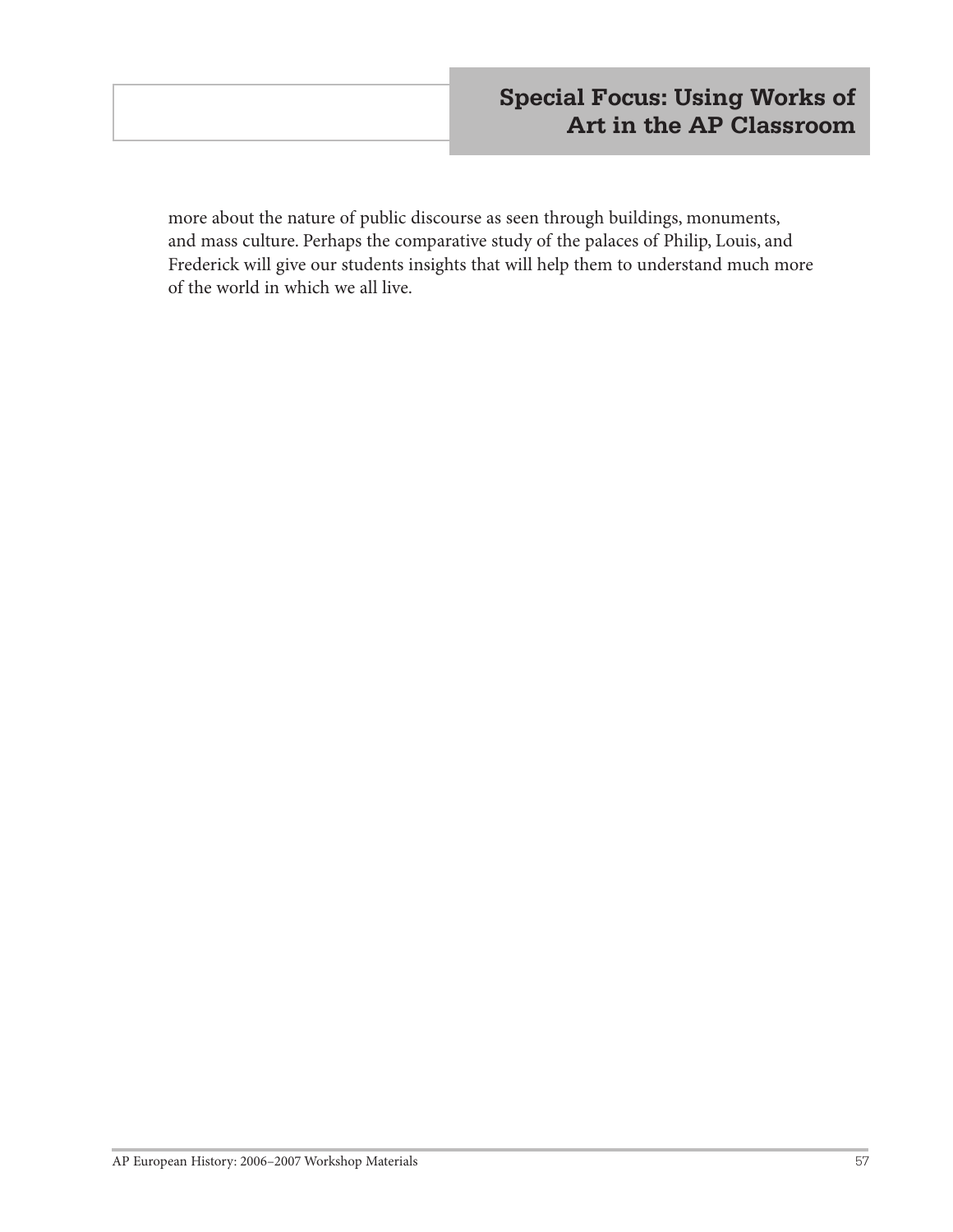# **Special Focus: Using Works of Art in the AP Classroom**

more about the nature of public discourse as seen through buildings, monuments, and mass culture. Perhaps the comparative study of the palaces of Philip, Louis, and Frederick will give our students insights that will help them to understand much more of the world in which we all live.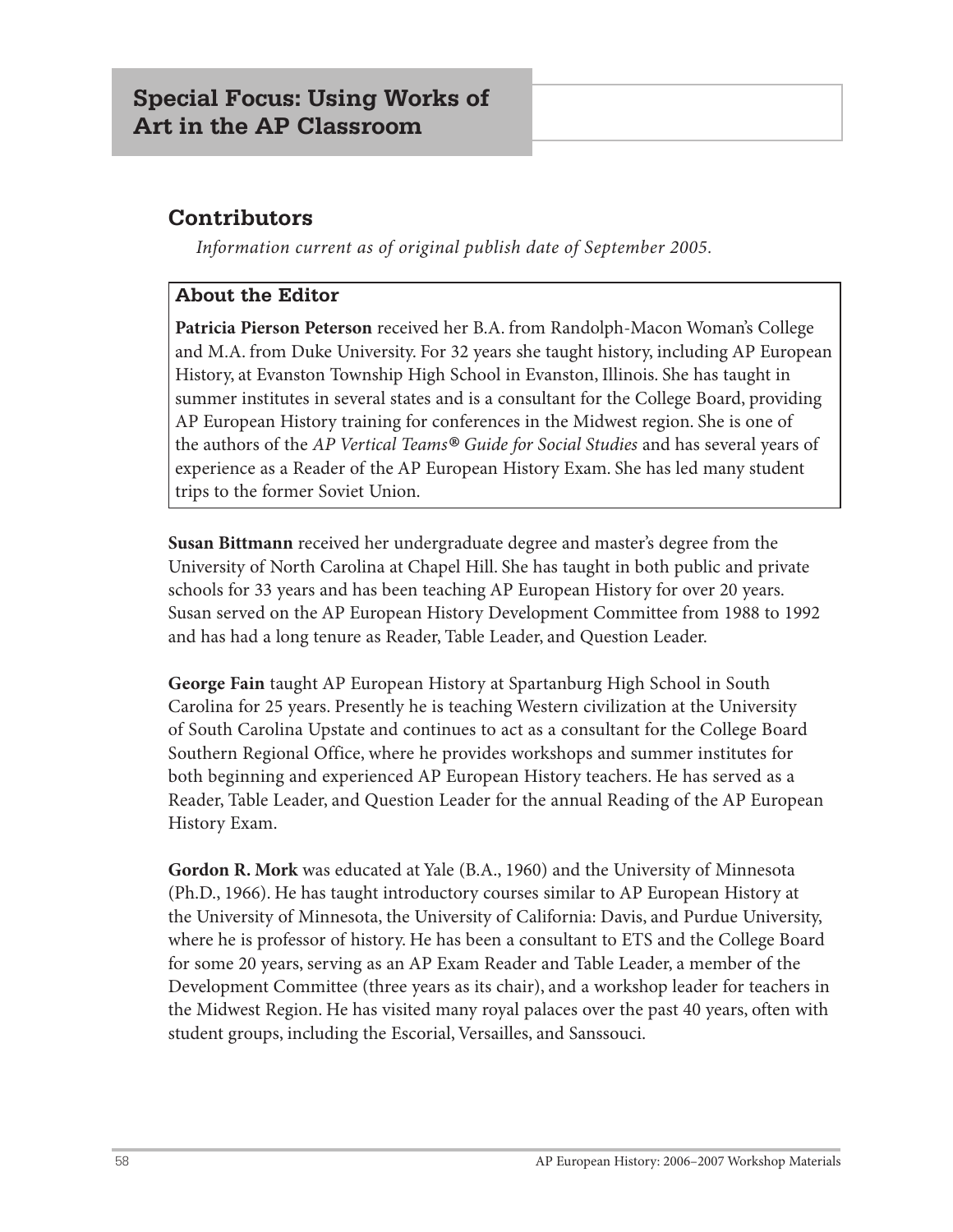# **Contributors**

*Information current as of original publish date of September 2005.*

#### **About the Editor**

**Patricia Pierson Peterson** received her B.A. from Randolph-Macon Woman's College and M.A. from Duke University. For 32 years she taught history, including AP European History, at Evanston Township High School in Evanston, Illinois. She has taught in summer institutes in several states and is a consultant for the College Board, providing AP European History training for conferences in the Midwest region. She is one of the authors of the *AP Vertical Teams® Guide for Social Studies* and has several years of experience as a Reader of the AP European History Exam. She has led many student trips to the former Soviet Union.

**Susan Bittmann** received her undergraduate degree and master's degree from the University of North Carolina at Chapel Hill. She has taught in both public and private schools for 33 years and has been teaching AP European History for over 20 years. Susan served on the AP European History Development Committee from 1988 to 1992 and has had a long tenure as Reader, Table Leader, and Question Leader.

**George Fain** taught AP European History at Spartanburg High School in South Carolina for 25 years. Presently he is teaching Western civilization at the University of South Carolina Upstate and continues to act as a consultant for the College Board Southern Regional Office, where he provides workshops and summer institutes for both beginning and experienced AP European History teachers. He has served as a Reader, Table Leader, and Question Leader for the annual Reading of the AP European History Exam.

**Gordon R. Mork** was educated at Yale (B.A., 1960) and the University of Minnesota (Ph.D., 1966). He has taught introductory courses similar to AP European History at the University of Minnesota, the University of California: Davis, and Purdue University, where he is professor of history. He has been a consultant to ETS and the College Board for some 20 years, serving as an AP Exam Reader and Table Leader, a member of the Development Committee (three years as its chair), and a workshop leader for teachers in the Midwest Region. He has visited many royal palaces over the past 40 years, often with student groups, including the Escorial, Versailles, and Sanssouci.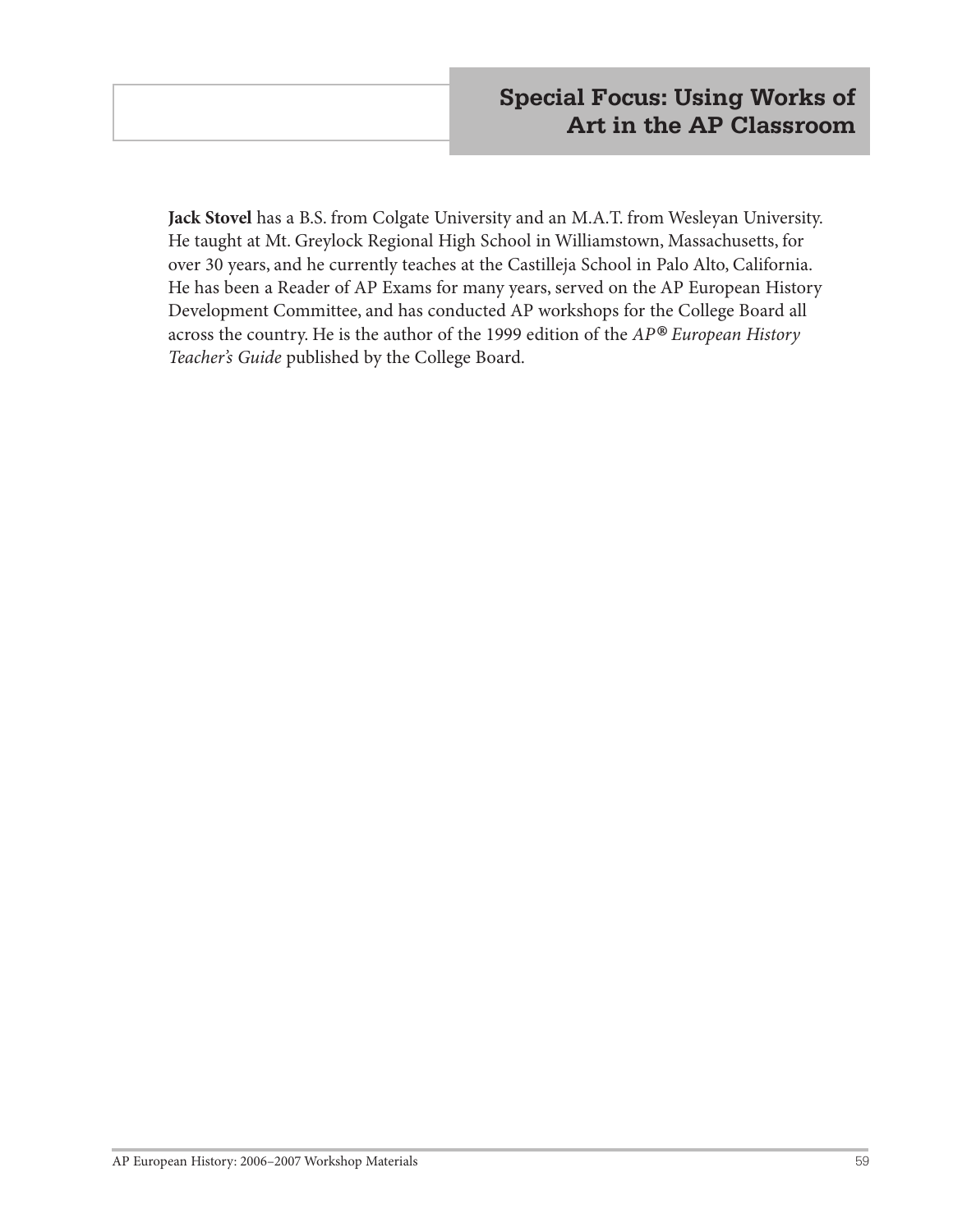**Jack Stovel** has a B.S. from Colgate University and an M.A.T. from Wesleyan University. He taught at Mt. Greylock Regional High School in Williamstown, Massachusetts, for over 30 years, and he currently teaches at the Castilleja School in Palo Alto, California. He has been a Reader of AP Exams for many years, served on the AP European History Development Committee, and has conducted AP workshops for the College Board all across the country. He is the author of the 1999 edition of the *AP® European History Teacher's Guide* published by the College Board.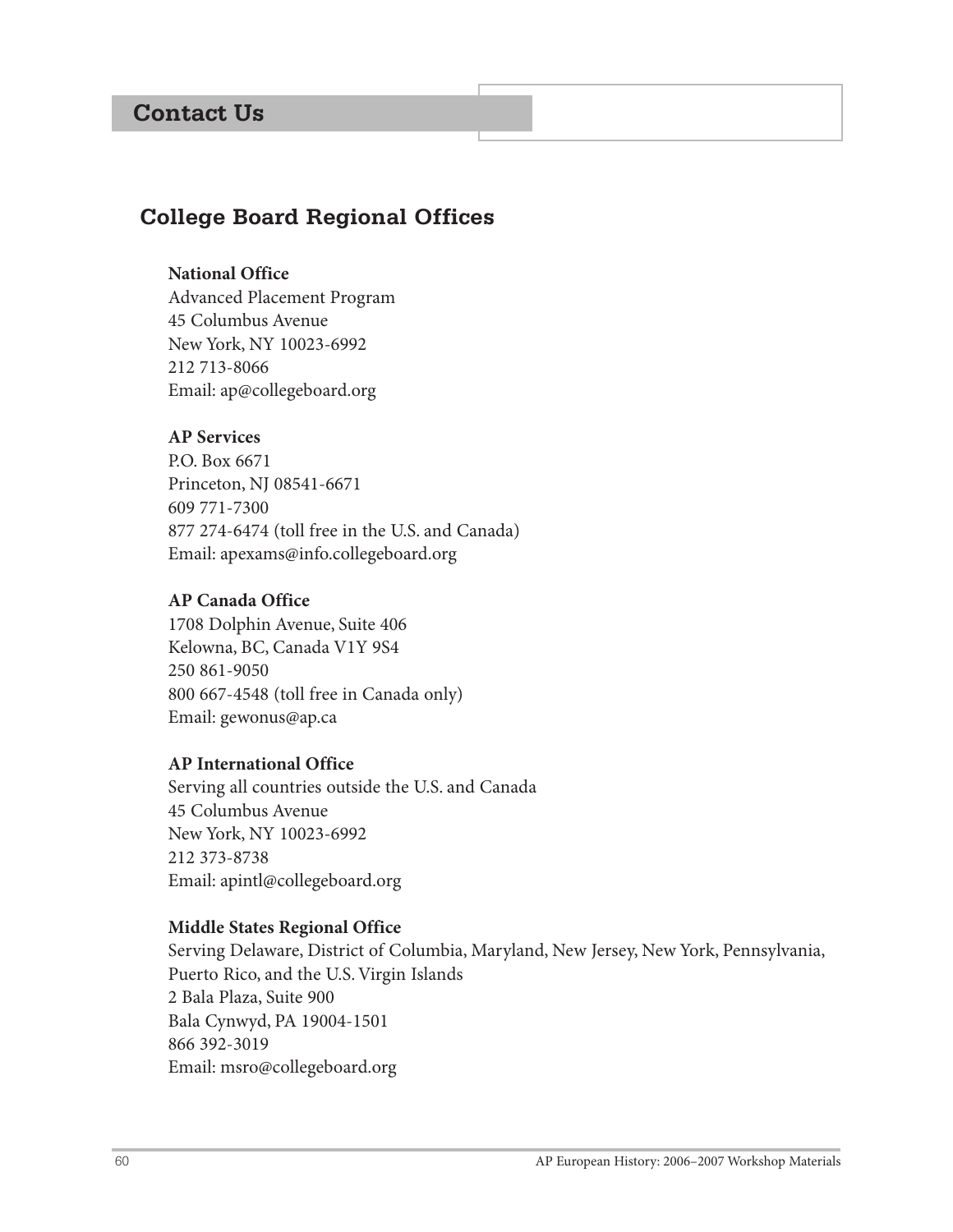# **Contact Us**

# **College Board Regional Offices**

#### **National Office**

Advanced Placement Program 45 Columbus Avenue New York, NY 10023-6992 212 713-8066 Email: ap@collegeboard.org

#### **AP Services**

P.O. Box 6671 Princeton, NJ 08541-6671 609 771-7300 877 274-6474 (toll free in the U.S. and Canada) Email: apexams@info.collegeboard.org

#### **AP Canada Office**

1708 Dolphin Avenue, Suite 406 Kelowna, BC, Canada V1Y 9S4 250 861-9050 800 667-4548 (toll free in Canada only) Email: gewonus@ap.ca

#### **AP International Office**

Serving all countries outside the U.S. and Canada 45 Columbus Avenue New York, NY 10023-6992 212 373-8738 Email: apintl@collegeboard.org

#### **Middle States Regional Office**

Serving Delaware, District of Columbia, Maryland, New Jersey, New York, Pennsylvania, Puerto Rico, and the U.S. Virgin Islands 2 Bala Plaza, Suite 900 Bala Cynwyd, PA 19004-1501 866 392-3019 Email: msro@collegeboard.org